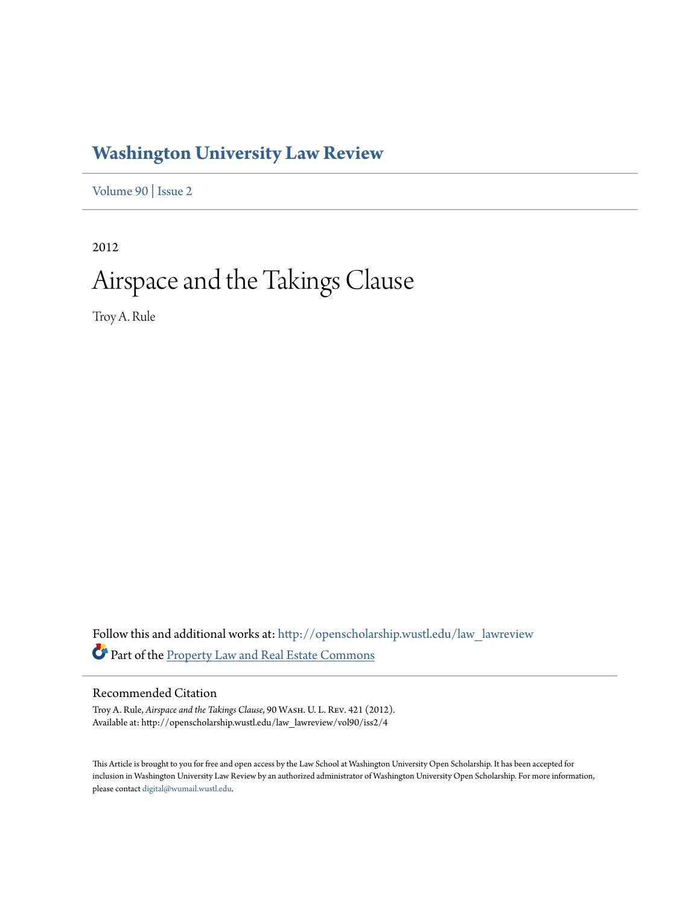# **[Washington University Law Review](http://openscholarship.wustl.edu/law_lawreview?utm_source=openscholarship.wustl.edu%2Flaw_lawreview%2Fvol90%2Fiss2%2F4&utm_medium=PDF&utm_campaign=PDFCoverPages)**

[Volume 90](http://openscholarship.wustl.edu/law_lawreview/vol90?utm_source=openscholarship.wustl.edu%2Flaw_lawreview%2Fvol90%2Fiss2%2F4&utm_medium=PDF&utm_campaign=PDFCoverPages) | [Issue 2](http://openscholarship.wustl.edu/law_lawreview/vol90/iss2?utm_source=openscholarship.wustl.edu%2Flaw_lawreview%2Fvol90%2Fiss2%2F4&utm_medium=PDF&utm_campaign=PDFCoverPages)

2012

# Airspace and the Takings Clause

Troy A. Rule

Follow this and additional works at: [http://openscholarship.wustl.edu/law\\_lawreview](http://openscholarship.wustl.edu/law_lawreview?utm_source=openscholarship.wustl.edu%2Flaw_lawreview%2Fvol90%2Fiss2%2F4&utm_medium=PDF&utm_campaign=PDFCoverPages) Part of the **[Property Law and Real Estate Commons](http://network.bepress.com/hgg/discipline/897?utm_source=openscholarship.wustl.edu%2Flaw_lawreview%2Fvol90%2Fiss2%2F4&utm_medium=PDF&utm_campaign=PDFCoverPages)** 

# Recommended Citation

Troy A. Rule, *Airspace and the Takings Clause*, 90 Wash. U. L. Rev. 421 (2012). Available at: http://openscholarship.wustl.edu/law\_lawreview/vol90/iss2/4

This Article is brought to you for free and open access by the Law School at Washington University Open Scholarship. It has been accepted for inclusion in Washington University Law Review by an authorized administrator of Washington University Open Scholarship. For more information, please contact [digital@wumail.wustl.edu.](mailto:digital@wumail.wustl.edu)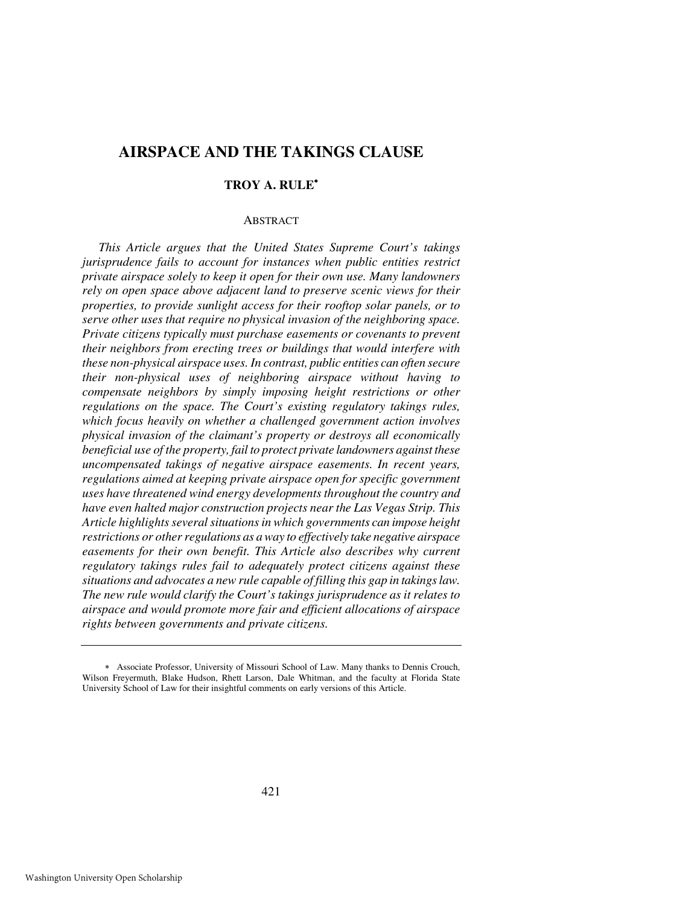# **AIRSPACE AND THE TAKINGS CLAUSE**

# **TROY A. RULE**<sup>∗</sup>

#### **ABSTRACT**

*This Article argues that the United States Supreme Court's takings jurisprudence fails to account for instances when public entities restrict private airspace solely to keep it open for their own use. Many landowners rely on open space above adjacent land to preserve scenic views for their properties, to provide sunlight access for their rooftop solar panels, or to serve other uses that require no physical invasion of the neighboring space. Private citizens typically must purchase easements or covenants to prevent their neighbors from erecting trees or buildings that would interfere with these non-physical airspace uses. In contrast, public entities can often secure their non-physical uses of neighboring airspace without having to compensate neighbors by simply imposing height restrictions or other regulations on the space. The Court's existing regulatory takings rules, which focus heavily on whether a challenged government action involves physical invasion of the claimant's property or destroys all economically beneficial use of the property, fail to protect private landowners against these uncompensated takings of negative airspace easements. In recent years, regulations aimed at keeping private airspace open for specific government uses have threatened wind energy developments throughout the country and have even halted major construction projects near the Las Vegas Strip. This Article highlights several situations in which governments can impose height restrictions or other regulations as a way to effectively take negative airspace easements for their own benefit. This Article also describes why current regulatory takings rules fail to adequately protect citizens against these situations and advocates a new rule capable of filling this gap in takings law. The new rule would clarify the Court's takings jurisprudence as it relates to airspace and would promote more fair and efficient allocations of airspace rights between governments and private citizens.* 

<sup>∗</sup> Associate Professor, University of Missouri School of Law. Many thanks to Dennis Crouch, Wilson Freyermuth, Blake Hudson, Rhett Larson, Dale Whitman, and the faculty at Florida State University School of Law for their insightful comments on early versions of this Article.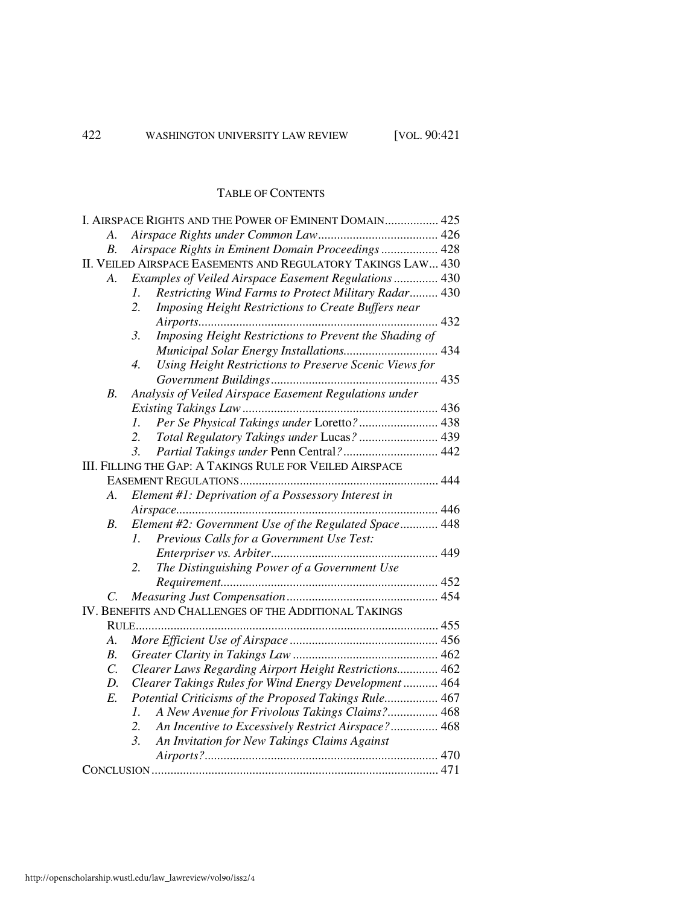# TABLE OF CONTENTS

|                                                              | I. AIRSPACE RIGHTS AND THE POWER OF EMINENT DOMAIN 425                     |  |
|--------------------------------------------------------------|----------------------------------------------------------------------------|--|
| A.                                                           |                                                                            |  |
| В.                                                           | Airspace Rights in Eminent Domain Proceedings 428                          |  |
| II. VEILED AIRSPACE EASEMENTS AND REGULATORY TAKINGS LAW 430 |                                                                            |  |
| A.                                                           | Examples of Veiled Airspace Easement Regulations  430                      |  |
|                                                              | Restricting Wind Farms to Protect Military Radar 430<br>$\mathcal{I}$ .    |  |
|                                                              | Imposing Height Restrictions to Create Buffers near<br>2.                  |  |
|                                                              |                                                                            |  |
|                                                              | Imposing Height Restrictions to Prevent the Shading of<br>$\mathfrak{Z}$ . |  |
|                                                              | Municipal Solar Energy Installations 434                                   |  |
|                                                              | Using Height Restrictions to Preserve Scenic Views for<br>$\overline{4}$ . |  |
|                                                              |                                                                            |  |
| B <sub>1</sub>                                               | Analysis of Veiled Airspace Easement Regulations under                     |  |
|                                                              |                                                                            |  |
|                                                              | Per Se Physical Takings under Loretto? 438<br>1.                           |  |
|                                                              | Total Regulatory Takings under Lucas?  439<br>2.                           |  |
|                                                              | Partial Takings under Penn Central? 442<br>$\mathfrak{Z}$ .                |  |
|                                                              | III. FILLING THE GAP: A TAKINGS RULE FOR VEILED AIRSPACE                   |  |
|                                                              |                                                                            |  |
| A.                                                           | Element #1: Deprivation of a Possessory Interest in                        |  |
|                                                              |                                                                            |  |
| <i>B</i> .                                                   | Element #2: Government Use of the Regulated Space 448                      |  |
|                                                              | Previous Calls for a Government Use Test:<br>$l_{\perp}$                   |  |
|                                                              |                                                                            |  |
|                                                              | 2.<br>The Distinguishing Power of a Government Use                         |  |
|                                                              |                                                                            |  |
| C.                                                           |                                                                            |  |
|                                                              | IV. BENEFITS AND CHALLENGES OF THE ADDITIONAL TAKINGS                      |  |
|                                                              |                                                                            |  |
| A.                                                           |                                                                            |  |
| <i>B</i> .                                                   |                                                                            |  |
| $\overline{C}$ .                                             | Clearer Laws Regarding Airport Height Restrictions 462                     |  |
| D.                                                           | Clearer Takings Rules for Wind Energy Development  464                     |  |
| $E$ .                                                        | Potential Criticisms of the Proposed Takings Rule 467                      |  |
|                                                              | A New Avenue for Frivolous Takings Claims? 468<br>$\mathcal{I}$ .          |  |
|                                                              | 2.<br>An Incentive to Excessively Restrict Airspace? 468                   |  |
|                                                              | An Invitation for New Takings Claims Against<br>$\mathfrak{Z}$ .           |  |
|                                                              |                                                                            |  |
|                                                              |                                                                            |  |
|                                                              |                                                                            |  |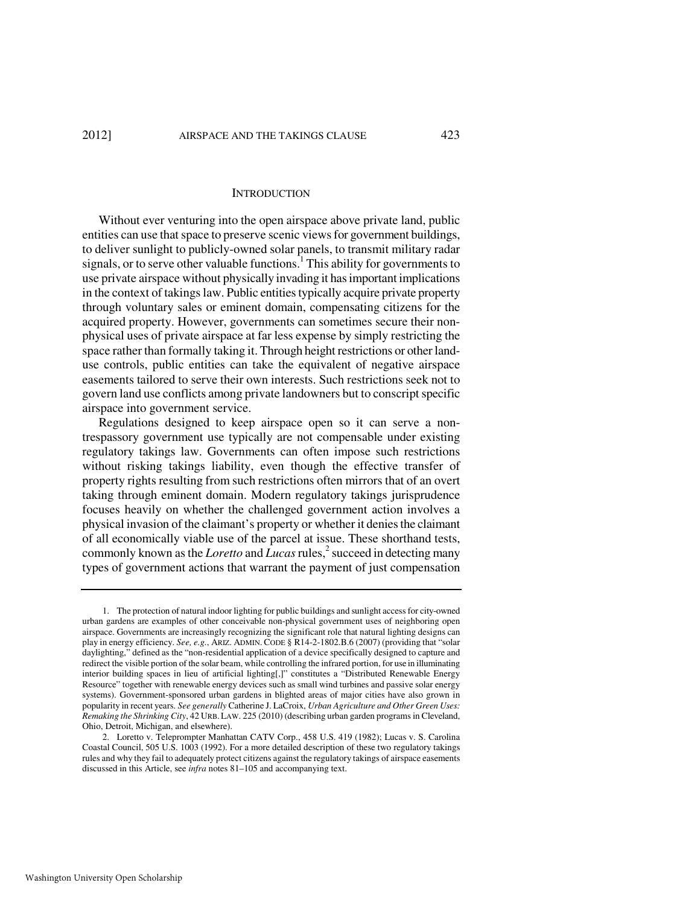#### **INTRODUCTION**

Without ever venturing into the open airspace above private land, public entities can use that space to preserve scenic views for government buildings, to deliver sunlight to publicly-owned solar panels, to transmit military radar signals, or to serve other valuable functions.<sup>1</sup> This ability for governments to use private airspace without physically invading it has important implications in the context of takings law. Public entities typically acquire private property through voluntary sales or eminent domain, compensating citizens for the acquired property. However, governments can sometimes secure their nonphysical uses of private airspace at far less expense by simply restricting the space rather than formally taking it. Through height restrictions or other landuse controls, public entities can take the equivalent of negative airspace easements tailored to serve their own interests. Such restrictions seek not to govern land use conflicts among private landowners but to conscript specific airspace into government service.

Regulations designed to keep airspace open so it can serve a nontrespassory government use typically are not compensable under existing regulatory takings law. Governments can often impose such restrictions without risking takings liability, even though the effective transfer of property rights resulting from such restrictions often mirrors that of an overt taking through eminent domain. Modern regulatory takings jurisprudence focuses heavily on whether the challenged government action involves a physical invasion of the claimant's property or whether it denies the claimant of all economically viable use of the parcel at issue. These shorthand tests, commonly known as the *Loretto* and *Lucas* rules,<sup>2</sup> succeed in detecting many types of government actions that warrant the payment of just compensation

 <sup>1.</sup> The protection of natural indoor lighting for public buildings and sunlight access for city-owned urban gardens are examples of other conceivable non-physical government uses of neighboring open airspace. Governments are increasingly recognizing the significant role that natural lighting designs can play in energy efficiency. *See, e.g.*, ARIZ. ADMIN. CODE § R14-2-1802.B.6 (2007) (providing that "solar daylighting," defined as the "non-residential application of a device specifically designed to capture and redirect the visible portion of the solar beam, while controlling the infrared portion, for use in illuminating interior building spaces in lieu of artificial lighting[,]" constitutes a "Distributed Renewable Energy Resource" together with renewable energy devices such as small wind turbines and passive solar energy systems). Government-sponsored urban gardens in blighted areas of major cities have also grown in popularity in recent years. *See generally* Catherine J. LaCroix, *Urban Agriculture and Other Green Uses: Remaking the Shrinking City*, 42 URB.LAW. 225 (2010) (describing urban garden programs in Cleveland, Ohio, Detroit, Michigan, and elsewhere).

 <sup>2.</sup> Loretto v. Teleprompter Manhattan CATV Corp., 458 U.S. 419 (1982); Lucas v. S. Carolina Coastal Council, 505 U.S. 1003 (1992). For a more detailed description of these two regulatory takings rules and why they fail to adequately protect citizens against the regulatory takings of airspace easements discussed in this Article, see *infra* notes 81–105 and accompanying text.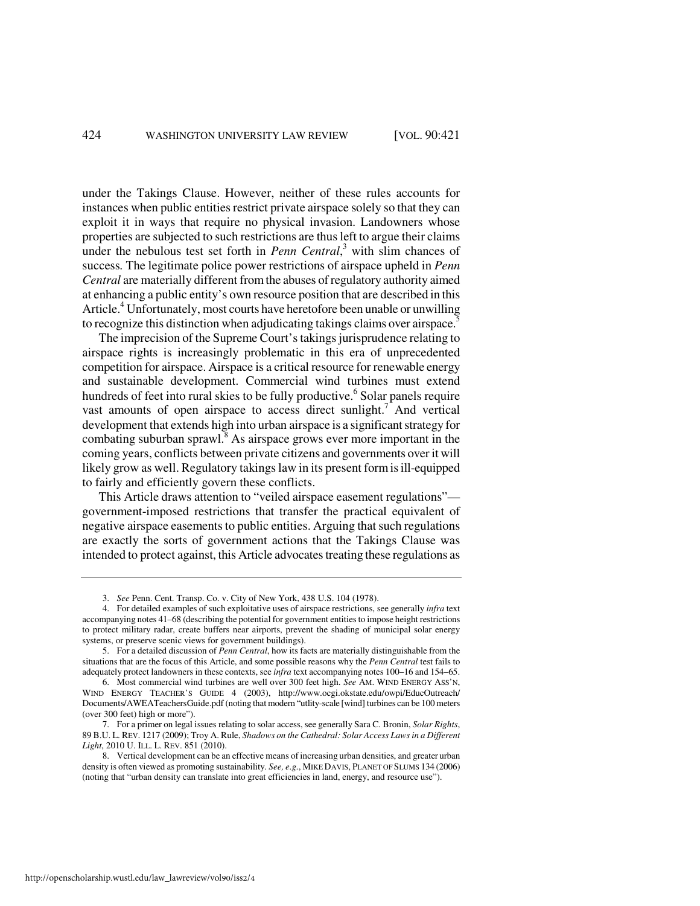under the Takings Clause. However, neither of these rules accounts for instances when public entities restrict private airspace solely so that they can exploit it in ways that require no physical invasion. Landowners whose properties are subjected to such restrictions are thus left to argue their claims under the nebulous test set forth in *Penn Central*,<sup>3</sup> with slim chances of success*.* The legitimate police power restrictions of airspace upheld in *Penn Central* are materially different from the abuses of regulatory authority aimed at enhancing a public entity's own resource position that are described in this Article.<sup>4</sup> Unfortunately, most courts have heretofore been unable or unwilling to recognize this distinction when adjudicating takings claims over airspace.<sup>5</sup>

The imprecision of the Supreme Court's takings jurisprudence relating to airspace rights is increasingly problematic in this era of unprecedented competition for airspace. Airspace is a critical resource for renewable energy and sustainable development. Commercial wind turbines must extend hundreds of feet into rural skies to be fully productive.<sup>6</sup> Solar panels require vast amounts of open airspace to access direct sunlight.<sup>7</sup> And vertical development that extends high into urban airspace is a significant strategy for combating suburban sprawl. $\overline{8}$  As airspace grows ever more important in the coming years, conflicts between private citizens and governments over it will likely grow as well. Regulatory takings law in its present form is ill-equipped to fairly and efficiently govern these conflicts.

This Article draws attention to "veiled airspace easement regulations" government-imposed restrictions that transfer the practical equivalent of negative airspace easements to public entities. Arguing that such regulations are exactly the sorts of government actions that the Takings Clause was intended to protect against, this Article advocates treating these regulations as

 <sup>3.</sup> *See* Penn. Cent. Transp. Co. v. City of New York, 438 U.S. 104 (1978).

 <sup>4.</sup> For detailed examples of such exploitative uses of airspace restrictions, see generally *infra* text accompanying notes 41–68 (describing the potential for government entities to impose height restrictions to protect military radar, create buffers near airports, prevent the shading of municipal solar energy systems, or preserve scenic views for government buildings).

 <sup>5.</sup> For a detailed discussion of *Penn Central*, how its facts are materially distinguishable from the situations that are the focus of this Article, and some possible reasons why the *Penn Central* test fails to adequately protect landowners in these contexts, see *infra* text accompanying notes 100–16 and 154–65.

 <sup>6.</sup> Most commercial wind turbines are well over 300 feet high. *See* AM. WIND ENERGY ASS'N, WIND ENERGY TEACHER'S GUIDE 4 (2003), http://www.ocgi.okstate.edu/owpi/EducOutreach/ Documents/AWEATeachersGuide.pdf (noting that modern "utlity-scale [wind] turbines can be 100 meters (over 300 feet) high or more").

 <sup>7.</sup> For a primer on legal issues relating to solar access, see generally Sara C. Bronin, *Solar Rights*, 89 B.U. L. REV. 1217 (2009); Troy A. Rule, *Shadows on the Cathedral: Solar Access Laws in a Different Light*, 2010 U. ILL. L. REV. 851 (2010).

 <sup>8.</sup> Vertical development can be an effective means of increasing urban densities, and greater urban density is often viewed as promoting sustainability*. See, e.g.*, MIKE DAVIS, PLANET OF SLUMS 134 (2006) (noting that "urban density can translate into great efficiencies in land, energy, and resource use").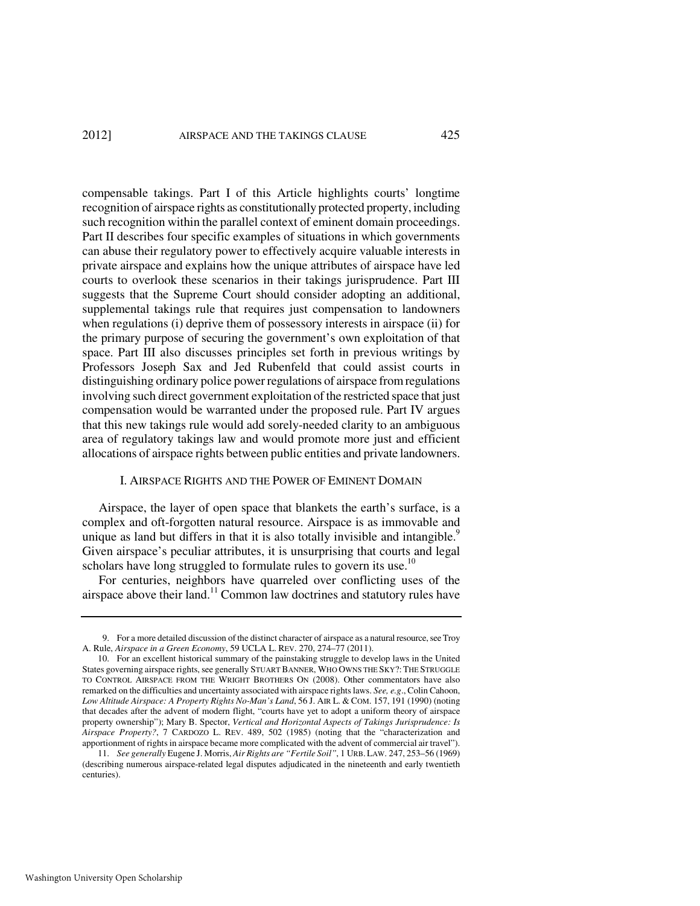#### 2012] AIRSPACE AND THE TAKINGS CLAUSE 425

compensable takings. Part I of this Article highlights courts' longtime recognition of airspace rights as constitutionally protected property, including such recognition within the parallel context of eminent domain proceedings. Part II describes four specific examples of situations in which governments can abuse their regulatory power to effectively acquire valuable interests in private airspace and explains how the unique attributes of airspace have led courts to overlook these scenarios in their takings jurisprudence. Part III suggests that the Supreme Court should consider adopting an additional, supplemental takings rule that requires just compensation to landowners when regulations (i) deprive them of possessory interests in airspace (ii) for the primary purpose of securing the government's own exploitation of that space. Part III also discusses principles set forth in previous writings by Professors Joseph Sax and Jed Rubenfeld that could assist courts in distinguishing ordinary police power regulations of airspace from regulations involving such direct government exploitation of the restricted space that just compensation would be warranted under the proposed rule. Part IV argues that this new takings rule would add sorely-needed clarity to an ambiguous area of regulatory takings law and would promote more just and efficient allocations of airspace rights between public entities and private landowners.

#### I. AIRSPACE RIGHTS AND THE POWER OF EMINENT DOMAIN

Airspace, the layer of open space that blankets the earth's surface, is a complex and oft-forgotten natural resource. Airspace is as immovable and unique as land but differs in that it is also totally invisible and intangible. $9$ Given airspace's peculiar attributes, it is unsurprising that courts and legal scholars have long struggled to formulate rules to govern its use.<sup>10</sup>

For centuries, neighbors have quarreled over conflicting uses of the airspace above their land.<sup>11</sup> Common law doctrines and statutory rules have

 <sup>9.</sup> For a more detailed discussion of the distinct character of airspace as a natural resource, see Troy A. Rule, *Airspace in a Green Economy*, 59 UCLA L. REV. 270, 274–77 (2011).

 <sup>10.</sup> For an excellent historical summary of the painstaking struggle to develop laws in the United States governing airspace rights, see generally STUART BANNER, WHO OWNS THE SKY?: THE STRUGGLE TO CONTROL AIRSPACE FROM THE WRIGHT BROTHERS ON (2008). Other commentators have also remarked on the difficulties and uncertainty associated with airspace rights laws. *See, e.g*., Colin Cahoon, *Low Altitude Airspace: A Property Rights No-Man's Land*, 56 J. AIR L. & COM. 157, 191 (1990) (noting that decades after the advent of modern flight, "courts have yet to adopt a uniform theory of airspace property ownership"); Mary B. Spector, *Vertical and Horizontal Aspects of Takings Jurisprudence: Is Airspace Property?*, 7 CARDOZO L. REV. 489, 502 (1985) (noting that the "characterization and apportionment of rights in airspace became more complicated with the advent of commercial air travel").

 <sup>11.</sup> *See generally* Eugene J. Morris, *Air Rights are "Fertile Soil"*, 1 URB. LAW. 247, 253–56 (1969) (describing numerous airspace-related legal disputes adjudicated in the nineteenth and early twentieth centuries).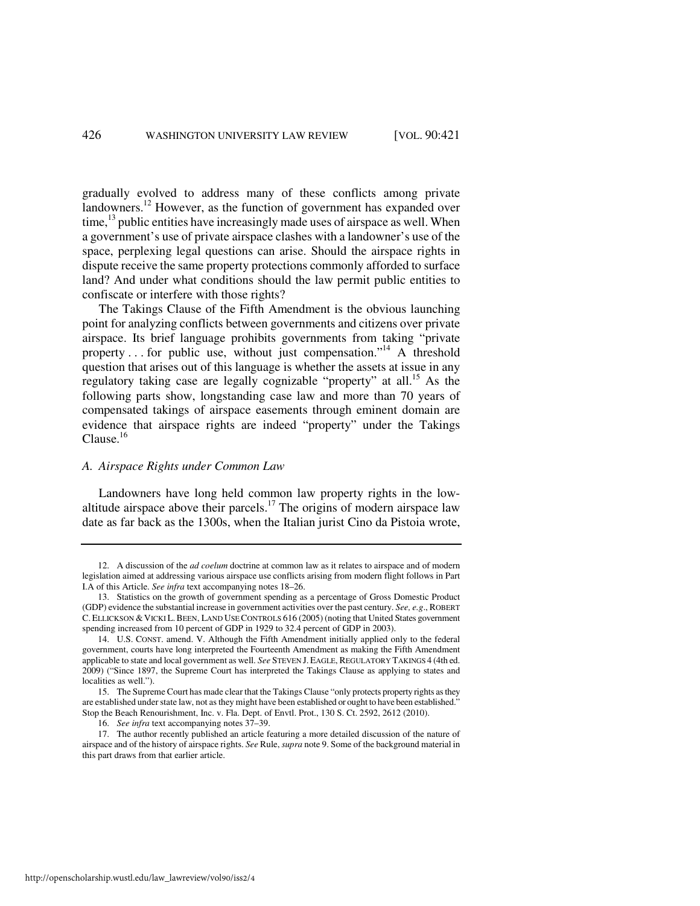gradually evolved to address many of these conflicts among private landowners.<sup>12</sup> However, as the function of government has expanded over time,  $^{13}$  public entities have increasingly made uses of airspace as well. When a government's use of private airspace clashes with a landowner's use of the space, perplexing legal questions can arise. Should the airspace rights in dispute receive the same property protections commonly afforded to surface land? And under what conditions should the law permit public entities to confiscate or interfere with those rights?

The Takings Clause of the Fifth Amendment is the obvious launching point for analyzing conflicts between governments and citizens over private airspace. Its brief language prohibits governments from taking "private property  $\dots$  for public use, without just compensation."<sup>14</sup> A threshold question that arises out of this language is whether the assets at issue in any regulatory taking case are legally cognizable "property" at all.<sup>15</sup> As the following parts show, longstanding case law and more than 70 years of compensated takings of airspace easements through eminent domain are evidence that airspace rights are indeed "property" under the Takings Clause. $^{16}$ 

#### *A. Airspace Rights under Common Law*

Landowners have long held common law property rights in the lowaltitude airspace above their parcels.<sup>17</sup> The origins of modern airspace law date as far back as the 1300s, when the Italian jurist Cino da Pistoia wrote,

 <sup>12.</sup> A discussion of the *ad coelum* doctrine at common law as it relates to airspace and of modern legislation aimed at addressing various airspace use conflicts arising from modern flight follows in Part I.A of this Article. *See infra* text accompanying notes 18–26.

 <sup>13.</sup> Statistics on the growth of government spending as a percentage of Gross Domestic Product (GDP) evidence the substantial increase in government activities over the past century. *See, e.g*., ROBERT C. ELLICKSON & VICKI L. BEEN, LAND USE CONTROLS 616 (2005) (noting that United States government spending increased from 10 percent of GDP in 1929 to 32.4 percent of GDP in 2003).

 <sup>14.</sup> U.S. CONST. amend. V. Although the Fifth Amendment initially applied only to the federal government, courts have long interpreted the Fourteenth Amendment as making the Fifth Amendment applicable to state and local government as well. *See* STEVEN J. EAGLE, REGULATORY TAKINGS 4 (4th ed. 2009) ("Since 1897, the Supreme Court has interpreted the Takings Clause as applying to states and localities as well.").

 <sup>15.</sup> The Supreme Court has made clear that the Takings Clause "only protects property rights as they are established under state law, not as they might have been established or ought to have been established." Stop the Beach Renourishment, Inc. v. Fla. Dept. of Envtl. Prot., 130 S. Ct. 2592, 2612 (2010).

 <sup>16.</sup> *See infra* text accompanying notes 37–39.

 <sup>17.</sup> The author recently published an article featuring a more detailed discussion of the nature of airspace and of the history of airspace rights. *See* Rule, *supra* note 9. Some of the background material in this part draws from that earlier article.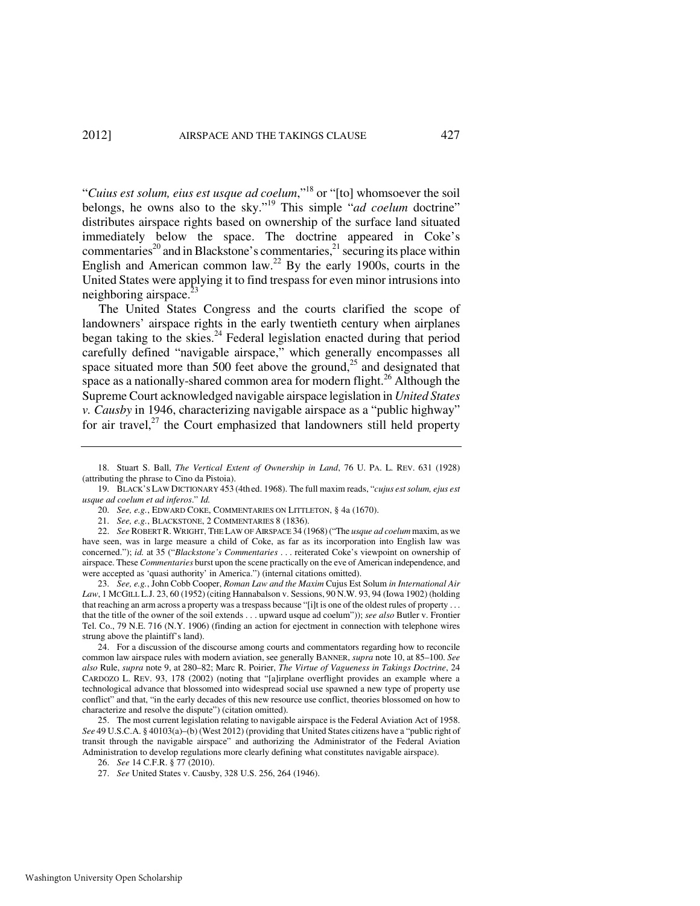"*Cuius est solum, eius est usque ad coelum*,"<sup>18</sup> or "[to] whomsoever the soil belongs, he owns also to the sky."<sup>19</sup> This simple "*ad coelum* doctrine" distributes airspace rights based on ownership of the surface land situated immediately below the space. The doctrine appeared in Coke's commentaries<sup>20</sup> and in Blackstone's commentaries,<sup>21</sup> securing its place within English and American common law.<sup>22</sup> By the early 1900s, courts in the United States were applying it to find trespass for even minor intrusions into neighboring airspace.

The United States Congress and the courts clarified the scope of landowners' airspace rights in the early twentieth century when airplanes began taking to the skies.<sup>24</sup> Federal legislation enacted during that period carefully defined "navigable airspace," which generally encompasses all space situated more than 500 feet above the ground,<sup>25</sup> and designated that space as a nationally-shared common area for modern flight.<sup>26</sup> Although the Supreme Court acknowledged navigable airspace legislation in *United States v. Causby* in 1946, characterizing navigable airspace as a "public highway" for air travel, $^{27}$  the Court emphasized that landowners still held property

 23. *See, e.g.*, John Cobb Cooper, *Roman Law and the Maxim* Cujus Est Solum *in International Air*  Law, 1 MCGILL L.J. 23, 60 (1952) (citing Hannabalson v. Sessions, 90 N.W. 93, 94 (Iowa 1902) (holding that reaching an arm across a property was a trespass because "[i]t is one of the oldest rules of property ... that the title of the owner of the soil extends . . . upward usque ad coelum")); *see also* Butler v. Frontier Tel. Co., 79 N.E. 716 (N.Y. 1906) (finding an action for ejectment in connection with telephone wires strung above the plaintiff's land).

 24. For a discussion of the discourse among courts and commentators regarding how to reconcile common law airspace rules with modern aviation, see generally BANNER, *supra* note 10, at 85–100. *See also* Rule, *supra* note 9, at 280–82; Marc R. Poirier, *The Virtue of Vagueness in Takings Doctrine*, 24 CARDOZO L. REV. 93, 178 (2002) (noting that "[a]irplane overflight provides an example where a technological advance that blossomed into widespread social use spawned a new type of property use conflict" and that, "in the early decades of this new resource use conflict, theories blossomed on how to characterize and resolve the dispute") (citation omitted).

 25. The most current legislation relating to navigable airspace is the Federal Aviation Act of 1958. *See* 49 U.S.C.A. § 40103(a)–(b) (West 2012) (providing that United States citizens have a "public right of transit through the navigable airspace" and authorizing the Administrator of the Federal Aviation Administration to develop regulations more clearly defining what constitutes navigable airspace).

 <sup>18.</sup> Stuart S. Ball, *The Vertical Extent of Ownership in Land*, 76 U. PA. L. REV. 631 (1928) (attributing the phrase to Cino da Pistoia).

 <sup>19.</sup> BLACK'S LAW DICTIONARY 453 (4th ed. 1968). The full maxim reads, "*cujus est solum, ejus est usque ad coelum et ad inferos*." *Id.*

 <sup>20.</sup> *See, e.g.*, EDWARD COKE, COMMENTARIES ON LITTLETON, § 4a (1670).

 <sup>21.</sup> *See, e.g.*, BLACKSTONE, 2 COMMENTARIES 8 (1836).

 <sup>22.</sup> *See* ROBERT R.WRIGHT, THE LAW OF AIRSPACE 34 (1968) ("The *usque ad coelum* maxim, as we have seen, was in large measure a child of Coke, as far as its incorporation into English law was concerned."); *id.* at 35 ("*Blackstone's Commentaries* . . . reiterated Coke's viewpoint on ownership of airspace. These *Commentaries* burst upon the scene practically on the eve of American independence, and were accepted as 'quasi authority' in America.") (internal citations omitted).

 <sup>26.</sup> *See* 14 C.F.R. § 77 (2010).

 <sup>27.</sup> *See* United States v. Causby, 328 U.S. 256, 264 (1946).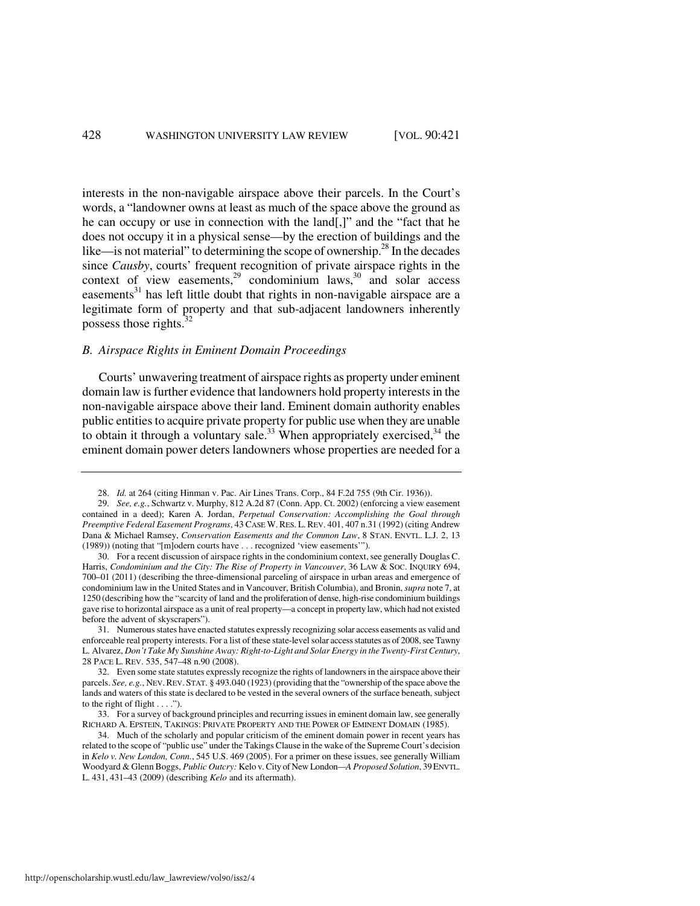interests in the non-navigable airspace above their parcels. In the Court's words, a "landowner owns at least as much of the space above the ground as he can occupy or use in connection with the land[,]" and the "fact that he does not occupy it in a physical sense—by the erection of buildings and the like—is not material" to determining the scope of ownership. $^{28}$  In the decades since *Causby*, courts' frequent recognition of private airspace rights in the context of view easements, $29$  condominium laws, $30$  and solar access easements $31$  has left little doubt that rights in non-navigable airspace are a legitimate form of property and that sub-adjacent landowners inherently possess those rights. $32$ 

#### *B. Airspace Rights in Eminent Domain Proceedings*

Courts' unwavering treatment of airspace rights as property under eminent domain law is further evidence that landowners hold property interests in the non-navigable airspace above their land. Eminent domain authority enables public entities to acquire private property for public use when they are unable to obtain it through a voluntary sale.<sup>33</sup> When appropriately exercised,<sup>34</sup> the eminent domain power deters landowners whose properties are needed for a

 <sup>28.</sup> *Id.* at 264 (citing Hinman v. Pac. Air Lines Trans. Corp., 84 F.2d 755 (9th Cir. 1936)).

 <sup>29.</sup> *See, e.g.*, Schwartz v. Murphy, 812 A.2d 87 (Conn. App. Ct. 2002) (enforcing a view easement contained in a deed); Karen A. Jordan, *Perpetual Conservation: Accomplishing the Goal through Preemptive Federal Easement Programs*, 43 CASE W. RES. L. REV. 401, 407 n.31 (1992) (citing Andrew Dana & Michael Ramsey, *Conservation Easements and the Common Law*, 8 STAN. ENVTL. L.J. 2, 13 (1989)) (noting that "[m]odern courts have . . . recognized 'view easements'").

 <sup>30.</sup> For a recent discussion of airspace rights in the condominium context, see generally Douglas C. Harris, *Condominium and the City: The Rise of Property in Vancouver*, 36 LAW & SOC. INQUIRY 694, 700–01 (2011) (describing the three-dimensional parceling of airspace in urban areas and emergence of condominium law in the United States and in Vancouver, British Columbia), and Bronin, *supra* note 7, at 1250 (describing how the "scarcity of land and the proliferation of dense, high-rise condominium buildings gave rise to horizontal airspace as a unit of real property—a concept in property law, which had not existed before the advent of skyscrapers").

 <sup>31.</sup> Numerous states have enacted statutes expressly recognizing solar access easements as valid and enforceable real property interests. For a list of these state-level solar access statutes as of 2008, see Tawny L. Alvarez, *Don't Take My Sunshine Away: Right-to-Light and Solar Energy in the Twenty-First Century*, 28 PACE L. REV. 535, 547–48 n.90 (2008).

 <sup>32.</sup> Even some state statutes expressly recognize the rights of landowners in the airspace above their parcels. *See, e.g.*, NEV. REV. STAT. § 493.040 (1923) (providing that the "ownership of the space above the lands and waters of this state is declared to be vested in the several owners of the surface beneath, subject to the right of flight  $\dots$ .").

 <sup>33.</sup> For a survey of background principles and recurring issues in eminent domain law, see generally RICHARD A. EPSTEIN, TAKINGS: PRIVATE PROPERTY AND THE POWER OF EMINENT DOMAIN (1985).

 <sup>34.</sup> Much of the scholarly and popular criticism of the eminent domain power in recent years has related to the scope of "public use" under the Takings Clause in the wake of the Supreme Court's decision in *Kelo v. New London, Conn.*, 545 U.S. 469 (2005). For a primer on these issues, see generally William Woodyard & Glenn Boggs, *Public Outcry:* Kelo v. City of New London*—A Proposed Solution*, 39ENVTL. L. 431, 431–43 (2009) (describing *Kelo* and its aftermath).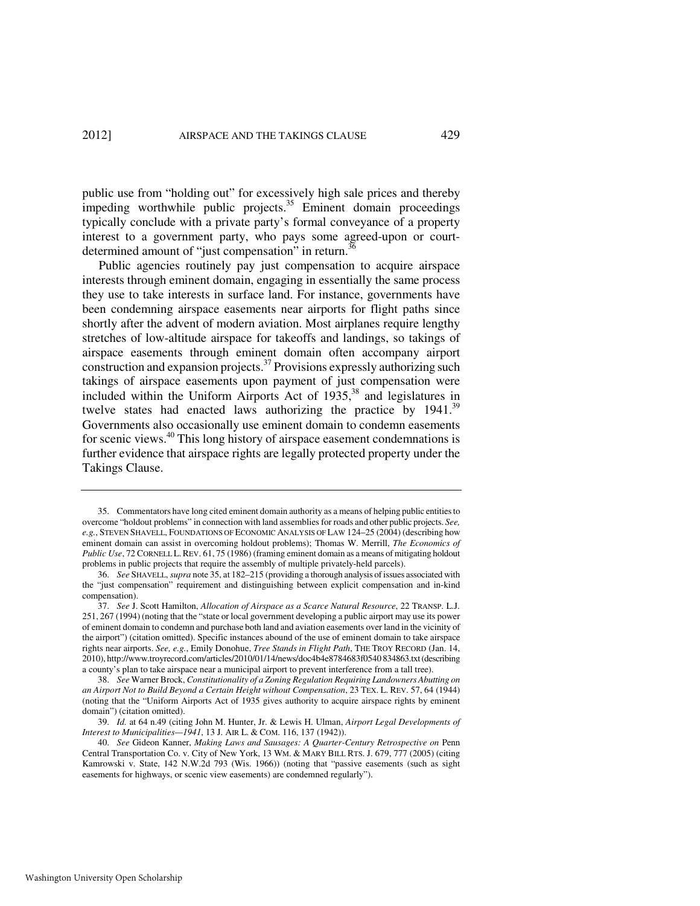public use from "holding out" for excessively high sale prices and thereby impeding worthwhile public projects.<sup>35</sup> Eminent domain proceedings typically conclude with a private party's formal conveyance of a property interest to a government party, who pays some agreed-upon or courtdetermined amount of "just compensation" in return.<sup>36</sup>

Public agencies routinely pay just compensation to acquire airspace interests through eminent domain, engaging in essentially the same process they use to take interests in surface land. For instance, governments have been condemning airspace easements near airports for flight paths since shortly after the advent of modern aviation. Most airplanes require lengthy stretches of low-altitude airspace for takeoffs and landings, so takings of airspace easements through eminent domain often accompany airport construction and expansion projects. $37$  Provisions expressly authorizing such takings of airspace easements upon payment of just compensation were included within the Uniform Airports Act of  $1935$ ,<sup>38</sup> and legislatures in twelve states had enacted laws authorizing the practice by  $1941$ .<sup>39</sup> Governments also occasionally use eminent domain to condemn easements for scenic views.<sup>40</sup> This long history of airspace easement condemnations is further evidence that airspace rights are legally protected property under the Takings Clause.

 <sup>35.</sup> Commentators have long cited eminent domain authority as a means of helping public entities to overcome "holdout problems" in connection with land assemblies for roads and other public projects. *See, e.g.*, STEVEN SHAVELL, FOUNDATIONS OF ECONOMIC ANALYSIS OF LAW 124–25 (2004) (describing how eminent domain can assist in overcoming holdout problems); Thomas W. Merrill, *The Economics of Public Use*, 72 CORNELL L.REV. 61, 75 (1986) (framing eminent domain as a means of mitigating holdout problems in public projects that require the assembly of multiple privately-held parcels).

 <sup>36.</sup> *See* SHAVELL, *supra* note 35, at 182–215 (providing a thorough analysis of issues associated with the "just compensation" requirement and distinguishing between explicit compensation and in-kind compensation).

 <sup>37.</sup> *See* J. Scott Hamilton, *Allocation of Airspace as a Scarce Natural Resource*, 22 TRANSP. L.J. 251, 267 (1994) (noting that the "state or local government developing a public airport may use its power of eminent domain to condemn and purchase both land and aviation easements over land in the vicinity of the airport") (citation omitted). Specific instances abound of the use of eminent domain to take airspace rights near airports. *See, e.g.*, Emily Donohue, *Tree Stands in Flight Path*, THE TROY RECORD (Jan. 14, 2010), http://www.troyrecord.com/articles/2010/01/14/news/doc4b4e8784683f0540 834863.txt (describing a county's plan to take airspace near a municipal airport to prevent interference from a tall tree).

 <sup>38.</sup> *See* Warner Brock, *Constitutionality of a Zoning Regulation Requiring Landowners Abutting on an Airport Not to Build Beyond a Certain Height without Compensation*, 23 TEX. L. REV. 57, 64 (1944) (noting that the "Uniform Airports Act of 1935 gives authority to acquire airspace rights by eminent domain") (citation omitted).

 <sup>39.</sup> *Id.* at 64 n.49 (citing John M. Hunter, Jr. & Lewis H. Ulman, *Airport Legal Developments of Interest to Municipalities—1941*, 13 J. AIR L. & COM. 116, 137 (1942)).

 <sup>40.</sup> *See* Gideon Kanner, *Making Laws and Sausages: A Quarter-Century Retrospective on* Penn Central Transportation Co. v. City of New York, 13 WM. & MARY BILL RTS. J. 679, 777 (2005) (citing Kamrowski v. State, 142 N.W.2d 793 (Wis. 1966)) (noting that "passive easements (such as sight easements for highways, or scenic view easements) are condemned regularly").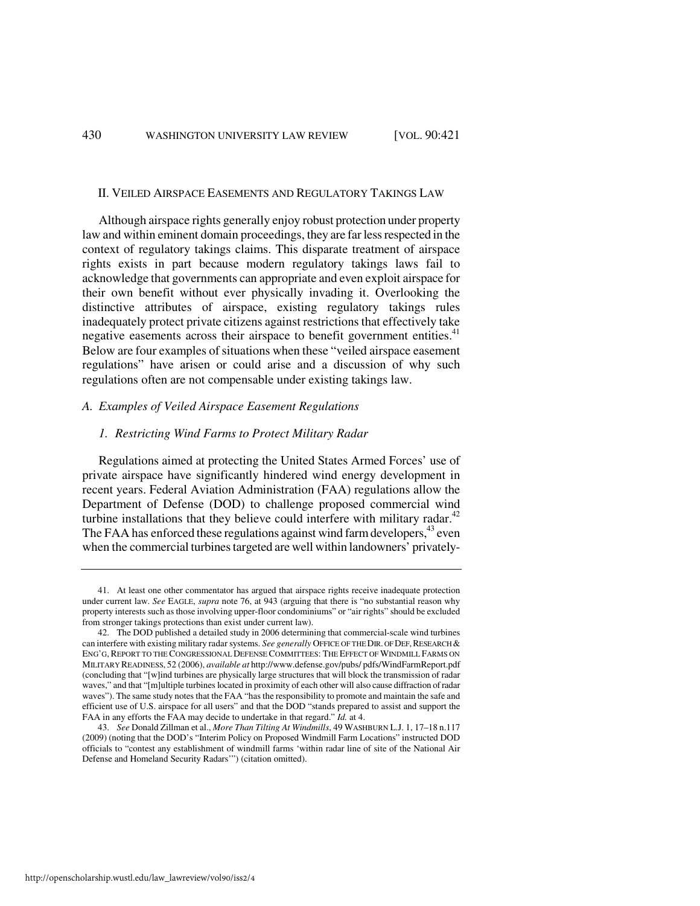#### II. VEILED AIRSPACE EASEMENTS AND REGULATORY TAKINGS LAW

Although airspace rights generally enjoy robust protection under property law and within eminent domain proceedings, they are far less respected in the context of regulatory takings claims. This disparate treatment of airspace rights exists in part because modern regulatory takings laws fail to acknowledge that governments can appropriate and even exploit airspace for their own benefit without ever physically invading it. Overlooking the distinctive attributes of airspace, existing regulatory takings rules inadequately protect private citizens against restrictions that effectively take negative easements across their airspace to benefit government entities.<sup>41</sup> Below are four examples of situations when these "veiled airspace easement regulations" have arisen or could arise and a discussion of why such regulations often are not compensable under existing takings law.

# *A. Examples of Veiled Airspace Easement Regulations*

# *1. Restricting Wind Farms to Protect Military Radar*

Regulations aimed at protecting the United States Armed Forces' use of private airspace have significantly hindered wind energy development in recent years. Federal Aviation Administration (FAA) regulations allow the Department of Defense (DOD) to challenge proposed commercial wind turbine installations that they believe could interfere with military radar. $42$ The FAA has enforced these regulations against wind farm developers,<sup>43</sup> even when the commercial turbines targeted are well within landowners' privately-

 <sup>41.</sup> At least one other commentator has argued that airspace rights receive inadequate protection under current law. *See* EAGLE, *supra* note 76, at 943 (arguing that there is "no substantial reason why property interests such as those involving upper-floor condominiums" or "air rights" should be excluded from stronger takings protections than exist under current law).

 <sup>42.</sup> The DOD published a detailed study in 2006 determining that commercial-scale wind turbines can interfere with existing military radar systems. See generally OFFICE OF THE DIR. OF DEF, RESEARCH & ENG'G, REPORT TO THE CONGRESSIONAL DEFENSE COMMITTEES: THE EFFECT OF WINDMILL FARMS ON MILITARY READINESS, 52 (2006), *available at* http://www.defense.gov/pubs/ pdfs/WindFarmReport.pdf (concluding that "[w]ind turbines are physically large structures that will block the transmission of radar waves," and that "[m]ultiple turbines located in proximity of each other will also cause diffraction of radar waves"). The same study notes that the FAA "has the responsibility to promote and maintain the safe and efficient use of U.S. airspace for all users" and that the DOD "stands prepared to assist and support the FAA in any efforts the FAA may decide to undertake in that regard." *Id.* at 4.

 <sup>43.</sup> *See* Donald Zillman et al., *More Than Tilting At Windmills*, 49 WASHBURN L.J. 1, 17–18 n.117 (2009) (noting that the DOD's "Interim Policy on Proposed Windmill Farm Locations" instructed DOD officials to "contest any establishment of windmill farms 'within radar line of site of the National Air Defense and Homeland Security Radars'") (citation omitted).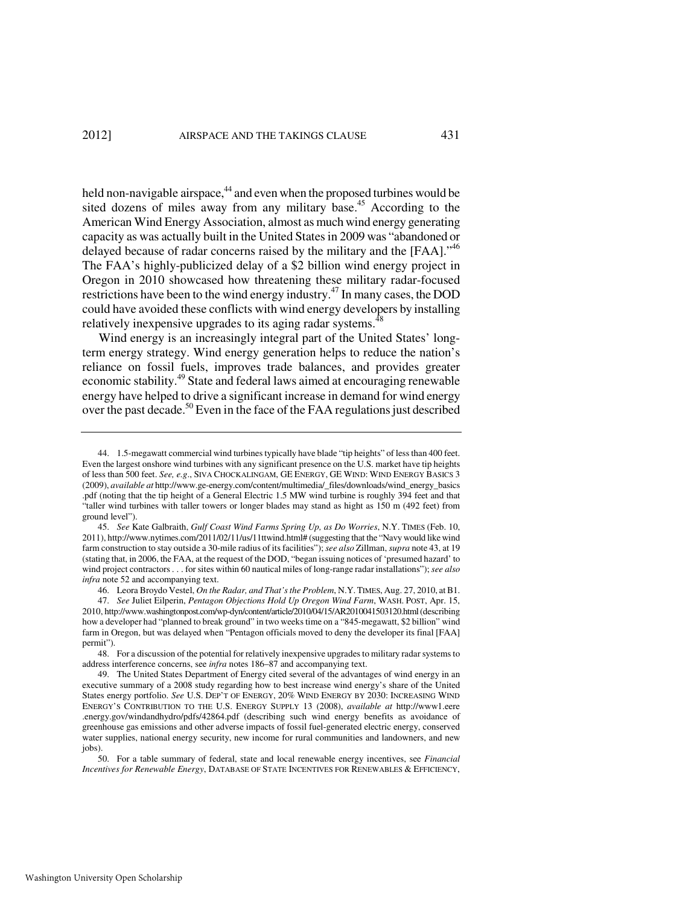held non-navigable airspace,<sup>44</sup> and even when the proposed turbines would be sited dozens of miles away from any military base.<sup>45</sup> According to the American Wind Energy Association, almost as much wind energy generating capacity as was actually built in the United States in 2009 was "abandoned or delayed because of radar concerns raised by the military and the [FAA]."<sup>46</sup> The FAA's highly-publicized delay of a \$2 billion wind energy project in Oregon in 2010 showcased how threatening these military radar-focused restrictions have been to the wind energy industry.<sup>47</sup> In many cases, the DOD could have avoided these conflicts with wind energy developers by installing relatively inexpensive upgrades to its aging radar systems.<sup>4</sup>

Wind energy is an increasingly integral part of the United States' longterm energy strategy. Wind energy generation helps to reduce the nation's reliance on fossil fuels, improves trade balances, and provides greater economic stability.<sup>49</sup> State and federal laws aimed at encouraging renewable energy have helped to drive a significant increase in demand for wind energy over the past decade.<sup>50</sup> Even in the face of the FAA regulations just described

46. Leora Broydo Vestel, *On the Radar, and That's the Problem*, N.Y. TIMES, Aug. 27, 2010, at B1.

 <sup>44. 1.5-</sup>megawatt commercial wind turbines typically have blade "tip heights" of less than 400 feet. Even the largest onshore wind turbines with any significant presence on the U.S. market have tip heights of less than 500 feet. *See, e.g*., SIVA CHOCKALINGAM, GE ENERGY, GE WIND: WIND ENERGY BASICS 3 (2009), *available at* http://www.ge-energy.com/content/multimedia/\_files/downloads/wind\_energy\_basics .pdf (noting that the tip height of a General Electric 1.5 MW wind turbine is roughly 394 feet and that "taller wind turbines with taller towers or longer blades may stand as hight as 150 m (492 feet) from ground level").

 <sup>45.</sup> *See* Kate Galbraith, *Gulf Coast Wind Farms Spring Up, as Do Worries*, N.Y. TIMES (Feb. 10, 2011), http://www.nytimes.com/2011/02/11/us/11ttwind.html# (suggesting that the "Navy would like wind farm construction to stay outside a 30-mile radius of its facilities"); *see also* Zillman, *supra* note 43, at 19 (stating that, in 2006, the FAA, at the request of the DOD, "began issuing notices of 'presumed hazard' to wind project contractors . . . for sites within 60 nautical miles of long-range radar installations"); *see also infra* note 52 and accompanying text.

 <sup>47.</sup> *See* Juliet Eilperin, *Pentagon Objections Hold Up Oregon Wind Farm*, WASH. POST, Apr. 15, 2010, http://www.washingtonpost.com/wp-dyn/content/article/2010/04/15/AR2010041503120.html (describing how a developer had "planned to break ground" in two weeks time on a "845-megawatt, \$2 billion" wind farm in Oregon, but was delayed when "Pentagon officials moved to deny the developer its final [FAA] permit").

 <sup>48.</sup> For a discussion of the potential for relatively inexpensive upgrades to military radar systems to address interference concerns, see *infra* notes 186–87 and accompanying text.

 <sup>49.</sup> The United States Department of Energy cited several of the advantages of wind energy in an executive summary of a 2008 study regarding how to best increase wind energy's share of the United States energy portfolio. *See* U.S. DEP'T OF ENERGY, 20% WIND ENERGY BY 2030: INCREASING WIND ENERGY'S CONTRIBUTION TO THE U.S. ENERGY SUPPLY 13 (2008), *available at* http://www1.eere .energy.gov/windandhydro/pdfs/42864.pdf (describing such wind energy benefits as avoidance of greenhouse gas emissions and other adverse impacts of fossil fuel-generated electric energy, conserved water supplies, national energy security, new income for rural communities and landowners, and new jobs).

 <sup>50.</sup> For a table summary of federal, state and local renewable energy incentives, see *Financial Incentives for Renewable Energy*, DATABASE OF STATE INCENTIVES FOR RENEWABLES & EFFICIENCY,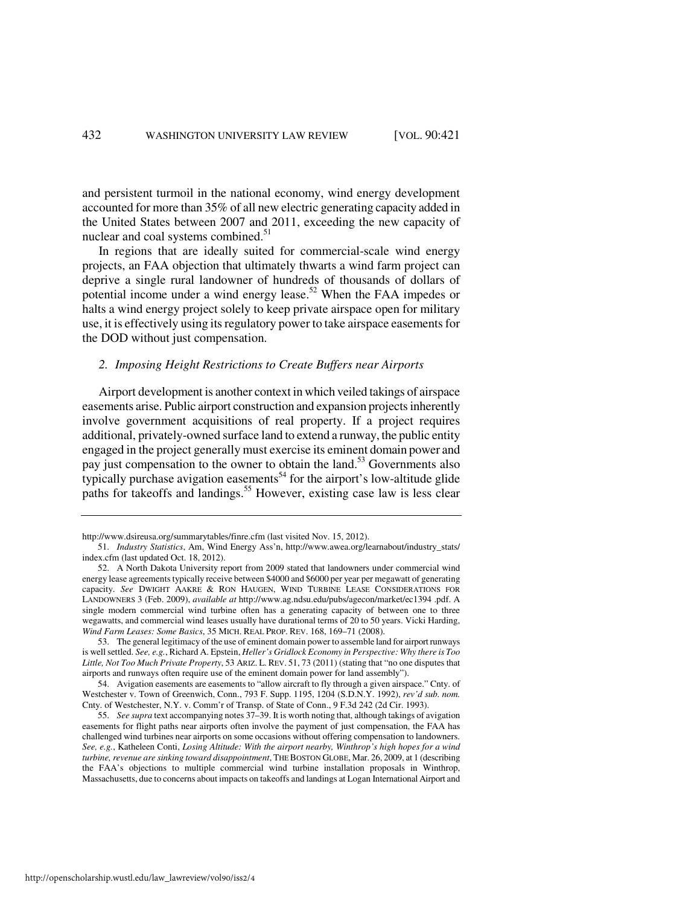and persistent turmoil in the national economy, wind energy development accounted for more than 35% of all new electric generating capacity added in the United States between 2007 and 2011, exceeding the new capacity of nuclear and coal systems combined.<sup>51</sup>

In regions that are ideally suited for commercial-scale wind energy projects, an FAA objection that ultimately thwarts a wind farm project can deprive a single rural landowner of hundreds of thousands of dollars of potential income under a wind energy lease.<sup>52</sup> When the FAA impedes or halts a wind energy project solely to keep private airspace open for military use, it is effectively using its regulatory power to take airspace easements for the DOD without just compensation.

#### *2. Imposing Height Restrictions to Create Buffers near Airports*

Airport development is another context in which veiled takings of airspace easements arise. Public airport construction and expansion projects inherently involve government acquisitions of real property. If a project requires additional, privately-owned surface land to extend a runway, the public entity engaged in the project generally must exercise its eminent domain power and pay just compensation to the owner to obtain the land.<sup>53</sup> Governments also typically purchase avigation easements<sup>54</sup> for the airport's low-altitude glide paths for takeoffs and landings.<sup>55</sup> However, existing case law is less clear

http://www.dsireusa.org/summarytables/finre.cfm (last visited Nov. 15, 2012).

 <sup>51.</sup> *Industry Statistics*, Am, Wind Energy Ass'n, http://www.awea.org/learnabout/industry\_stats/ index.cfm (last updated Oct. 18, 2012).

 <sup>52.</sup> A North Dakota University report from 2009 stated that landowners under commercial wind energy lease agreements typically receive between \$4000 and \$6000 per year per megawatt of generating capacity. *See* DWIGHT AAKRE & RON HAUGEN, WIND TURBINE LEASE CONSIDERATIONS FOR LANDOWNERS 3 (Feb. 2009), *available at* http://www.ag.ndsu.edu/pubs/agecon/market/ec1394 .pdf. A single modern commercial wind turbine often has a generating capacity of between one to three wegawatts, and commercial wind leases usually have durational terms of 20 to 50 years. Vicki Harding, *Wind Farm Leases: Some Basics*, 35 MICH. REAL PROP. REV. 168, 169–71 (2008).

 <sup>53.</sup> The general legitimacy of the use of eminent domain power to assemble land for airport runways is well settled. *See, e.g.*, Richard A. Epstein, *Heller's Gridlock Economy in Perspective: Why there is Too Little, Not Too Much Private Property*, 53 ARIZ. L. REV. 51, 73 (2011) (stating that "no one disputes that airports and runways often require use of the eminent domain power for land assembly").

 <sup>54.</sup> Avigation easements are easements to "allow aircraft to fly through a given airspace." Cnty. of Westchester v. Town of Greenwich, Conn., 793 F. Supp. 1195, 1204 (S.D.N.Y. 1992), *rev'd sub. nom.*  Cnty. of Westchester, N.Y. v. Comm'r of Transp. of State of Conn., 9 F.3d 242 (2d Cir. 1993).

 <sup>55.</sup> *See supra* text accompanying notes 37–39. It is worth noting that, although takings of avigation easements for flight paths near airports often involve the payment of just compensation, the FAA has challenged wind turbines near airports on some occasions without offering compensation to landowners. *See, e.g.*, Katheleen Conti, *Losing Altitude: With the airport nearby, Winthrop's high hopes for a wind turbine, revenue are sinking toward disappointment*, THE BOSTON GLOBE, Mar. 26, 2009, at 1 (describing the FAA's objections to multiple commercial wind turbine installation proposals in Winthrop, Massachusetts, due to concerns about impacts on takeoffs and landings at Logan International Airport and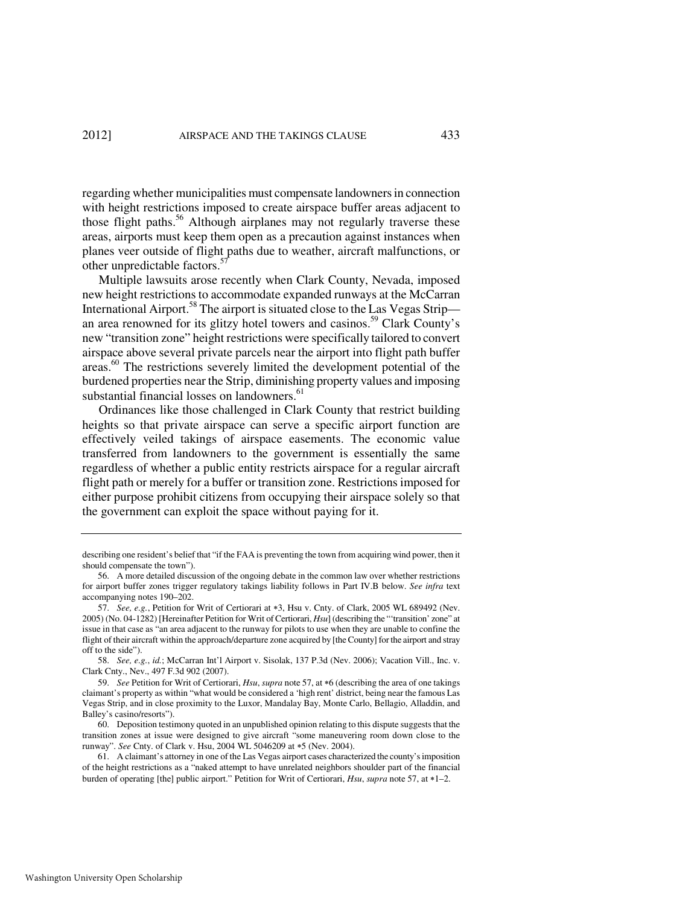regarding whether municipalities must compensate landowners in connection with height restrictions imposed to create airspace buffer areas adjacent to those flight paths.<sup>56</sup> Although airplanes may not regularly traverse these areas, airports must keep them open as a precaution against instances when planes veer outside of flight paths due to weather, aircraft malfunctions, or other unpredictable factors. $57$ 

Multiple lawsuits arose recently when Clark County, Nevada, imposed new height restrictions to accommodate expanded runways at the McCarran International Airport.<sup>58</sup> The airport is situated close to the Las Vegas Strip an area renowned for its glitzy hotel towers and casinos.<sup>59</sup> Clark County's new "transition zone" height restrictions were specifically tailored to convert airspace above several private parcels near the airport into flight path buffer areas.<sup>60</sup> The restrictions severely limited the development potential of the burdened properties near the Strip, diminishing property values and imposing substantial financial losses on landowners.<sup>61</sup>

Ordinances like those challenged in Clark County that restrict building heights so that private airspace can serve a specific airport function are effectively veiled takings of airspace easements. The economic value transferred from landowners to the government is essentially the same regardless of whether a public entity restricts airspace for a regular aircraft flight path or merely for a buffer or transition zone. Restrictions imposed for either purpose prohibit citizens from occupying their airspace solely so that the government can exploit the space without paying for it.

describing one resident's belief that "if the FAA is preventing the town from acquiring wind power, then it should compensate the town").

 <sup>56.</sup> A more detailed discussion of the ongoing debate in the common law over whether restrictions for airport buffer zones trigger regulatory takings liability follows in Part IV.B below. *See infra* text accompanying notes 190–202.

 <sup>57.</sup> *See, e.g.*, Petition for Writ of Certiorari at ∗3, Hsu v. Cnty. of Clark, 2005 WL 689492 (Nev. 2005) (No. 04-1282) [Hereinafter Petition for Writ of Certiorari, *Hsu*] (describing the "'transition' zone" at issue in that case as "an area adjacent to the runway for pilots to use when they are unable to confine the flight of their aircraft within the approach/departure zone acquired by [the County] for the airport and stray off to the side").

 <sup>58.</sup> *See, e.g.*, *id.*; McCarran Int'l Airport v. Sisolak, 137 P.3d (Nev. 2006); Vacation Vill., Inc. v. Clark Cnty., Nev., 497 F.3d 902 (2007).

 <sup>59.</sup> *See* Petition for Writ of Certiorari, *Hsu*, *supra* note 57, at ∗6 (describing the area of one takings claimant's property as within "what would be considered a 'high rent' district, being near the famous Las Vegas Strip, and in close proximity to the Luxor, Mandalay Bay, Monte Carlo, Bellagio, Alladdin, and Balley's casino/resorts").

 <sup>60.</sup> Deposition testimony quoted in an unpublished opinion relating to this dispute suggests that the transition zones at issue were designed to give aircraft "some maneuvering room down close to the runway". *See* Cnty. of Clark v. Hsu, 2004 WL 5046209 at ∗5 (Nev. 2004).

 <sup>61.</sup> A claimant's attorney in one of the Las Vegas airport cases characterized the county's imposition of the height restrictions as a "naked attempt to have unrelated neighbors shoulder part of the financial burden of operating [the] public airport." Petition for Writ of Certiorari, *Hsu*, *supra* note 57, at ∗1–2.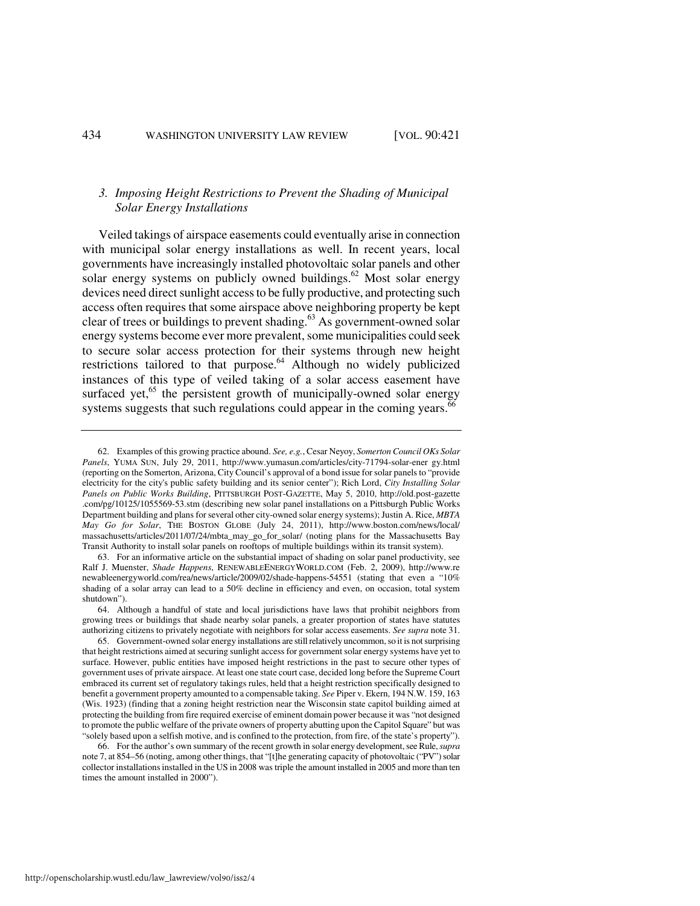# *3. Imposing Height Restrictions to Prevent the Shading of Municipal Solar Energy Installations*

Veiled takings of airspace easements could eventually arise in connection with municipal solar energy installations as well. In recent years, local governments have increasingly installed photovoltaic solar panels and other solar energy systems on publicly owned buildings.<sup>62</sup> Most solar energy devices need direct sunlight access to be fully productive, and protecting such access often requires that some airspace above neighboring property be kept clear of trees or buildings to prevent shading.<sup>63</sup> As government-owned solar energy systems become ever more prevalent, some municipalities could seek to secure solar access protection for their systems through new height restrictions tailored to that purpose.<sup>64</sup> Although no widely publicized instances of this type of veiled taking of a solar access easement have surfaced yet, $65$  the persistent growth of municipally-owned solar energy systems suggests that such regulations could appear in the coming years.<sup>66</sup>

 63. For an informative article on the substantial impact of shading on solar panel productivity, see Ralf J. Muenster, *Shade Happens*, RENEWABLEENERGYWORLD.COM (Feb. 2, 2009), http://www.re newableenergyworld.com/rea/news/article/2009/02/shade-happens-54551 (stating that even a "10% shading of a solar array can lead to a 50% decline in efficiency and even, on occasion, total system shutdown").

 <sup>62.</sup> Examples of this growing practice abound. *See, e.g.*, Cesar Neyoy, *Somerton Council OKs Solar Panels*, YUMA SUN, July 29, 2011, http://www.yumasun.com/articles/city-71794-solar-ener gy.html (reporting on the Somerton, Arizona, City Council's approval of a bond issue for solar panels to "provide electricity for the city's public safety building and its senior center"); Rich Lord, *City Installing Solar Panels on Public Works Building*, PITTSBURGH POST-GAZETTE, May 5, 2010, http://old.post-gazette .com/pg/10125/1055569-53.stm (describing new solar panel installations on a Pittsburgh Public Works Department building and plans for several other city-owned solar energy systems); Justin A. Rice, *MBTA May Go for Solar*, THE BOSTON GLOBE (July 24, 2011), http://www.boston.com/news/local/ massachusetts/articles/2011/07/24/mbta\_may\_go\_for\_solar/ (noting plans for the Massachusetts Bay Transit Authority to install solar panels on rooftops of multiple buildings within its transit system).

 <sup>64.</sup> Although a handful of state and local jurisdictions have laws that prohibit neighbors from growing trees or buildings that shade nearby solar panels, a greater proportion of states have statutes authorizing citizens to privately negotiate with neighbors for solar access easements. *See supra* note 31.

 <sup>65.</sup> Government-owned solar energy installations are still relatively uncommon, so it is not surprising that height restrictions aimed at securing sunlight access for government solar energy systems have yet to surface. However, public entities have imposed height restrictions in the past to secure other types of government uses of private airspace. At least one state court case, decided long before the Supreme Court embraced its current set of regulatory takings rules, held that a height restriction specifically designed to benefit a government property amounted to a compensable taking. *See* Piper v. Ekern, 194 N.W. 159, 163 (Wis. 1923) (finding that a zoning height restriction near the Wisconsin state capitol building aimed at protecting the building from fire required exercise of eminent domain power because it was "not designed to promote the public welfare of the private owners of property abutting upon the Capitol Square" but was "solely based upon a selfish motive, and is confined to the protection, from fire, of the state's property").

 <sup>66.</sup> For the author's own summary of the recent growth in solar energy development, see Rule, *supra*  note 7, at 854–56 (noting, among other things, that "[t]he generating capacity of photovoltaic ("PV") solar collector installations installed in the US in 2008 was triple the amount installed in 2005 and more than ten times the amount installed in 2000").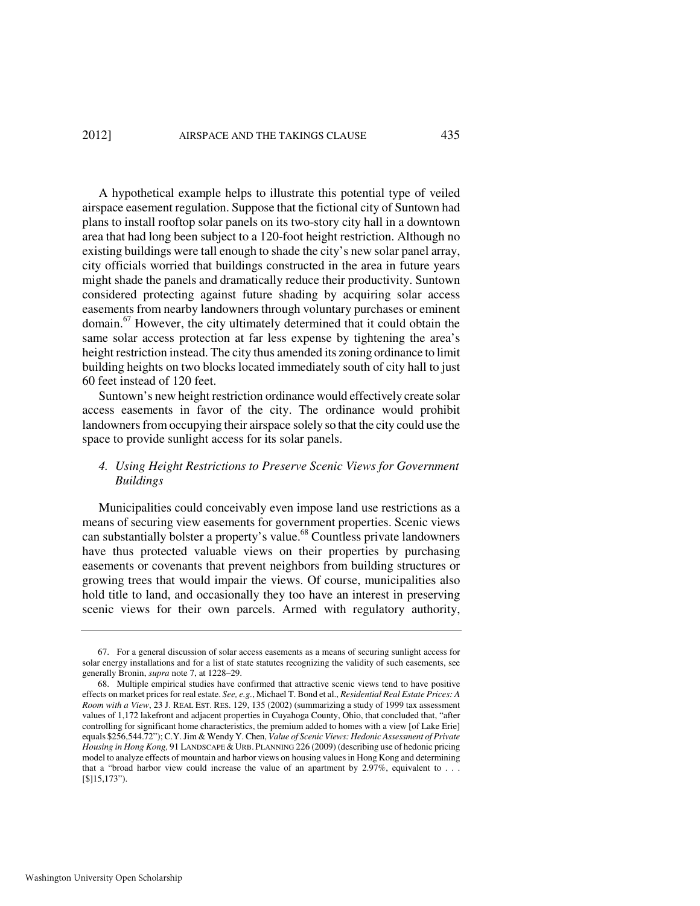A hypothetical example helps to illustrate this potential type of veiled airspace easement regulation. Suppose that the fictional city of Suntown had plans to install rooftop solar panels on its two-story city hall in a downtown area that had long been subject to a 120-foot height restriction. Although no existing buildings were tall enough to shade the city's new solar panel array, city officials worried that buildings constructed in the area in future years might shade the panels and dramatically reduce their productivity. Suntown considered protecting against future shading by acquiring solar access easements from nearby landowners through voluntary purchases or eminent  $domain<sup>67</sup>$  However, the city ultimately determined that it could obtain the same solar access protection at far less expense by tightening the area's height restriction instead. The city thus amended its zoning ordinance to limit building heights on two blocks located immediately south of city hall to just 60 feet instead of 120 feet.

Suntown's new height restriction ordinance would effectively create solar access easements in favor of the city. The ordinance would prohibit landowners from occupying their airspace solely so that the city could use the space to provide sunlight access for its solar panels.

# *4. Using Height Restrictions to Preserve Scenic Views for Government Buildings*

Municipalities could conceivably even impose land use restrictions as a means of securing view easements for government properties. Scenic views can substantially bolster a property's value.<sup>68</sup> Countless private landowners have thus protected valuable views on their properties by purchasing easements or covenants that prevent neighbors from building structures or growing trees that would impair the views. Of course, municipalities also hold title to land, and occasionally they too have an interest in preserving scenic views for their own parcels. Armed with regulatory authority,

 <sup>67.</sup> For a general discussion of solar access easements as a means of securing sunlight access for solar energy installations and for a list of state statutes recognizing the validity of such easements, see generally Bronin, *supra* note 7, at 1228–29.

 <sup>68.</sup> Multiple empirical studies have confirmed that attractive scenic views tend to have positive effects on market prices for real estate. *See, e.g.*, Michael T. Bond et al., *Residential Real Estate Prices: A Room with a View*, 23 J. REAL EST. RES. 129, 135 (2002) (summarizing a study of 1999 tax assessment values of 1,172 lakefront and adjacent properties in Cuyahoga County, Ohio, that concluded that, "after controlling for significant home characteristics, the premium added to homes with a view [of Lake Erie] equals \$256,544.72"); C.Y. Jim & Wendy Y. Chen, *Value of Scenic Views: Hedonic Assessment of Private Housing in Hong Kong, 91 LANDSCAPE & URB. PLANNING 226 (2009)* (describing use of hedonic pricing model to analyze effects of mountain and harbor views on housing values in Hong Kong and determining that a "broad harbor view could increase the value of an apartment by 2.97%, equivalent to . . . [\$]15,173").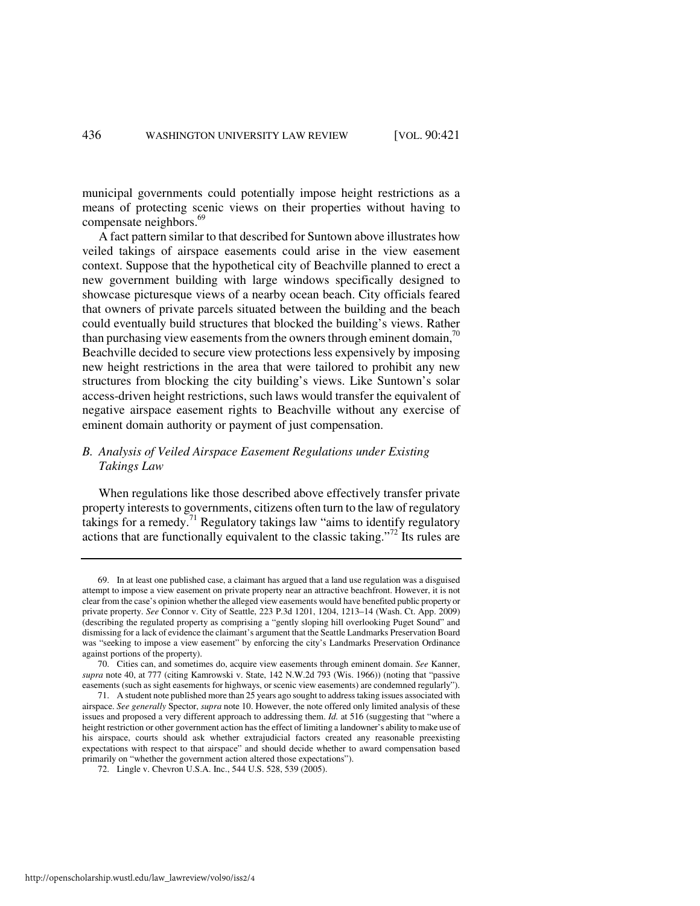municipal governments could potentially impose height restrictions as a means of protecting scenic views on their properties without having to compensate neighbors.<sup>69</sup>

A fact pattern similar to that described for Suntown above illustrates how veiled takings of airspace easements could arise in the view easement context. Suppose that the hypothetical city of Beachville planned to erect a new government building with large windows specifically designed to showcase picturesque views of a nearby ocean beach. City officials feared that owners of private parcels situated between the building and the beach could eventually build structures that blocked the building's views. Rather than purchasing view easements from the owners through eminent domain,  $\frac{70}{2}$ Beachville decided to secure view protections less expensively by imposing new height restrictions in the area that were tailored to prohibit any new structures from blocking the city building's views. Like Suntown's solar access-driven height restrictions, such laws would transfer the equivalent of negative airspace easement rights to Beachville without any exercise of eminent domain authority or payment of just compensation.

# *B. Analysis of Veiled Airspace Easement Regulations under Existing Takings Law*

When regulations like those described above effectively transfer private property interests to governments, citizens often turn to the law of regulatory takings for a remedy.<sup>71</sup> Regulatory takings law "aims to identify regulatory actions that are functionally equivalent to the classic taking."<sup>72</sup> Its rules are

 <sup>69.</sup> In at least one published case, a claimant has argued that a land use regulation was a disguised attempt to impose a view easement on private property near an attractive beachfront. However, it is not clear from the case's opinion whether the alleged view easements would have benefited public property or private property. *See* Connor v. City of Seattle, 223 P.3d 1201, 1204, 1213–14 (Wash. Ct. App. 2009) (describing the regulated property as comprising a "gently sloping hill overlooking Puget Sound" and dismissing for a lack of evidence the claimant's argument that the Seattle Landmarks Preservation Board was "seeking to impose a view easement" by enforcing the city's Landmarks Preservation Ordinance against portions of the property).

 <sup>70.</sup> Cities can, and sometimes do, acquire view easements through eminent domain. *See* Kanner, *supra* note 40, at 777 (citing Kamrowski v. State, 142 N.W.2d 793 (Wis. 1966)) (noting that "passive easements (such as sight easements for highways, or scenic view easements) are condemned regularly").

 <sup>71.</sup> A student note published more than 25 years ago sought to address taking issues associated with airspace. *See generally* Spector, *supra* note 10. However, the note offered only limited analysis of these issues and proposed a very different approach to addressing them. *Id.* at 516 (suggesting that "where a height restriction or other government action has the effect of limiting a landowner's ability to make use of his airspace, courts should ask whether extrajudicial factors created any reasonable preexisting expectations with respect to that airspace" and should decide whether to award compensation based primarily on "whether the government action altered those expectations").

 <sup>72.</sup> Lingle v. Chevron U.S.A. Inc., 544 U.S. 528, 539 (2005).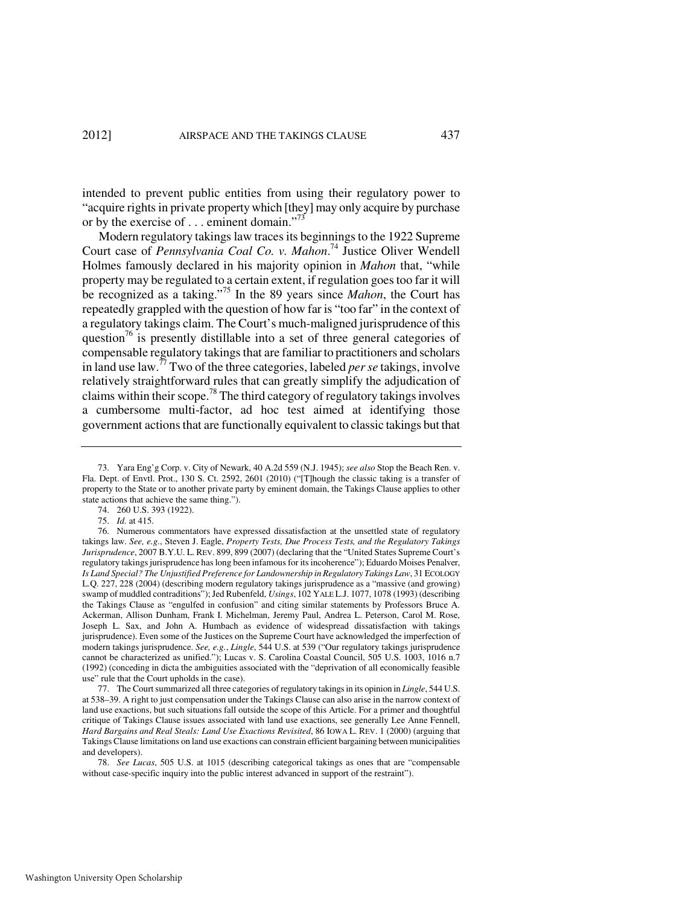intended to prevent public entities from using their regulatory power to "acquire rights in private property which [they] may only acquire by purchase or by the exercise of . . . eminent domain."<sup>73</sup>

Modern regulatory takings law traces its beginnings to the 1922 Supreme Court case of *Pennsylvania Coal Co. v. Mahon*. <sup>74</sup> Justice Oliver Wendell Holmes famously declared in his majority opinion in *Mahon* that, "while property may be regulated to a certain extent, if regulation goes too far it will be recognized as a taking."<sup>75</sup> In the 89 years since *Mahon*, the Court has repeatedly grappled with the question of how far is "too far" in the context of a regulatory takings claim. The Court's much-maligned jurisprudence of this question<sup>76</sup> is presently distillable into a set of three general categories of compensable regulatory takings that are familiar to practitioners and scholars in land use law.<sup>77</sup> Two of the three categories, labeled *per se* takings, involve relatively straightforward rules that can greatly simplify the adjudication of claims within their scope.<sup>78</sup> The third category of regulatory takings involves a cumbersome multi-factor, ad hoc test aimed at identifying those government actions that are functionally equivalent to classic takings but that

 <sup>73.</sup> Yara Eng'g Corp. v. City of Newark, 40 A.2d 559 (N.J. 1945); *see also* Stop the Beach Ren. v. Fla. Dept. of Envtl. Prot., 130 S. Ct. 2592, 2601 (2010) ("[T]hough the classic taking is a transfer of property to the State or to another private party by eminent domain, the Takings Clause applies to other state actions that achieve the same thing.").

 <sup>74. 260</sup> U.S. 393 (1922).

 <sup>75.</sup> *Id.* at 415.

 <sup>76.</sup> Numerous commentators have expressed dissatisfaction at the unsettled state of regulatory takings law. *See, e.g.*, Steven J. Eagle, *Property Tests, Due Process Tests, and the Regulatory Takings Jurisprudence*, 2007 B.Y.U. L. REV. 899, 899 (2007) (declaring that the "United States Supreme Court's regulatory takings jurisprudence has long been infamous for its incoherence"); Eduardo Moises Penalver, *Is Land Special? The Unjustified Preference for Landownership in Regulatory Takings Law*, 31 ECOLOGY L.Q. 227, 228 (2004) (describing modern regulatory takings jurisprudence as a "massive (and growing) swamp of muddled contraditions"); Jed Rubenfeld, *Usings*, 102 YALE L.J. 1077, 1078 (1993) (describing the Takings Clause as "engulfed in confusion" and citing similar statements by Professors Bruce A. Ackerman, Allison Dunham, Frank I. Michelman, Jeremy Paul, Andrea L. Peterson, Carol M. Rose, Joseph L. Sax, and John A. Humbach as evidence of widespread dissatisfaction with takings jurisprudence). Even some of the Justices on the Supreme Court have acknowledged the imperfection of modern takings jurisprudence. *See, e.g.*, *Lingle*, 544 U.S. at 539 ("Our regulatory takings jurisprudence cannot be characterized as unified."); Lucas v. S. Carolina Coastal Council, 505 U.S. 1003, 1016 n.7 (1992) (conceding in dicta the ambiguities associated with the "deprivation of all economically feasible use" rule that the Court upholds in the case).

 <sup>77.</sup> The Court summarized all three categories of regulatory takings in its opinion in *Lingle*, 544 U.S. at 538–39. A right to just compensation under the Takings Clause can also arise in the narrow context of land use exactions, but such situations fall outside the scope of this Article. For a primer and thoughtful critique of Takings Clause issues associated with land use exactions, see generally Lee Anne Fennell, *Hard Bargains and Real Steals: Land Use Exactions Revisited*, 86 IOWA L. REV. 1 (2000) (arguing that Takings Clause limitations on land use exactions can constrain efficient bargaining between municipalities and developers).

 <sup>78.</sup> *See Lucas*, 505 U.S. at 1015 (describing categorical takings as ones that are "compensable without case-specific inquiry into the public interest advanced in support of the restraint").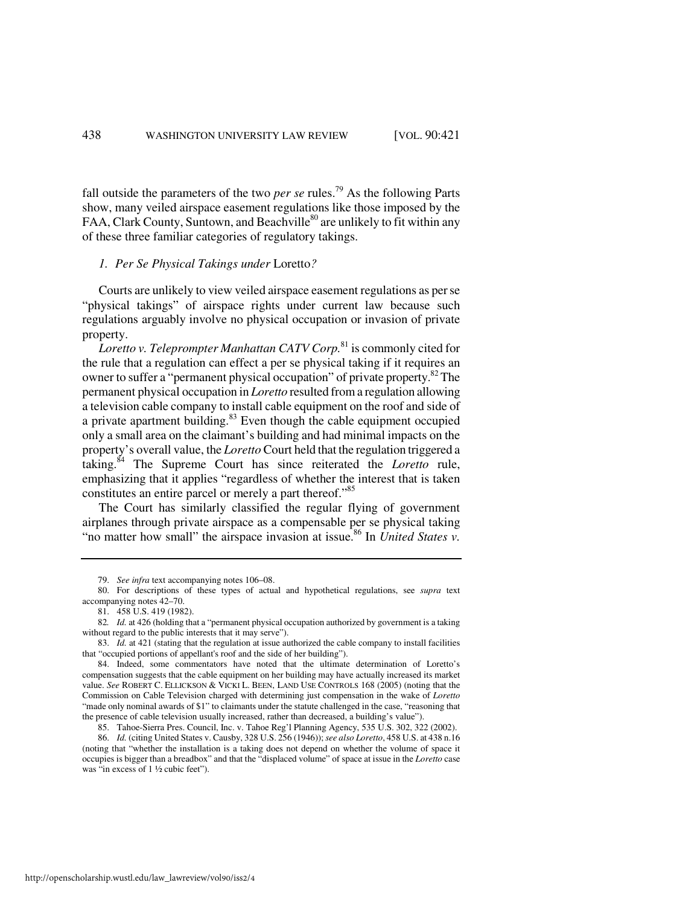fall outside the parameters of the two *per se* rules.<sup>79</sup> As the following Parts show, many veiled airspace easement regulations like those imposed by the FAA, Clark County, Suntown, and Beachville<sup>80</sup> are unlikely to fit within any of these three familiar categories of regulatory takings.

# *1. Per Se Physical Takings under* Loretto*?*

Courts are unlikely to view veiled airspace easement regulations as per se "physical takings" of airspace rights under current law because such regulations arguably involve no physical occupation or invasion of private property.

*Loretto v. Teleprompter Manhattan CATV Corp.*<sup>81</sup> is commonly cited for the rule that a regulation can effect a per se physical taking if it requires an owner to suffer a "permanent physical occupation" of private property.<sup>82</sup> The permanent physical occupation in *Loretto* resulted from a regulation allowing a television cable company to install cable equipment on the roof and side of a private apartment building. $83$  Even though the cable equipment occupied only a small area on the claimant's building and had minimal impacts on the property's overall value, the *Loretto* Court held that the regulation triggered a taking.<sup>84</sup> The Supreme Court has since reiterated the *Loretto* rule, emphasizing that it applies "regardless of whether the interest that is taken constitutes an entire parcel or merely a part thereof."<sup>85</sup>

The Court has similarly classified the regular flying of government airplanes through private airspace as a compensable per se physical taking "no matter how small" the airspace invasion at issue.<sup>86</sup> In *United States v*.

 <sup>79.</sup> *See infra* text accompanying notes 106–08.

 <sup>80.</sup> For descriptions of these types of actual and hypothetical regulations, see *supra* text accompanying notes 42–70.

 <sup>81. 458</sup> U.S. 419 (1982).

<sup>82</sup>*. Id.* at 426 (holding that a "permanent physical occupation authorized by government is a taking without regard to the public interests that it may serve").

<sup>83.</sup> *Id.* at 421 (stating that the regulation at issue authorized the cable company to install facilities that "occupied portions of appellant's roof and the side of her building").

 <sup>84.</sup> Indeed, some commentators have noted that the ultimate determination of Loretto's compensation suggests that the cable equipment on her building may have actually increased its market value. *See* ROBERT C. ELLICKSON & VICKI L. BEEN, LAND USE CONTROLS 168 (2005) (noting that the Commission on Cable Television charged with determining just compensation in the wake of *Loretto* "made only nominal awards of \$1" to claimants under the statute challenged in the case, "reasoning that the presence of cable television usually increased, rather than decreased, a building's value").

 <sup>85.</sup> Tahoe-Sierra Pres. Council, Inc. v. Tahoe Reg'l Planning Agency, 535 U.S. 302, 322 (2002).

 <sup>86.</sup> *Id.* (citing United States v. Causby, 328 U.S. 256 (1946)); *see also Loretto*, 458 U.S. at 438 n.16 (noting that "whether the installation is a taking does not depend on whether the volume of space it occupies is bigger than a breadbox" and that the "displaced volume" of space at issue in the *Loretto* case was "in excess of 1 ½ cubic feet").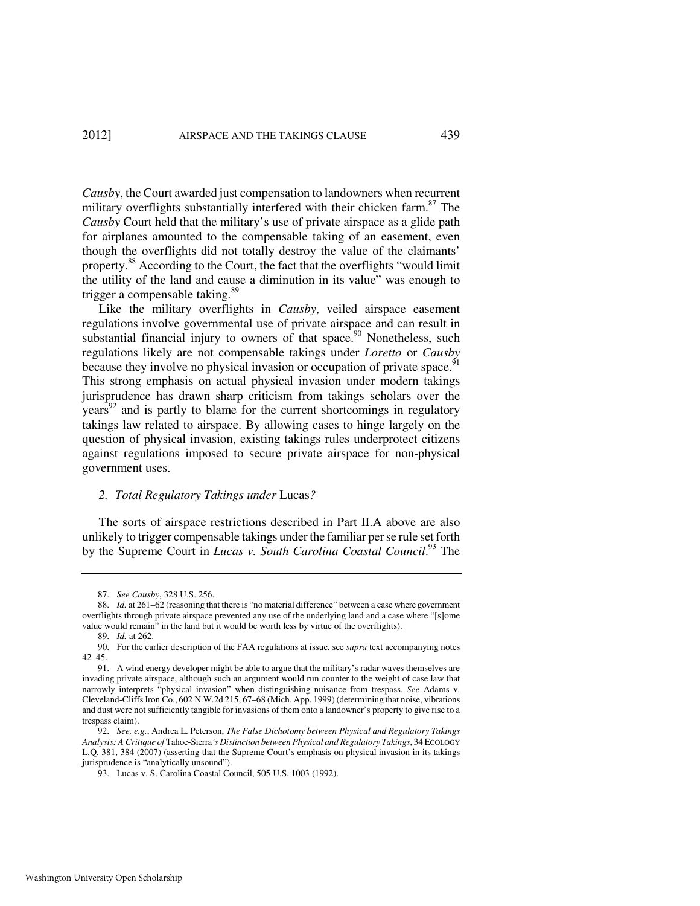*Causby*, the Court awarded just compensation to landowners when recurrent military overflights substantially interfered with their chicken farm.<sup>87</sup> The *Causby* Court held that the military's use of private airspace as a glide path for airplanes amounted to the compensable taking of an easement, even though the overflights did not totally destroy the value of the claimants' property.<sup>88</sup> According to the Court, the fact that the overflights "would limit the utility of the land and cause a diminution in its value" was enough to trigger a compensable taking.<sup>89</sup>

Like the military overflights in *Causby*, veiled airspace easement regulations involve governmental use of private airspace and can result in substantial financial injury to owners of that space.<sup>90</sup> Nonetheless, such regulations likely are not compensable takings under *Loretto* or *Causby* because they involve no physical invasion or occupation of private space.<sup>91</sup> This strong emphasis on actual physical invasion under modern takings jurisprudence has drawn sharp criticism from takings scholars over the  $\gamma$ ears<sup>92</sup> and is partly to blame for the current shortcomings in regulatory takings law related to airspace. By allowing cases to hinge largely on the question of physical invasion, existing takings rules underprotect citizens against regulations imposed to secure private airspace for non-physical government uses.

#### *2. Total Regulatory Takings under* Lucas*?*

The sorts of airspace restrictions described in Part II.A above are also unlikely to trigger compensable takings under the familiar per se rule set forth by the Supreme Court in *Lucas v. South Carolina Coastal Council*. <sup>93</sup> The

 <sup>87.</sup> *See Causby*, 328 U.S. 256.

<sup>88.</sup> *Id.* at 261–62 (reasoning that there is "no material difference" between a case where government overflights through private airspace prevented any use of the underlying land and a case where "[s]ome value would remain" in the land but it would be worth less by virtue of the overflights).

 <sup>89.</sup> *Id.* at 262.

 <sup>90.</sup> For the earlier description of the FAA regulations at issue, see *supra* text accompanying notes 42–45.

 <sup>91.</sup> A wind energy developer might be able to argue that the military's radar waves themselves are invading private airspace, although such an argument would run counter to the weight of case law that narrowly interprets "physical invasion" when distinguishing nuisance from trespass. *See* Adams v. Cleveland-Cliffs Iron Co., 602 N.W.2d 215, 67–68 (Mich. App. 1999) (determining that noise, vibrations and dust were not sufficiently tangible for invasions of them onto a landowner's property to give rise to a trespass claim).

 <sup>92.</sup> *See, e.g.*, Andrea L. Peterson, *The False Dichotomy between Physical and Regulatory Takings Analysis: A Critique of* Tahoe-Sierra*'s Distinction between Physical and Regulatory Takings*, 34 ECOLOGY L.Q. 381, 384 (2007) (asserting that the Supreme Court's emphasis on physical invasion in its takings jurisprudence is "analytically unsound").

 <sup>93.</sup> Lucas v. S. Carolina Coastal Council, 505 U.S. 1003 (1992).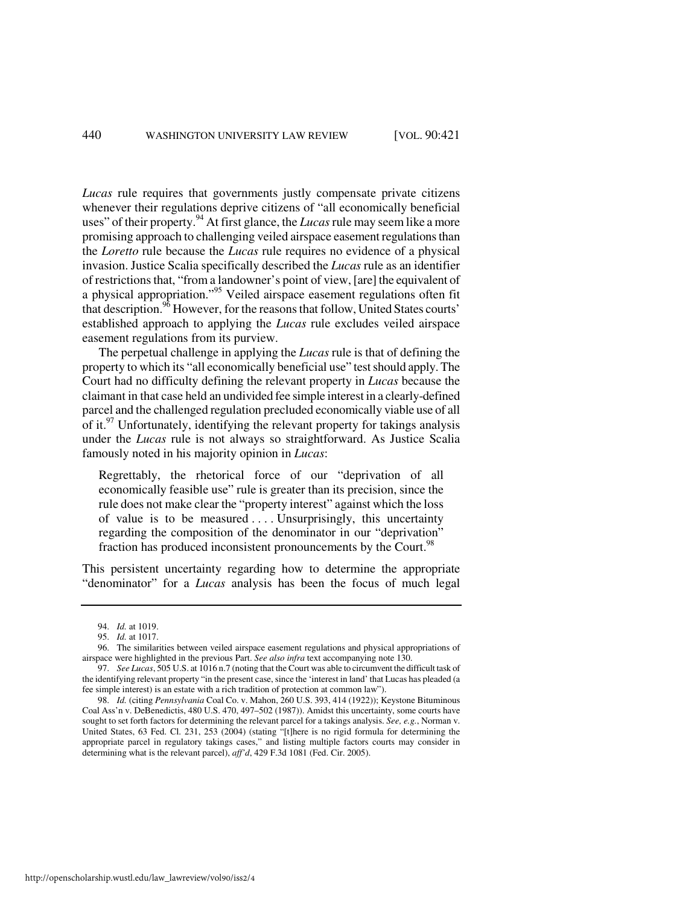*Lucas* rule requires that governments justly compensate private citizens whenever their regulations deprive citizens of "all economically beneficial uses" of their property.<sup>94</sup> At first glance, the *Lucas* rule may seem like a more promising approach to challenging veiled airspace easement regulations than the *Loretto* rule because the *Lucas* rule requires no evidence of a physical invasion. Justice Scalia specifically described the *Lucas* rule as an identifier of restrictions that, "from a landowner's point of view, [are] the equivalent of a physical appropriation."<sup>95</sup> Veiled airspace easement regulations often fit that description.<sup>96</sup> However, for the reasons that follow, United States courts' established approach to applying the *Lucas* rule excludes veiled airspace easement regulations from its purview.

The perpetual challenge in applying the *Lucas* rule is that of defining the property to which its "all economically beneficial use" test should apply. The Court had no difficulty defining the relevant property in *Lucas* because the claimant in that case held an undivided fee simple interest in a clearly-defined parcel and the challenged regulation precluded economically viable use of all of it.<sup>97</sup> Unfortunately, identifying the relevant property for takings analysis under the *Lucas* rule is not always so straightforward. As Justice Scalia famously noted in his majority opinion in *Lucas*:

Regrettably, the rhetorical force of our "deprivation of all economically feasible use" rule is greater than its precision, since the rule does not make clear the "property interest" against which the loss of value is to be measured  $\dots$ . Unsurprisingly, this uncertainty regarding the composition of the denominator in our "deprivation" fraction has produced inconsistent pronouncements by the Court.<sup>98</sup>

This persistent uncertainty regarding how to determine the appropriate "denominator" for a *Lucas* analysis has been the focus of much legal

 <sup>94.</sup> *Id.* at 1019.

 <sup>95.</sup> *Id.* at 1017.

 <sup>96.</sup> The similarities between veiled airspace easement regulations and physical appropriations of airspace were highlighted in the previous Part. *See also infra* text accompanying note 130.

 <sup>97.</sup> *See Lucas*, 505 U.S. at 1016 n.7 (noting that the Court was able to circumvent the difficult task of the identifying relevant property "in the present case, since the 'interest in land' that Lucas has pleaded (a fee simple interest) is an estate with a rich tradition of protection at common law").

 <sup>98.</sup> *Id.* (citing *Pennsylvania* Coal Co. v. Mahon, 260 U.S. 393, 414 (1922)); Keystone Bituminous Coal Ass'n v. DeBenedictis, 480 U.S. 470, 497–502 (1987)). Amidst this uncertainty, some courts have sought to set forth factors for determining the relevant parcel for a takings analysis. *See, e.g.*, Norman v. United States, 63 Fed. Cl. 231, 253 (2004) (stating "[t]here is no rigid formula for determining the appropriate parcel in regulatory takings cases," and listing multiple factors courts may consider in determining what is the relevant parcel), *aff'd*, 429 F.3d 1081 (Fed. Cir. 2005).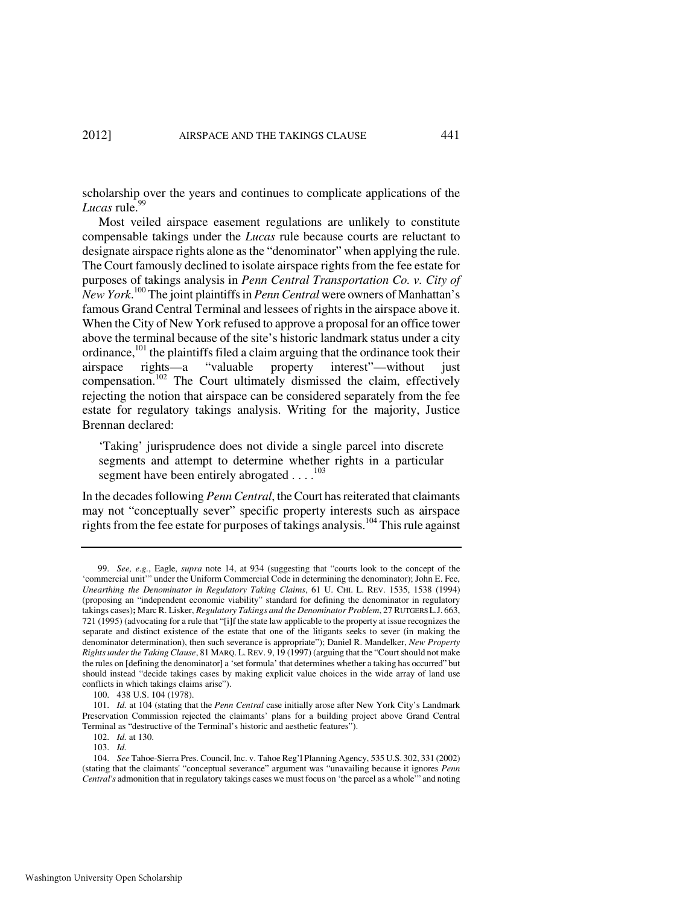scholarship over the years and continues to complicate applications of the Lucas rule.<sup>99</sup>

Most veiled airspace easement regulations are unlikely to constitute compensable takings under the *Lucas* rule because courts are reluctant to designate airspace rights alone as the "denominator" when applying the rule. The Court famously declined to isolate airspace rights from the fee estate for purposes of takings analysis in *Penn Central Transportation Co. v. City of New York*. <sup>100</sup> The joint plaintiffs in *Penn Central* were owners of Manhattan's famous Grand Central Terminal and lessees of rights in the airspace above it. When the City of New York refused to approve a proposal for an office tower above the terminal because of the site's historic landmark status under a city ordinance,<sup>101</sup> the plaintiffs filed a claim arguing that the ordinance took their airspace rights—a "valuable property interest"—without just compensation.<sup>102</sup> The Court ultimately dismissed the claim, effectively rejecting the notion that airspace can be considered separately from the fee estate for regulatory takings analysis. Writing for the majority, Justice Brennan declared:

'Taking' jurisprudence does not divide a single parcel into discrete segments and attempt to determine whether rights in a particular segment have been entirely abrogated  $\dots$ <sup>103</sup>

In the decades following *Penn Central*, the Court has reiterated that claimants may not "conceptually sever" specific property interests such as airspace rights from the fee estate for purposes of takings analysis.<sup>104</sup> This rule against

 <sup>99.</sup> *See, e.g.*, Eagle, *supra* note 14, at 934 (suggesting that "courts look to the concept of the 'commercial unit'" under the Uniform Commercial Code in determining the denominator); John E. Fee, *Unearthing the Denominator in Regulatory Taking Claims*, 61 U. CHI. L. REV. 1535, 1538 (1994) (proposing an "independent economic viability" standard for defining the denominator in regulatory takings cases)**;** Marc R. Lisker, *Regulatory Takings and the Denominator Problem*, 27 RUTGERS L.J. 663, 721 (1995) (advocating for a rule that "[i]f the state law applicable to the property at issue recognizes the separate and distinct existence of the estate that one of the litigants seeks to sever (in making the denominator determination), then such severance is appropriate"); Daniel R. Mandelker, *New Property Rights under the Taking Clause*, 81 MARQ. L.REV. 9, 19 (1997) (arguing that the "Court should not make the rules on [defining the denominator] a 'set formula' that determines whether a taking has occurred" but should instead "decide takings cases by making explicit value choices in the wide array of land use conflicts in which takings claims arise").

 <sup>100. 438</sup> U.S. 104 (1978).

 <sup>101.</sup> *Id.* at 104 (stating that the *Penn Central* case initially arose after New York City's Landmark Preservation Commission rejected the claimants' plans for a building project above Grand Central Terminal as "destructive of the Terminal's historic and aesthetic features").

 <sup>102.</sup> *Id.* at 130.

 <sup>103.</sup> *Id.*

 <sup>104.</sup> *See* Tahoe-Sierra Pres. Council, Inc. v. Tahoe Reg'l Planning Agency, 535 U.S. 302, 331 (2002) (stating that the claimants' "conceptual severance" argument was "unavailing because it ignores *Penn Central's* admonition that in regulatory takings cases we must focus on 'the parcel as a whole'" and noting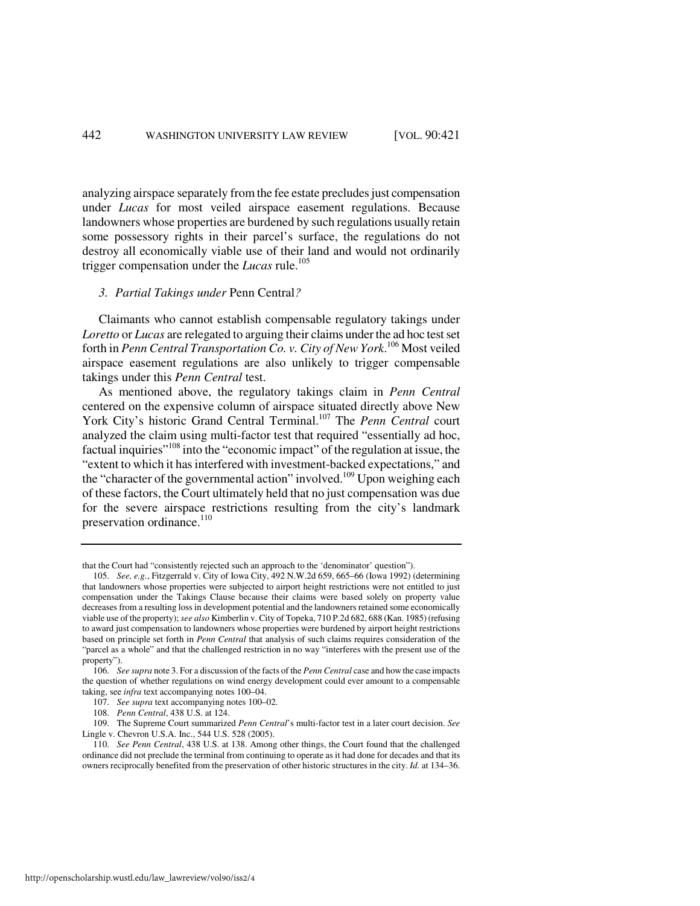analyzing airspace separately from the fee estate precludes just compensation under *Lucas* for most veiled airspace easement regulations. Because landowners whose properties are burdened by such regulations usually retain some possessory rights in their parcel's surface, the regulations do not destroy all economically viable use of their land and would not ordinarily trigger compensation under the *Lucas* rule.<sup>105</sup>

#### *3. Partial Takings under* Penn Central*?*

Claimants who cannot establish compensable regulatory takings under *Loretto* or *Lucas* are relegated to arguing their claims under the ad hoc test set forth in *Penn Central Transportation Co. v. City of New York*. <sup>106</sup> Most veiled airspace easement regulations are also unlikely to trigger compensable takings under this *Penn Central* test.

As mentioned above, the regulatory takings claim in *Penn Central* centered on the expensive column of airspace situated directly above New York City's historic Grand Central Terminal.<sup>107</sup> The *Penn Central* court analyzed the claim using multi-factor test that required "essentially ad hoc, factual inquiries"<sup>108</sup> into the "economic impact" of the regulation at issue, the "extent to which it has interfered with investment-backed expectations," and the "character of the governmental action" involved.<sup>109</sup> Upon weighing each of these factors, the Court ultimately held that no just compensation was due for the severe airspace restrictions resulting from the city's landmark preservation ordinance. $110$ 

that the Court had "consistently rejected such an approach to the 'denominator' question").

 <sup>105.</sup> *See, e.g.*, Fitzgerrald v. City of Iowa City, 492 N.W.2d 659, 665–66 (Iowa 1992) (determining that landowners whose properties were subjected to airport height restrictions were not entitled to just compensation under the Takings Clause because their claims were based solely on property value decreases from a resulting loss in development potential and the landowners retained some economically viable use of the property); *see also* Kimberlin v. City of Topeka, 710 P.2d 682, 688 (Kan. 1985) (refusing to award just compensation to landowners whose properties were burdened by airport height restrictions based on principle set forth in *Penn Central* that analysis of such claims requires consideration of the "parcel as a whole" and that the challenged restriction in no way "interferes with the present use of the property").

 <sup>106.</sup> *See supra* note 3. For a discussion of the facts of the *Penn Central* case and how the case impacts the question of whether regulations on wind energy development could ever amount to a compensable taking, see *infra* text accompanying notes 100–04.

 <sup>107.</sup> *See supra* text accompanying notes 100–02.

 <sup>108.</sup> *Penn Central*, 438 U.S. at 124.

 <sup>109.</sup> The Supreme Court summarized *Penn Central*'s multi-factor test in a later court decision. *See*  Lingle v. Chevron U.S.A. Inc., 544 U.S. 528 (2005).

 <sup>110.</sup> *See Penn Central*, 438 U.S. at 138. Among other things, the Court found that the challenged ordinance did not preclude the terminal from continuing to operate as it had done for decades and that its owners reciprocally benefited from the preservation of other historic structures in the city. *Id.* at 134–36.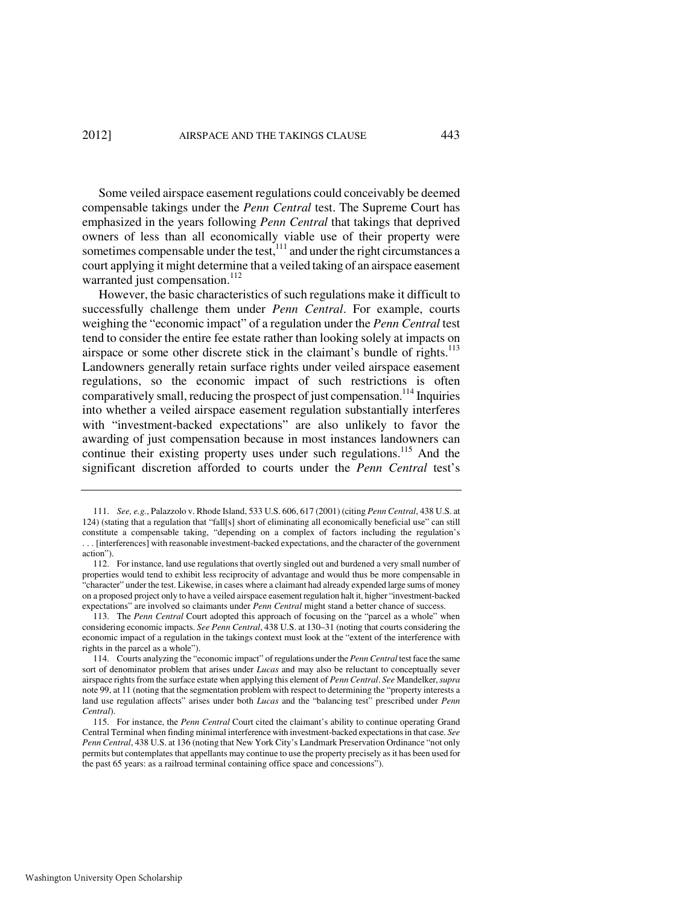Some veiled airspace easement regulations could conceivably be deemed compensable takings under the *Penn Central* test. The Supreme Court has emphasized in the years following *Penn Central* that takings that deprived owners of less than all economically viable use of their property were sometimes compensable under the test, $111$  and under the right circumstances a court applying it might determine that a veiled taking of an airspace easement warranted just compensation.<sup>112</sup>

However, the basic characteristics of such regulations make it difficult to successfully challenge them under *Penn Central*. For example, courts weighing the "economic impact" of a regulation under the *Penn Central* test tend to consider the entire fee estate rather than looking solely at impacts on airspace or some other discrete stick in the claimant's bundle of rights.<sup>113</sup> Landowners generally retain surface rights under veiled airspace easement regulations, so the economic impact of such restrictions is often comparatively small, reducing the prospect of just compensation.<sup>114</sup> Inquiries into whether a veiled airspace easement regulation substantially interferes with "investment-backed expectations" are also unlikely to favor the awarding of just compensation because in most instances landowners can continue their existing property uses under such regulations.<sup>115</sup> And the significant discretion afforded to courts under the *Penn Central* test's

 <sup>111.</sup> *See, e.g.*, Palazzolo v. Rhode Island, 533 U.S. 606, 617 (2001) (citing *Penn Central*, 438 U.S. at 124) (stating that a regulation that "fall[s] short of eliminating all economically beneficial use" can still constitute a compensable taking, "depending on a complex of factors including the regulation's . . . [interferences] with reasonable investment-backed expectations, and the character of the government action").

 <sup>112.</sup> For instance, land use regulations that overtly singled out and burdened a very small number of properties would tend to exhibit less reciprocity of advantage and would thus be more compensable in "character" under the test. Likewise, in cases where a claimant had already expended large sums of money on a proposed project only to have a veiled airspace easement regulation halt it, higher "investment-backed expectations" are involved so claimants under *Penn Central* might stand a better chance of success.

 <sup>113.</sup> The *Penn Central* Court adopted this approach of focusing on the "parcel as a whole" when considering economic impacts. *See Penn Central*, 438 U.S. at 130–31 (noting that courts considering the economic impact of a regulation in the takings context must look at the "extent of the interference with rights in the parcel as a whole").

 <sup>114.</sup> Courts analyzing the "economic impact" of regulations under the *Penn Central* test face the same sort of denominator problem that arises under *Lucas* and may also be reluctant to conceptually sever airspace rights from the surface estate when applying this element of *Penn Central*. *See* Mandelker, *supra*  note 99, at 11 (noting that the segmentation problem with respect to determining the "property interests a land use regulation affects" arises under both *Lucas* and the "balancing test" prescribed under *Penn Central*).

 <sup>115.</sup> For instance, the *Penn Central* Court cited the claimant's ability to continue operating Grand Central Terminal when finding minimal interference with investment-backed expectations in that case. *See Penn Central*, 438 U.S. at 136 (noting that New York City's Landmark Preservation Ordinance "not only permits but contemplates that appellants may continue to use the property precisely as it has been used for the past 65 years: as a railroad terminal containing office space and concessions").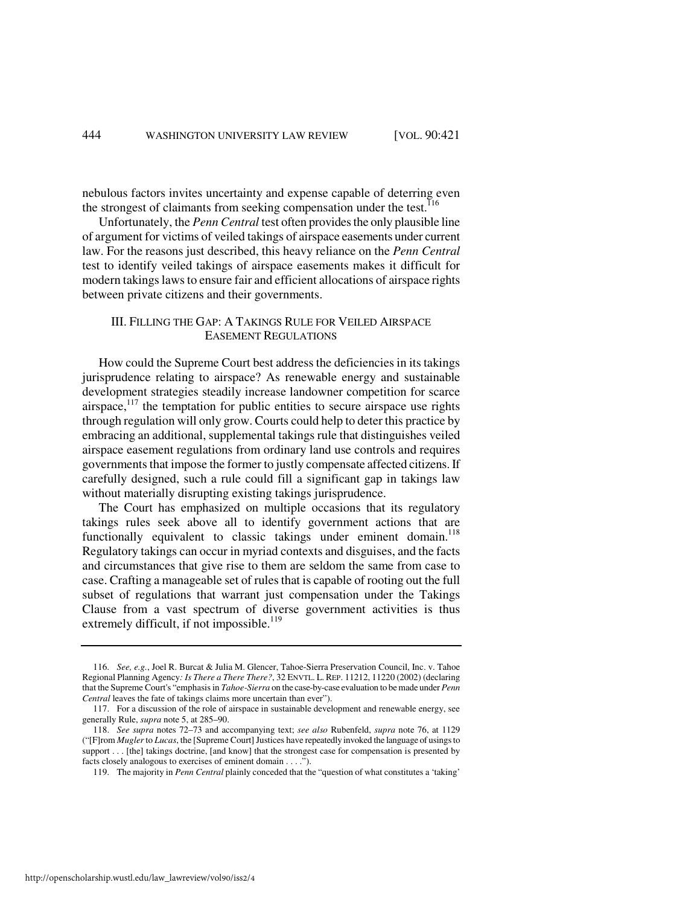nebulous factors invites uncertainty and expense capable of deterring even the strongest of claimants from seeking compensation under the test.<sup>116</sup>

Unfortunately, the *Penn Central* test often provides the only plausible line of argument for victims of veiled takings of airspace easements under current law. For the reasons just described, this heavy reliance on the *Penn Central* test to identify veiled takings of airspace easements makes it difficult for modern takings laws to ensure fair and efficient allocations of airspace rights between private citizens and their governments.

# III. FILLING THE GAP: A TAKINGS RULE FOR VEILED AIRSPACE EASEMENT REGULATIONS

How could the Supreme Court best address the deficiencies in its takings jurisprudence relating to airspace? As renewable energy and sustainable development strategies steadily increase landowner competition for scarce airspace, $117$  the temptation for public entities to secure airspace use rights through regulation will only grow. Courts could help to deter this practice by embracing an additional, supplemental takings rule that distinguishes veiled airspace easement regulations from ordinary land use controls and requires governments that impose the former to justly compensate affected citizens. If carefully designed, such a rule could fill a significant gap in takings law without materially disrupting existing takings jurisprudence.

The Court has emphasized on multiple occasions that its regulatory takings rules seek above all to identify government actions that are functionally equivalent to classic takings under eminent domain.<sup>118</sup> Regulatory takings can occur in myriad contexts and disguises, and the facts and circumstances that give rise to them are seldom the same from case to case. Crafting a manageable set of rules that is capable of rooting out the full subset of regulations that warrant just compensation under the Takings Clause from a vast spectrum of diverse government activities is thus extremely difficult, if not impossible.<sup>119</sup>

 <sup>116.</sup> *See, e.g.*, Joel R. Burcat & Julia M. Glencer, Tahoe-Sierra Preservation Council, Inc. v. Tahoe Regional Planning Agency*: Is There a There There?*, 32 ENVTL. L. REP. 11212, 11220 (2002) (declaring that the Supreme Court's "emphasis in *Tahoe-Sierra* on the case-by-case evaluation to be made under *Penn Central* leaves the fate of takings claims more uncertain than ever").

 <sup>117.</sup> For a discussion of the role of airspace in sustainable development and renewable energy, see generally Rule, *supra* note 5, at 285–90.

 <sup>118.</sup> *See supra* notes 72–73 and accompanying text; *see also* Rubenfeld, *supra* note 76, at 1129 ("[F]rom *Mugler* to *Lucas*, the [Supreme Court] Justices have repeatedly invoked the language of usings to support . . . [the] takings doctrine, [and know] that the strongest case for compensation is presented by facts closely analogous to exercises of eminent domain . . . .").

 <sup>119.</sup> The majority in *Penn Central* plainly conceded that the "question of what constitutes a 'taking'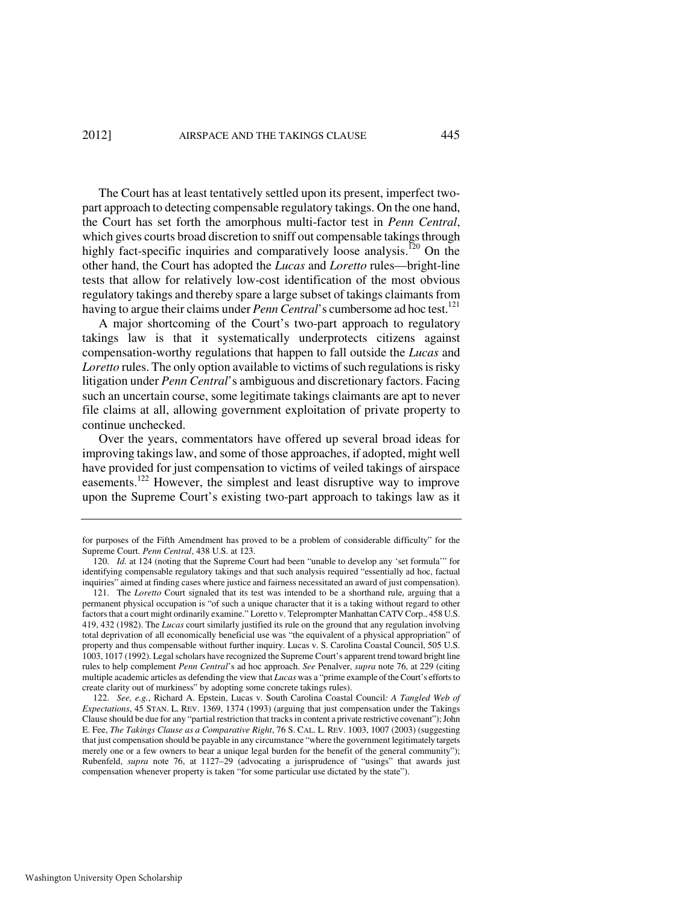The Court has at least tentatively settled upon its present, imperfect twopart approach to detecting compensable regulatory takings. On the one hand, the Court has set forth the amorphous multi-factor test in *Penn Central*, which gives courts broad discretion to sniff out compensable takings through highly fact-specific inquiries and comparatively loose analysis.<sup>120</sup> On the other hand, the Court has adopted the *Lucas* and *Loretto* rules—bright-line tests that allow for relatively low-cost identification of the most obvious regulatory takings and thereby spare a large subset of takings claimants from having to argue their claims under *Penn Central*'s cumbersome ad hoc test.<sup>121</sup>

A major shortcoming of the Court's two-part approach to regulatory takings law is that it systematically underprotects citizens against compensation-worthy regulations that happen to fall outside the *Lucas* and *Loretto* rules. The only option available to victims of such regulations is risky litigation under *Penn Central*'s ambiguous and discretionary factors. Facing such an uncertain course, some legitimate takings claimants are apt to never file claims at all, allowing government exploitation of private property to continue unchecked.

Over the years, commentators have offered up several broad ideas for improving takings law, and some of those approaches, if adopted, might well have provided for just compensation to victims of veiled takings of airspace easements.<sup>122</sup> However, the simplest and least disruptive way to improve upon the Supreme Court's existing two-part approach to takings law as it

for purposes of the Fifth Amendment has proved to be a problem of considerable difficulty" for the Supreme Court. *Penn Central*, 438 U.S. at 123.

 <sup>120.</sup> *Id.* at 124 (noting that the Supreme Court had been "unable to develop any 'set formula'" for identifying compensable regulatory takings and that such analysis required "essentially ad hoc, factual inquiries" aimed at finding cases where justice and fairness necessitated an award of just compensation).

 <sup>121.</sup> The *Loretto* Court signaled that its test was intended to be a shorthand rule, arguing that a permanent physical occupation is "of such a unique character that it is a taking without regard to other factors that a court might ordinarily examine." Loretto v. Teleprompter Manhattan CATV Corp., 458 U.S. 419, 432 (1982). The *Lucas* court similarly justified its rule on the ground that any regulation involving total deprivation of all economically beneficial use was "the equivalent of a physical appropriation" of property and thus compensable without further inquiry. Lucas v. S. Carolina Coastal Council, 505 U.S. 1003, 1017 (1992). Legal scholars have recognized the Supreme Court's apparent trend toward bright line rules to help complement *Penn Central*'s ad hoc approach. *See* Penalver, *supra* note 76, at 229 (citing multiple academic articles as defending the view that *Lucas* was a "prime example of the Court's efforts to create clarity out of murkiness" by adopting some concrete takings rules).

 <sup>122.</sup> *See, e.g.*, Richard A. Epstein, Lucas v. South Carolina Coastal Council*: A Tangled Web of Expectations*, 45 STAN. L. REV. 1369, 1374 (1993) (arguing that just compensation under the Takings Clause should be due for any "partial restriction that tracks in content a private restrictive covenant"); John E. Fee, *The Takings Clause as a Comparative Right*, 76 S. CAL. L. REV. 1003, 1007 (2003) (suggesting that just compensation should be payable in any circumstance "where the government legitimately targets merely one or a few owners to bear a unique legal burden for the benefit of the general community"); Rubenfeld, *supra* note 76, at 1127–29 (advocating a jurisprudence of "usings" that awards just compensation whenever property is taken "for some particular use dictated by the state").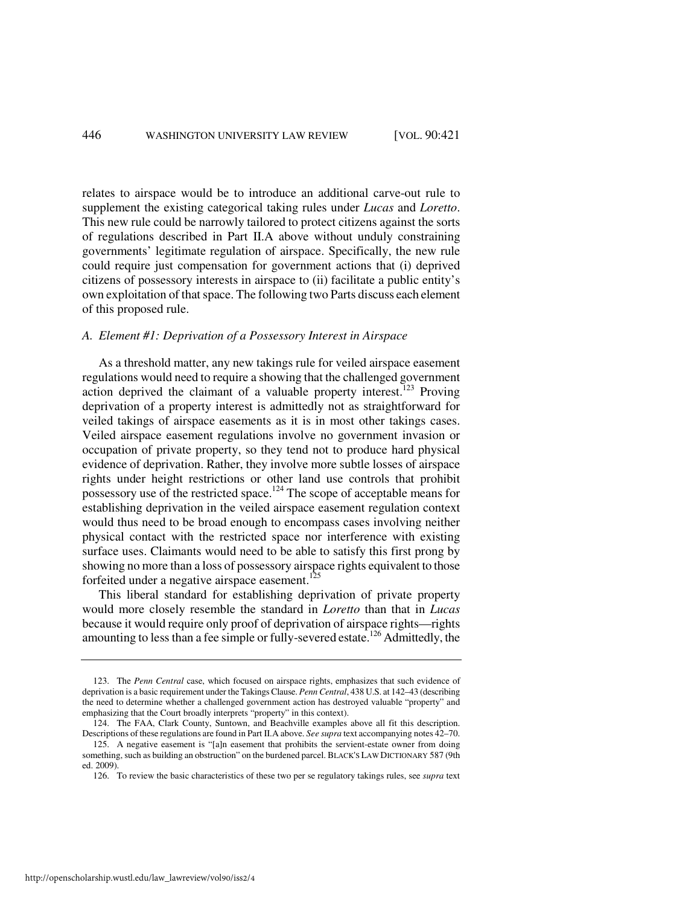relates to airspace would be to introduce an additional carve-out rule to supplement the existing categorical taking rules under *Lucas* and *Loretto*. This new rule could be narrowly tailored to protect citizens against the sorts of regulations described in Part II.A above without unduly constraining governments' legitimate regulation of airspace. Specifically, the new rule could require just compensation for government actions that (i) deprived citizens of possessory interests in airspace to (ii) facilitate a public entity's own exploitation of that space. The following two Parts discuss each element of this proposed rule.

#### *A. Element #1: Deprivation of a Possessory Interest in Airspace*

As a threshold matter, any new takings rule for veiled airspace easement regulations would need to require a showing that the challenged government action deprived the claimant of a valuable property interest.<sup>123</sup> Proving deprivation of a property interest is admittedly not as straightforward for veiled takings of airspace easements as it is in most other takings cases. Veiled airspace easement regulations involve no government invasion or occupation of private property, so they tend not to produce hard physical evidence of deprivation. Rather, they involve more subtle losses of airspace rights under height restrictions or other land use controls that prohibit possessory use of the restricted space.<sup>124</sup> The scope of acceptable means for establishing deprivation in the veiled airspace easement regulation context would thus need to be broad enough to encompass cases involving neither physical contact with the restricted space nor interference with existing surface uses. Claimants would need to be able to satisfy this first prong by showing no more than a loss of possessory airspace rights equivalent to those forfeited under a negative airspace easement.<sup>125</sup>

This liberal standard for establishing deprivation of private property would more closely resemble the standard in *Loretto* than that in *Lucas* because it would require only proof of deprivation of airspace rights—rights amounting to less than a fee simple or fully-severed estate.<sup>126</sup> Admittedly, the

 <sup>123.</sup> The *Penn Central* case, which focused on airspace rights, emphasizes that such evidence of deprivation is a basic requirement under the Takings Clause. *Penn Central*, 438 U.S. at 142–43 (describing the need to determine whether a challenged government action has destroyed valuable "property" and emphasizing that the Court broadly interprets "property" in this context).

 <sup>124.</sup> The FAA, Clark County, Suntown, and Beachville examples above all fit this description. Descriptions of these regulations are found in Part II.A above. *See supra* text accompanying notes 42–70.

 <sup>125.</sup> A negative easement is "[a]n easement that prohibits the servient-estate owner from doing something, such as building an obstruction" on the burdened parcel. BLACK'S LAW DICTIONARY 587 (9th ed. 2009).

 <sup>126.</sup> To review the basic characteristics of these two per se regulatory takings rules, see *supra* text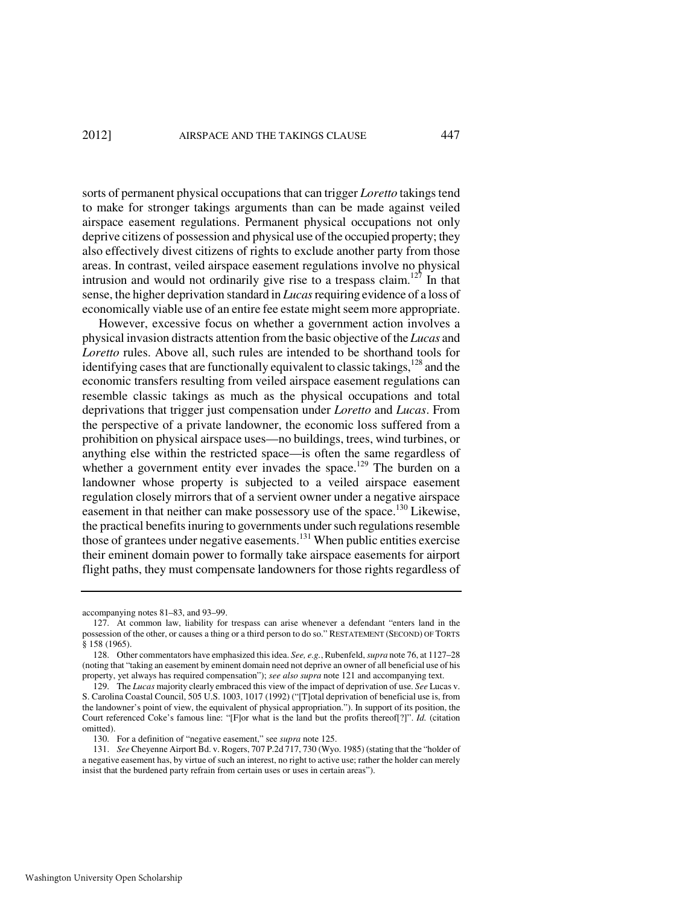sorts of permanent physical occupations that can trigger *Loretto* takings tend to make for stronger takings arguments than can be made against veiled airspace easement regulations. Permanent physical occupations not only deprive citizens of possession and physical use of the occupied property; they also effectively divest citizens of rights to exclude another party from those areas. In contrast, veiled airspace easement regulations involve no physical intrusion and would not ordinarily give rise to a trespass claim.<sup>127</sup> In that sense, the higher deprivation standard in *Lucas* requiring evidence of a loss of economically viable use of an entire fee estate might seem more appropriate.

However, excessive focus on whether a government action involves a physical invasion distracts attention from the basic objective of the *Lucas* and *Loretto* rules. Above all, such rules are intended to be shorthand tools for identifying cases that are functionally equivalent to classic takings,  $128$  and the economic transfers resulting from veiled airspace easement regulations can resemble classic takings as much as the physical occupations and total deprivations that trigger just compensation under *Loretto* and *Lucas*. From the perspective of a private landowner, the economic loss suffered from a prohibition on physical airspace uses—no buildings, trees, wind turbines, or anything else within the restricted space—is often the same regardless of whether a government entity ever invades the space.<sup>129</sup> The burden on a landowner whose property is subjected to a veiled airspace easement regulation closely mirrors that of a servient owner under a negative airspace easement in that neither can make possessory use of the space.<sup>130</sup> Likewise, the practical benefits inuring to governments under such regulations resemble those of grantees under negative easements.<sup>131</sup> When public entities exercise their eminent domain power to formally take airspace easements for airport flight paths, they must compensate landowners for those rights regardless of

accompanying notes 81–83, and 93–99.

 <sup>127.</sup> At common law, liability for trespass can arise whenever a defendant "enters land in the possession of the other, or causes a thing or a third person to do so." RESTATEMENT (SECOND) OF TORTS § 158 (1965).

 <sup>128.</sup> Other commentators have emphasized this idea. *See, e.g.*, Rubenfeld, *supra* note 76, at 1127–28 (noting that "taking an easement by eminent domain need not deprive an owner of all beneficial use of his property, yet always has required compensation"); *see also supra* note 121 and accompanying text.

 <sup>129.</sup> The *Lucas* majority clearly embraced this view of the impact of deprivation of use. *See* Lucas v. S. Carolina Coastal Council, 505 U.S. 1003, 1017 (1992) ("[T]otal deprivation of beneficial use is, from the landowner's point of view, the equivalent of physical appropriation."). In support of its position, the Court referenced Coke's famous line: "[F]or what is the land but the profits thereof[?]". *Id.* (citation omitted).

 <sup>130.</sup> For a definition of "negative easement," see *supra* note 125.

 <sup>131.</sup> *See* Cheyenne Airport Bd. v. Rogers, 707 P.2d 717, 730 (Wyo. 1985) (stating that the "holder of a negative easement has, by virtue of such an interest, no right to active use; rather the holder can merely insist that the burdened party refrain from certain uses or uses in certain areas").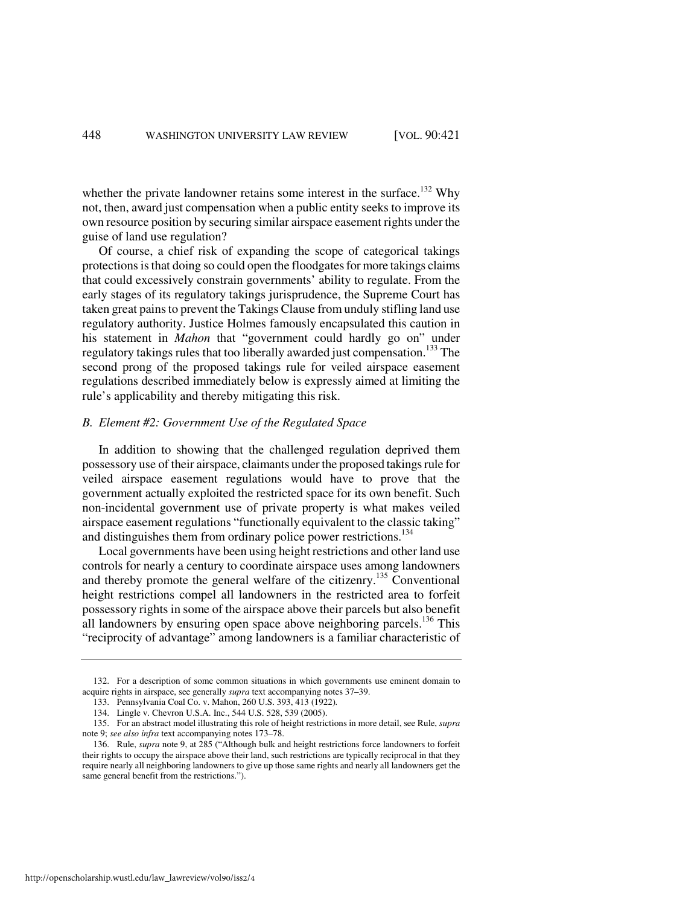whether the private landowner retains some interest in the surface.<sup>132</sup> Why not, then, award just compensation when a public entity seeks to improve its own resource position by securing similar airspace easement rights under the guise of land use regulation?

Of course, a chief risk of expanding the scope of categorical takings protections is that doing so could open the floodgates for more takings claims that could excessively constrain governments' ability to regulate. From the early stages of its regulatory takings jurisprudence, the Supreme Court has taken great pains to prevent the Takings Clause from unduly stifling land use regulatory authority. Justice Holmes famously encapsulated this caution in his statement in *Mahon* that "government could hardly go on" under regulatory takings rules that too liberally awarded just compensation.<sup>133</sup> The second prong of the proposed takings rule for veiled airspace easement regulations described immediately below is expressly aimed at limiting the rule's applicability and thereby mitigating this risk.

# *B. Element #2: Government Use of the Regulated Space*

In addition to showing that the challenged regulation deprived them possessory use of their airspace, claimants under the proposed takings rule for veiled airspace easement regulations would have to prove that the government actually exploited the restricted space for its own benefit. Such non-incidental government use of private property is what makes veiled airspace easement regulations "functionally equivalent to the classic taking" and distinguishes them from ordinary police power restrictions.<sup>134</sup>

Local governments have been using height restrictions and other land use controls for nearly a century to coordinate airspace uses among landowners and thereby promote the general welfare of the citizenry.<sup>135</sup> Conventional height restrictions compel all landowners in the restricted area to forfeit possessory rights in some of the airspace above their parcels but also benefit all landowners by ensuring open space above neighboring parcels.<sup>136</sup> This "reciprocity of advantage" among landowners is a familiar characteristic of

 <sup>132.</sup> For a description of some common situations in which governments use eminent domain to acquire rights in airspace, see generally *supra* text accompanying notes 37–39.

 <sup>133.</sup> Pennsylvania Coal Co. v. Mahon, 260 U.S. 393, 413 (1922)*.*

 <sup>134.</sup> Lingle v. Chevron U.S.A. Inc., 544 U.S. 528, 539 (2005).

 <sup>135.</sup> For an abstract model illustrating this role of height restrictions in more detail, see Rule, *supra* note 9; *see also infra* text accompanying notes 173–78.

 <sup>136.</sup> Rule, *supra* note 9, at 285 ("Although bulk and height restrictions force landowners to forfeit their rights to occupy the airspace above their land, such restrictions are typically reciprocal in that they require nearly all neighboring landowners to give up those same rights and nearly all landowners get the same general benefit from the restrictions.").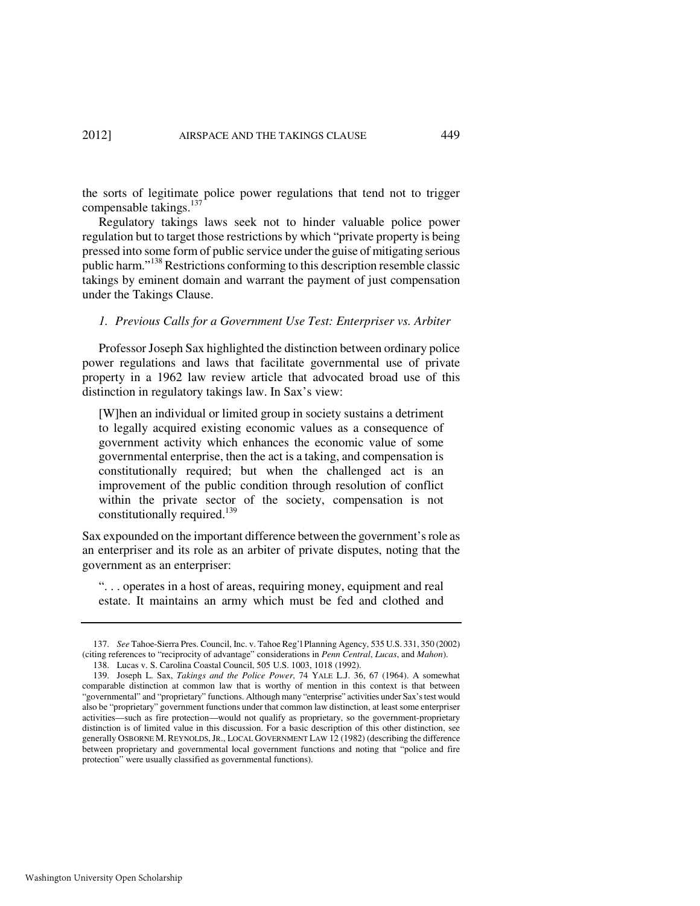the sorts of legitimate police power regulations that tend not to trigger compensable takings. $137$ 

Regulatory takings laws seek not to hinder valuable police power regulation but to target those restrictions by which "private property is being pressed into some form of public service under the guise of mitigating serious public harm."<sup>138</sup> Restrictions conforming to this description resemble classic takings by eminent domain and warrant the payment of just compensation under the Takings Clause.

#### *1. Previous Calls for a Government Use Test: Enterpriser vs. Arbiter*

Professor Joseph Sax highlighted the distinction between ordinary police power regulations and laws that facilitate governmental use of private property in a 1962 law review article that advocated broad use of this distinction in regulatory takings law. In Sax's view:

[W]hen an individual or limited group in society sustains a detriment to legally acquired existing economic values as a consequence of government activity which enhances the economic value of some governmental enterprise, then the act is a taking, and compensation is constitutionally required; but when the challenged act is an improvement of the public condition through resolution of conflict within the private sector of the society, compensation is not constitutionally required.<sup>139</sup>

Sax expounded on the important difference between the government's role as an enterpriser and its role as an arbiter of private disputes, noting that the government as an enterpriser:

". . . operates in a host of areas, requiring money, equipment and real estate. It maintains an army which must be fed and clothed and

 <sup>137.</sup> *See* Tahoe-Sierra Pres. Council, Inc. v. Tahoe Reg'l Planning Agency, 535 U.S. 331, 350 (2002) (citing references to "reciprocity of advantage" considerations in *Penn Central*, *Lucas*, and *Mahon*).

 <sup>138.</sup> Lucas v. S. Carolina Coastal Council, 505 U.S. 1003, 1018 (1992).

 <sup>139.</sup> Joseph L. Sax, *Takings and the Police Power*, 74 YALE L.J. 36, 67 (1964). A somewhat comparable distinction at common law that is worthy of mention in this context is that between "governmental" and "proprietary" functions. Although many "enterprise" activities under Sax's test would also be "proprietary" government functions under that common law distinction, at least some enterpriser activities—such as fire protection—would not qualify as proprietary, so the government-proprietary distinction is of limited value in this discussion. For a basic description of this other distinction, see generally OSBORNE M. REYNOLDS, JR., LOCAL GOVERNMENT LAW 12 (1982) (describing the difference between proprietary and governmental local government functions and noting that "police and fire protection" were usually classified as governmental functions).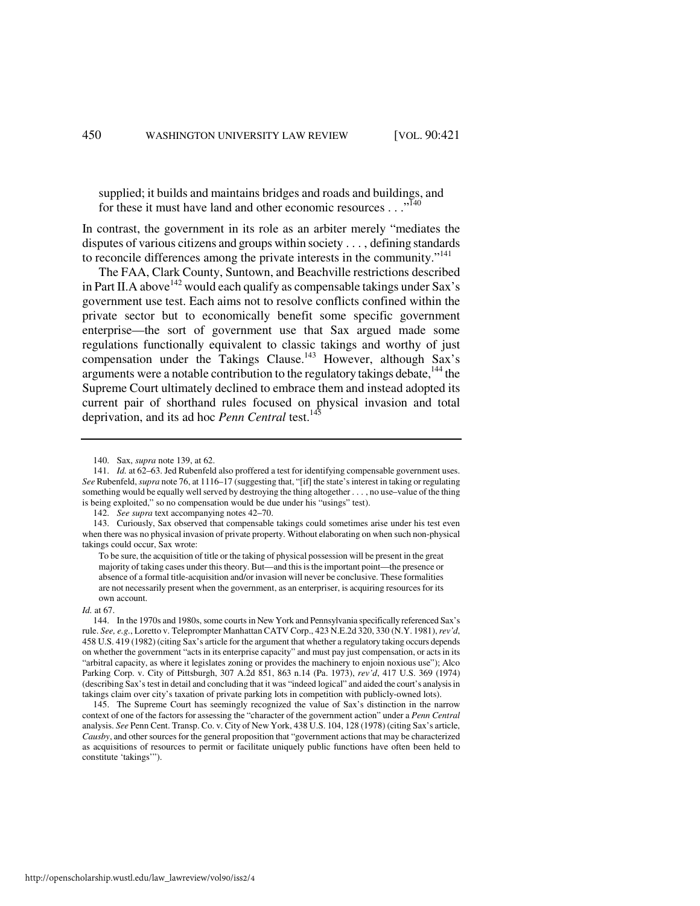supplied; it builds and maintains bridges and roads and buildings, and for these it must have land and other economic resources . . ."<sup>140</sup>

In contrast, the government in its role as an arbiter merely "mediates the disputes of various citizens and groups within society . . . , defining standards to reconcile differences among the private interests in the community."<sup>141</sup>

The FAA, Clark County, Suntown, and Beachville restrictions described in Part II. A above  $142$  would each qualify as compensable takings under Sax's government use test. Each aims not to resolve conflicts confined within the private sector but to economically benefit some specific government enterprise—the sort of government use that Sax argued made some regulations functionally equivalent to classic takings and worthy of just compensation under the Takings Clause.<sup>143</sup> However, although Sax's arguments were a notable contribution to the regulatory takings debate,  $144$  the Supreme Court ultimately declined to embrace them and instead adopted its current pair of shorthand rules focused on physical invasion and total deprivation, and its ad hoc *Penn Central* test.<sup>145</sup>

#### *Id.* at 67.

 <sup>140.</sup> Sax, *supra* note 139, at 62.

 <sup>141.</sup> *Id.* at 62–63. Jed Rubenfeld also proffered a test for identifying compensable government uses. *See* Rubenfeld, *supra* note 76, at 1116–17 (suggesting that, "[if] the state's interest in taking or regulating something would be equally well served by destroying the thing altogether . . . , no use–value of the thing is being exploited," so no compensation would be due under his "usings" test).

 <sup>142.</sup> *See supra* text accompanying notes 42–70.

 <sup>143.</sup> Curiously, Sax observed that compensable takings could sometimes arise under his test even when there was no physical invasion of private property. Without elaborating on when such non-physical takings could occur, Sax wrote:

To be sure, the acquisition of title or the taking of physical possession will be present in the great majority of taking cases under this theory. But—and this is the important point—the presence or absence of a formal title-acquisition and/or invasion will never be conclusive. These formalities are not necessarily present when the government, as an enterpriser, is acquiring resources for its own account.

 <sup>144.</sup> In the 1970s and 1980s, some courts in New York and Pennsylvania specifically referenced Sax's rule. *See, e.g.*, Loretto v. Teleprompter Manhattan CATV Corp., 423 N.E.2d 320, 330 (N.Y. 1981), *rev'd*, 458 U.S. 419 (1982) (citing Sax's article for the argument that whether a regulatory taking occurs depends on whether the government "acts in its enterprise capacity" and must pay just compensation, or acts in its "arbitral capacity, as where it legislates zoning or provides the machinery to enjoin noxious use"); Alco Parking Corp. v. City of Pittsburgh, 307 A.2d 851, 863 n.14 (Pa. 1973), *rev'd*, 417 U.S. 369 (1974) (describing Sax's test in detail and concluding that it was "indeed logical" and aided the court's analysis in takings claim over city's taxation of private parking lots in competition with publicly-owned lots).

 <sup>145.</sup> The Supreme Court has seemingly recognized the value of Sax's distinction in the narrow context of one of the factors for assessing the "character of the government action" under a *Penn Central* analysis. *See* Penn Cent. Transp. Co. v. City of New York, 438 U.S. 104, 128 (1978) (citing Sax's article, *Causby*, and other sources for the general proposition that "government actions that may be characterized as acquisitions of resources to permit or facilitate uniquely public functions have often been held to constitute 'takings'").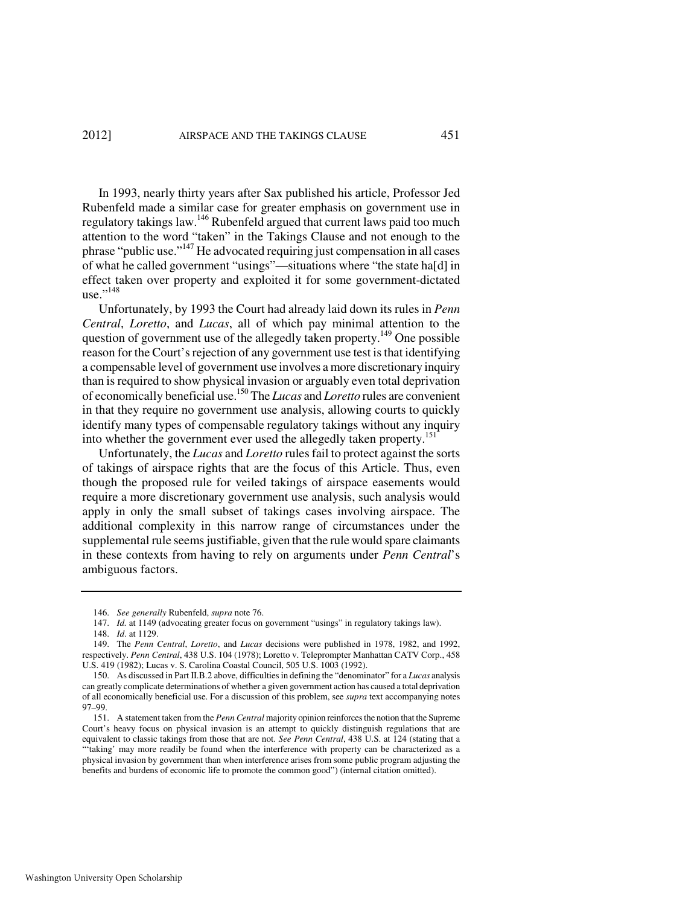In 1993, nearly thirty years after Sax published his article, Professor Jed Rubenfeld made a similar case for greater emphasis on government use in regulatory takings law.<sup>146</sup> Rubenfeld argued that current laws paid too much attention to the word "taken" in the Takings Clause and not enough to the phrase "public use."<sup>147</sup> He advocated requiring just compensation in all cases of what he called government "usings"—situations where "the state ha[d] in effect taken over property and exploited it for some government-dictated  $use."^{148}$ 

Unfortunately, by 1993 the Court had already laid down its rules in *Penn Central*, *Loretto*, and *Lucas*, all of which pay minimal attention to the question of government use of the allegedly taken property.<sup>149</sup> One possible reason for the Court's rejection of any government use test is that identifying a compensable level of government use involves a more discretionary inquiry than is required to show physical invasion or arguably even total deprivation of economically beneficial use.<sup>150</sup> The *Lucas* and *Loretto* rules are convenient in that they require no government use analysis, allowing courts to quickly identify many types of compensable regulatory takings without any inquiry into whether the government ever used the allegedly taken property.<sup>151</sup>

Unfortunately, the *Lucas* and *Loretto* rules fail to protect against the sorts of takings of airspace rights that are the focus of this Article. Thus, even though the proposed rule for veiled takings of airspace easements would require a more discretionary government use analysis, such analysis would apply in only the small subset of takings cases involving airspace. The additional complexity in this narrow range of circumstances under the supplemental rule seems justifiable, given that the rule would spare claimants in these contexts from having to rely on arguments under *Penn Central*'s ambiguous factors.

 <sup>146.</sup> *See generally* Rubenfeld, *supra* note 76.

<sup>147.</sup> *Id.* at 1149 (advocating greater focus on government "usings" in regulatory takings law).

 <sup>148.</sup> *Id*. at 1129.

 <sup>149.</sup> The *Penn Central*, *Loretto*, and *Lucas* decisions were published in 1978, 1982, and 1992, respectively. *Penn Central*, 438 U.S. 104 (1978); Loretto v. Teleprompter Manhattan CATV Corp., 458 U.S. 419 (1982); Lucas v. S. Carolina Coastal Council, 505 U.S. 1003 (1992).

 <sup>150.</sup> As discussed in Part II.B.2 above, difficulties in defining the "denominator" for a *Lucas* analysis can greatly complicate determinations of whether a given government action has caused a total deprivation of all economically beneficial use. For a discussion of this problem, see *supra* text accompanying notes 97–99.

 <sup>151.</sup> A statement taken from the *Penn Central* majority opinion reinforces the notion that the Supreme Court's heavy focus on physical invasion is an attempt to quickly distinguish regulations that are equivalent to classic takings from those that are not. *See Penn Central*, 438 U.S. at 124 (stating that a "'taking' may more readily be found when the interference with property can be characterized as a physical invasion by government than when interference arises from some public program adjusting the benefits and burdens of economic life to promote the common good") (internal citation omitted).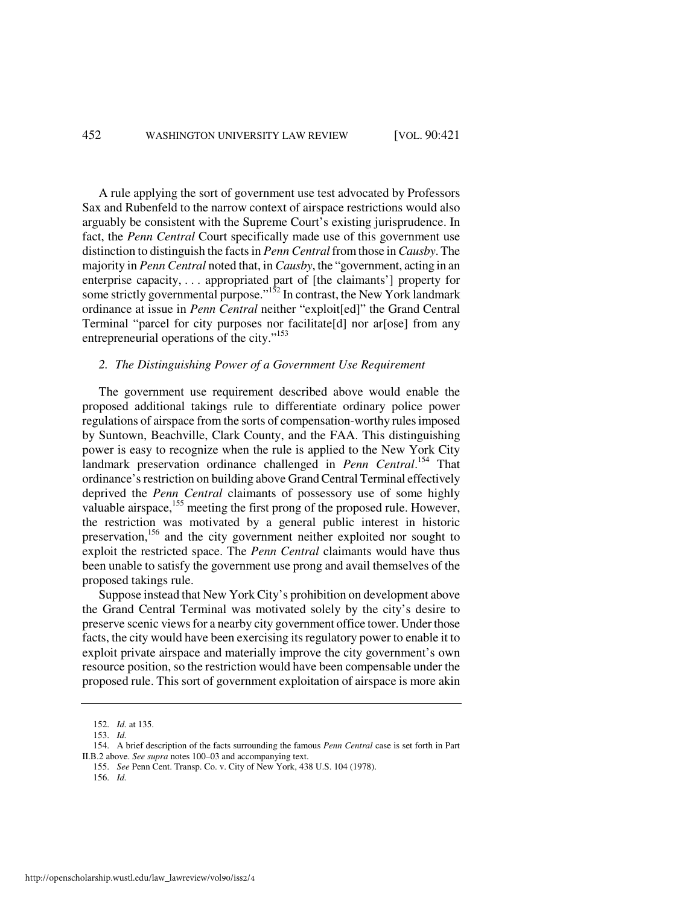A rule applying the sort of government use test advocated by Professors Sax and Rubenfeld to the narrow context of airspace restrictions would also arguably be consistent with the Supreme Court's existing jurisprudence. In fact, the *Penn Central* Court specifically made use of this government use distinction to distinguish the facts in *Penn Central* from those in *Causby*. The majority in *Penn Central* noted that, in *Causby*, the "government, acting in an enterprise capacity, . . . appropriated part of [the claimants'] property for some strictly governmental purpose."<sup>152</sup> In contrast, the New York landmark ordinance at issue in *Penn Central* neither "exploit[ed]" the Grand Central Terminal "parcel for city purposes nor facilitate[d] nor ar[ose] from any entrepreneurial operations of the city."<sup>153</sup>

# *2. The Distinguishing Power of a Government Use Requirement*

The government use requirement described above would enable the proposed additional takings rule to differentiate ordinary police power regulations of airspace from the sorts of compensation-worthy rules imposed by Suntown, Beachville, Clark County, and the FAA. This distinguishing power is easy to recognize when the rule is applied to the New York City landmark preservation ordinance challenged in *Penn Central*. <sup>154</sup> That ordinance's restriction on building above Grand Central Terminal effectively deprived the *Penn Central* claimants of possessory use of some highly valuable airspace,<sup>155</sup> meeting the first prong of the proposed rule. However, the restriction was motivated by a general public interest in historic preservation,<sup>156</sup> and the city government neither exploited nor sought to exploit the restricted space. The *Penn Central* claimants would have thus been unable to satisfy the government use prong and avail themselves of the proposed takings rule.

Suppose instead that New York City's prohibition on development above the Grand Central Terminal was motivated solely by the city's desire to preserve scenic views for a nearby city government office tower. Under those facts, the city would have been exercising its regulatory power to enable it to exploit private airspace and materially improve the city government's own resource position, so the restriction would have been compensable under the proposed rule. This sort of government exploitation of airspace is more akin

155. *See* Penn Cent. Transp. Co. v. City of New York, 438 U.S. 104 (1978).

 <sup>152.</sup> *Id.* at 135.

 <sup>153.</sup> *Id.* 

 <sup>154.</sup> A brief description of the facts surrounding the famous *Penn Central* case is set forth in Part II.B.2 above. *See supra* notes 100–03 and accompanying text.

 <sup>156.</sup> *Id.*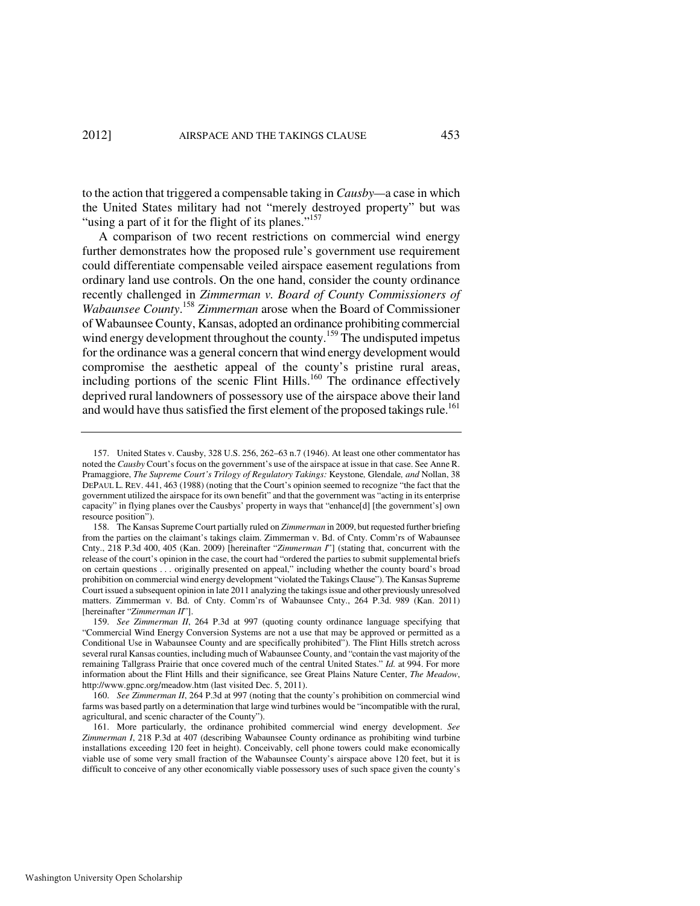to the action that triggered a compensable taking in *Causby—*a case in which the United States military had not "merely destroyed property" but was "using a part of it for the flight of its planes."<sup>157</sup>

A comparison of two recent restrictions on commercial wind energy further demonstrates how the proposed rule's government use requirement could differentiate compensable veiled airspace easement regulations from ordinary land use controls. On the one hand, consider the county ordinance recently challenged in *Zimmerman v. Board of County Commissioners of Wabaunsee County*. <sup>158</sup> *Zimmerman* arose when the Board of Commissioner of Wabaunsee County, Kansas, adopted an ordinance prohibiting commercial wind energy development throughout the county.<sup>159</sup> The undisputed impetus for the ordinance was a general concern that wind energy development would compromise the aesthetic appeal of the county's pristine rural areas, including portions of the scenic Flint Hills.<sup>160</sup> The ordinance effectively deprived rural landowners of possessory use of the airspace above their land and would have thus satisfied the first element of the proposed takings rule.<sup>161</sup>

 <sup>157.</sup> United States v. Causby, 328 U.S. 256, 262–63 n.7 (1946). At least one other commentator has noted the *Causby* Court's focus on the government's use of the airspace at issue in that case. See Anne R. Pramaggiore, *The Supreme Court's Trilogy of Regulatory Takings:* Keystone*,* Glendale*, and* Nollan, 38 DEPAUL L. REV. 441, 463 (1988) (noting that the Court's opinion seemed to recognize "the fact that the government utilized the airspace for its own benefit" and that the government was "acting in its enterprise capacity" in flying planes over the Causbys' property in ways that "enhance[d] [the government's] own resource position").

 <sup>158.</sup> The Kansas Supreme Court partially ruled on *Zimmerman* in 2009, but requested further briefing from the parties on the claimant's takings claim. Zimmerman v. Bd. of Cnty. Comm'rs of Wabaunsee Cnty., 218 P.3d 400, 405 (Kan. 2009) [hereinafter "*Zimmerman I*"] (stating that, concurrent with the release of the court's opinion in the case, the court had "ordered the parties to submit supplemental briefs on certain questions . . . originally presented on appeal," including whether the county board's broad prohibition on commercial wind energy development "violated the Takings Clause"). The Kansas Supreme Court issued a subsequent opinion in late 2011 analyzing the takings issue and other previously unresolved matters. Zimmerman v. Bd. of Cnty. Comm'rs of Wabaunsee Cnty., 264 P.3d. 989 (Kan. 2011) [hereinafter "*Zimmerman II*"].

 <sup>159.</sup> *See Zimmerman II*, 264 P.3d at 997 (quoting county ordinance language specifying that "Commercial Wind Energy Conversion Systems are not a use that may be approved or permitted as a Conditional Use in Wabaunsee County and are specifically prohibited"). The Flint Hills stretch across several rural Kansas counties, including much of Wabaunsee County, and "contain the vast majority of the remaining Tallgrass Prairie that once covered much of the central United States." *Id.* at 994. For more information about the Flint Hills and their significance, see Great Plains Nature Center, *The Meadow*, http://www.gpnc.org/meadow.htm (last visited Dec. 5, 2011).

 <sup>160.</sup> *See Zimmerman II*, 264 P.3d at 997 (noting that the county's prohibition on commercial wind farms was based partly on a determination that large wind turbines would be "incompatible with the rural, agricultural, and scenic character of the County").

 <sup>161.</sup> More particularly, the ordinance prohibited commercial wind energy development. *See Zimmerman I*, 218 P.3d at 407 (describing Wabaunsee County ordinance as prohibiting wind turbine installations exceeding 120 feet in height). Conceivably, cell phone towers could make economically viable use of some very small fraction of the Wabaunsee County's airspace above 120 feet, but it is difficult to conceive of any other economically viable possessory uses of such space given the county's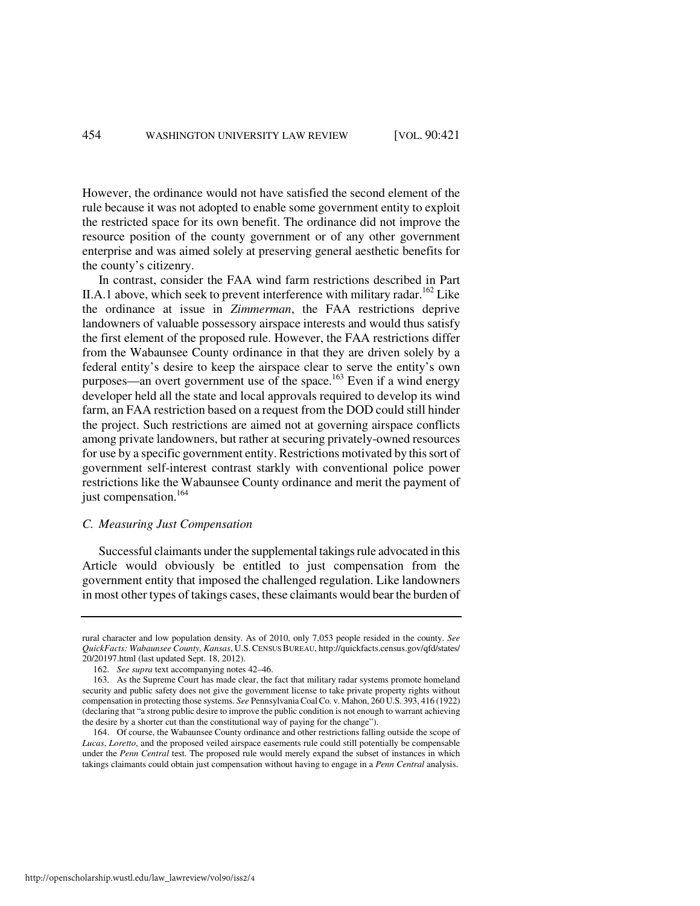However, the ordinance would not have satisfied the second element of the rule because it was not adopted to enable some government entity to exploit the restricted space for its own benefit. The ordinance did not improve the resource position of the county government or of any other government enterprise and was aimed solely at preserving general aesthetic benefits for the county's citizenry.

In contrast, consider the FAA wind farm restrictions described in Part II.A.1 above, which seek to prevent interference with military radar.<sup>162</sup> Like the ordinance at issue in *Zimmerman*, the FAA restrictions deprive landowners of valuable possessory airspace interests and would thus satisfy the first element of the proposed rule. However, the FAA restrictions differ from the Wabaunsee County ordinance in that they are driven solely by a federal entity's desire to keep the airspace clear to serve the entity's own purposes—an overt government use of the space.<sup>163</sup> Even if a wind energy developer held all the state and local approvals required to develop its wind farm, an FAA restriction based on a request from the DOD could still hinder the project. Such restrictions are aimed not at governing airspace conflicts among private landowners, but rather at securing privately-owned resources for use by a specific government entity. Restrictions motivated by this sort of government self-interest contrast starkly with conventional police power restrictions like the Wabaunsee County ordinance and merit the payment of just compensation.<sup>164</sup>

#### *C. Measuring Just Compensation*

Successful claimants under the supplemental takings rule advocated in this Article would obviously be entitled to just compensation from the government entity that imposed the challenged regulation. Like landowners in most other types of takings cases, these claimants would bear the burden of

rural character and low population density. As of 2010, only 7,053 people resided in the county. *See QuickFacts: Wabaunsee County, Kansas*, U.S.CENSUS BUREAU, http://quickfacts.census.gov/qfd/states/ 20/20197.html (last updated Sept. 18, 2012).

 <sup>162.</sup> *See supra* text accompanying notes 42–46.

 <sup>163.</sup> As the Supreme Court has made clear, the fact that military radar systems promote homeland security and public safety does not give the government license to take private property rights without compensation in protecting those systems. *See* Pennsylvania Coal Co. v. Mahon, 260 U.S. 393, 416 (1922) (declaring that "a strong public desire to improve the public condition is not enough to warrant achieving the desire by a shorter cut than the constitutional way of paying for the change").

 <sup>164.</sup> Of course, the Wabaunsee County ordinance and other restrictions falling outside the scope of *Lucas*, *Loretto*, and the proposed veiled airspace easements rule could still potentially be compensable under the *Penn Central* test. The proposed rule would merely expand the subset of instances in which takings claimants could obtain just compensation without having to engage in a *Penn Central* analysis.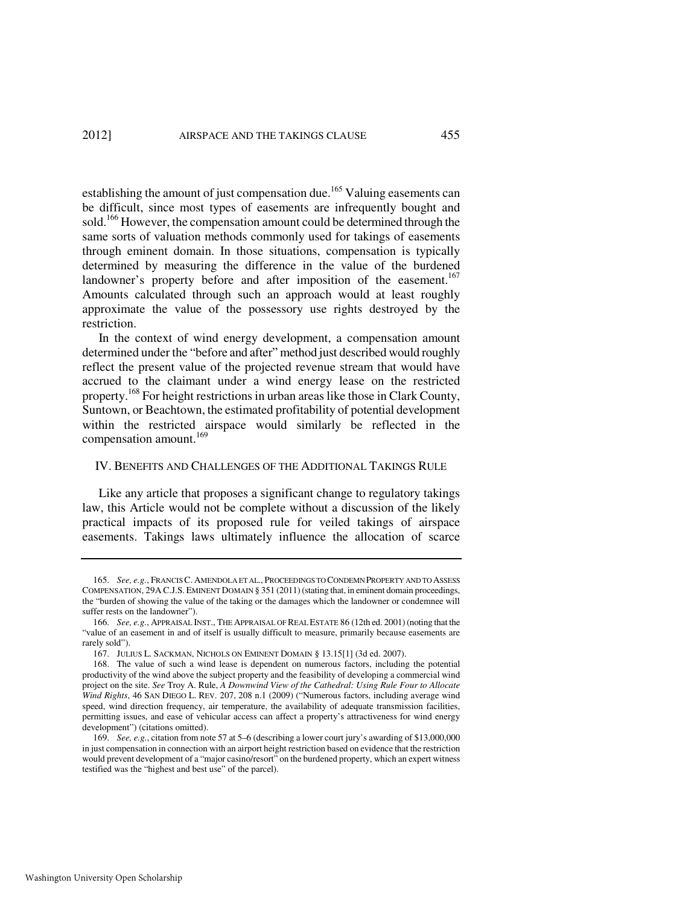establishing the amount of just compensation due.<sup>165</sup> Valuing easements can be difficult, since most types of easements are infrequently bought and sold.<sup>166</sup> However, the compensation amount could be determined through the same sorts of valuation methods commonly used for takings of easements through eminent domain. In those situations, compensation is typically determined by measuring the difference in the value of the burdened landowner's property before and after imposition of the easement.<sup>167</sup> Amounts calculated through such an approach would at least roughly approximate the value of the possessory use rights destroyed by the restriction.

In the context of wind energy development, a compensation amount determined under the "before and after" method just described would roughly reflect the present value of the projected revenue stream that would have accrued to the claimant under a wind energy lease on the restricted property.<sup>168</sup> For height restrictions in urban areas like those in Clark County, Suntown, or Beachtown, the estimated profitability of potential development within the restricted airspace would similarly be reflected in the compensation amount.<sup>169</sup>

# IV. BENEFITS AND CHALLENGES OF THE ADDITIONAL TAKINGS RULE

Like any article that proposes a significant change to regulatory takings law, this Article would not be complete without a discussion of the likely practical impacts of its proposed rule for veiled takings of airspace easements. Takings laws ultimately influence the allocation of scarce

 <sup>165.</sup> *See, e.g.*, FRANCIS C. AMENDOLA ET AL., PROCEEDINGS TO CONDEMN PROPERTY AND TO ASSESS COMPENSATION, 29A C.J.S. EMINENT DOMAIN § 351 (2011) (stating that, in eminent domain proceedings, the "burden of showing the value of the taking or the damages which the landowner or condemnee will suffer rests on the landowner").

 <sup>166.</sup> *See, e.g.*, APPRAISAL INST., THE APPRAISAL OF REAL ESTATE 86 (12th ed. 2001) (noting that the "value of an easement in and of itself is usually difficult to measure, primarily because easements are rarely sold").

 <sup>167.</sup> JULIUS L. SACKMAN, NICHOLS ON EMINENT DOMAIN § 13.15[1] (3d ed. 2007).

 <sup>168.</sup> The value of such a wind lease is dependent on numerous factors, including the potential productivity of the wind above the subject property and the feasibility of developing a commercial wind project on the site. *See* Troy A. Rule, *A Downwind View of the Cathedral: Using Rule Four to Allocate Wind Rights*, 46 SAN DIEGO L. REV. 207, 208 n.1 (2009) ("Numerous factors, including average wind speed, wind direction frequency, air temperature, the availability of adequate transmission facilities, permitting issues, and ease of vehicular access can affect a property's attractiveness for wind energy development") (citations omitted).

 <sup>169.</sup> *See, e.g.*, citation from note 57 at 5–6 (describing a lower court jury's awarding of \$13,000,000 in just compensation in connection with an airport height restriction based on evidence that the restriction would prevent development of a "major casino/resort" on the burdened property, which an expert witness testified was the "highest and best use" of the parcel).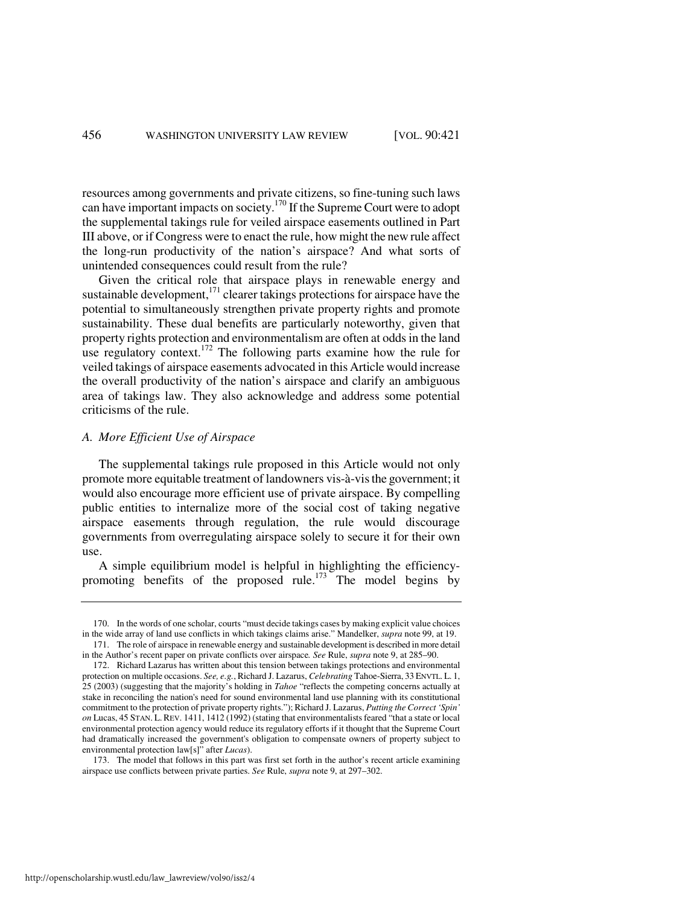resources among governments and private citizens, so fine-tuning such laws can have important impacts on society.<sup>170</sup> If the Supreme Court were to adopt the supplemental takings rule for veiled airspace easements outlined in Part III above, or if Congress were to enact the rule, how might the new rule affect the long-run productivity of the nation's airspace? And what sorts of unintended consequences could result from the rule?

Given the critical role that airspace plays in renewable energy and sustainable development, $171$  clearer takings protections for airspace have the potential to simultaneously strengthen private property rights and promote sustainability. These dual benefits are particularly noteworthy, given that property rights protection and environmentalism are often at odds in the land use regulatory context.<sup>172</sup> The following parts examine how the rule for veiled takings of airspace easements advocated in this Article would increase the overall productivity of the nation's airspace and clarify an ambiguous area of takings law. They also acknowledge and address some potential criticisms of the rule.

#### *A. More Efficient Use of Airspace*

The supplemental takings rule proposed in this Article would not only promote more equitable treatment of landowners vis-à-vis the government; it would also encourage more efficient use of private airspace. By compelling public entities to internalize more of the social cost of taking negative airspace easements through regulation, the rule would discourage governments from overregulating airspace solely to secure it for their own use.

A simple equilibrium model is helpful in highlighting the efficiencypromoting benefits of the proposed rule.<sup>173</sup> The model begins by

 <sup>170.</sup> In the words of one scholar, courts "must decide takings cases by making explicit value choices in the wide array of land use conflicts in which takings claims arise." Mandelker, *supra* note 99, at 19. 171. The role of airspace in renewable energy and sustainable development is described in more detail

in the Author's recent paper on private conflicts over airspace*. See* Rule, *supra* note 9, at 285–90.

 <sup>172.</sup> Richard Lazarus has written about this tension between takings protections and environmental protection on multiple occasions. *See, e.g.*, Richard J. Lazarus, *Celebrating* Tahoe-Sierra, 33 ENVTL. L. 1, 25 (2003) (suggesting that the majority's holding in *Tahoe* "reflects the competing concerns actually at stake in reconciling the nation's need for sound environmental land use planning with its constitutional commitment to the protection of private property rights."); Richard J. Lazarus, *Putting the Correct 'Spin' on* Lucas, 45 STAN. L. REV. 1411, 1412 (1992) (stating that environmentalists feared "that a state or local environmental protection agency would reduce its regulatory efforts if it thought that the Supreme Court had dramatically increased the government's obligation to compensate owners of property subject to environmental protection law[s]" after *Lucas*).

 <sup>173.</sup> The model that follows in this part was first set forth in the author's recent article examining airspace use conflicts between private parties. *See* Rule, *supra* note 9, at 297–302.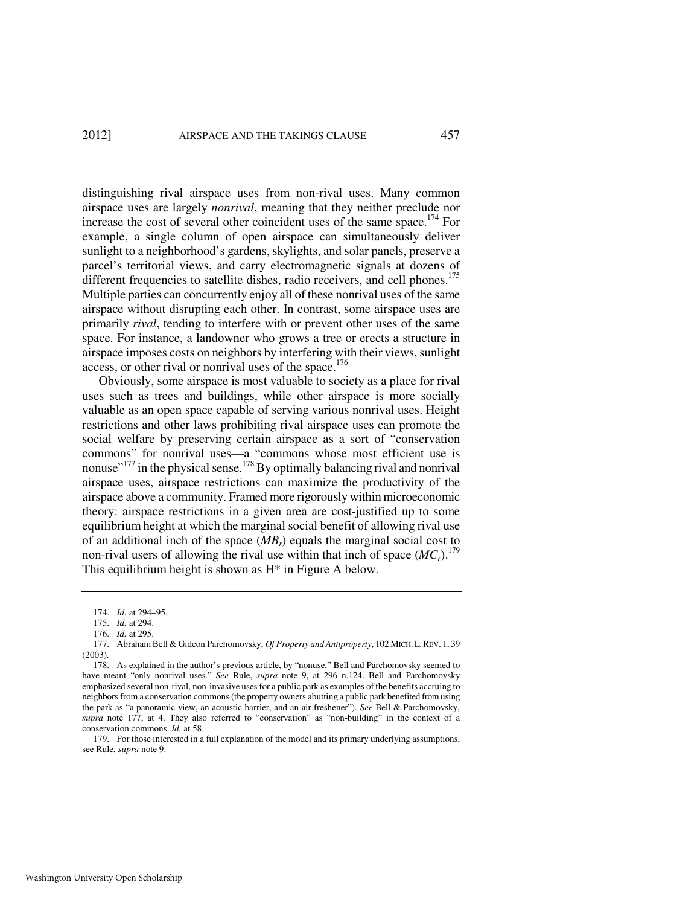distinguishing rival airspace uses from non-rival uses. Many common airspace uses are largely *nonrival*, meaning that they neither preclude nor increase the cost of several other coincident uses of the same space.<sup>174</sup> For example, a single column of open airspace can simultaneously deliver sunlight to a neighborhood's gardens, skylights, and solar panels, preserve a parcel's territorial views, and carry electromagnetic signals at dozens of different frequencies to satellite dishes, radio receivers, and cell phones.<sup>175</sup> Multiple parties can concurrently enjoy all of these nonrival uses of the same airspace without disrupting each other. In contrast, some airspace uses are primarily *rival*, tending to interfere with or prevent other uses of the same space. For instance, a landowner who grows a tree or erects a structure in airspace imposes costs on neighbors by interfering with their views, sunlight access, or other rival or nonrival uses of the space.<sup>176</sup>

Obviously, some airspace is most valuable to society as a place for rival uses such as trees and buildings, while other airspace is more socially valuable as an open space capable of serving various nonrival uses. Height restrictions and other laws prohibiting rival airspace uses can promote the social welfare by preserving certain airspace as a sort of "conservation commons" for nonrival uses—a "commons whose most efficient use is nonuse"<sup>177</sup> in the physical sense.<sup>178</sup> By optimally balancing rival and nonrival airspace uses, airspace restrictions can maximize the productivity of the airspace above a community. Framed more rigorously within microeconomic theory: airspace restrictions in a given area are cost-justified up to some equilibrium height at which the marginal social benefit of allowing rival use of an additional inch of the space (*MBr*) equals the marginal social cost to non-rival users of allowing the rival use within that inch of space  $(MC_r)$ .<sup>179</sup> This equilibrium height is shown as H\* in Figure A below.

 179. For those interested in a full explanation of the model and its primary underlying assumptions, see Rule, *supra* note 9.

 <sup>174.</sup> *Id.* at 294–95.

 <sup>175.</sup> *Id.* at 294.

 <sup>176.</sup> *Id.* at 295.

<sup>177.</sup> Abraham Bell & Gideon Parchomovsky, *Of Property and Antiproperty*, 102 MICH.L.REV. 1, 39 (2003).

 <sup>178.</sup> As explained in the author's previous article, by "nonuse," Bell and Parchomovsky seemed to have meant "only nonrival uses." *See* Rule, *supra* note 9, at 296 n.124. Bell and Parchomovsky emphasized several non-rival, non-invasive uses for a public park as examples of the benefits accruing to neighbors from a conservation commons (the property owners abutting a public park benefited from using the park as "a panoramic view, an acoustic barrier, and an air freshener"). *See* Bell & Parchomovsky, *supra* note 177, at 4. They also referred to "conservation" as "non-building" in the context of a conservation commons. *Id.* at 58.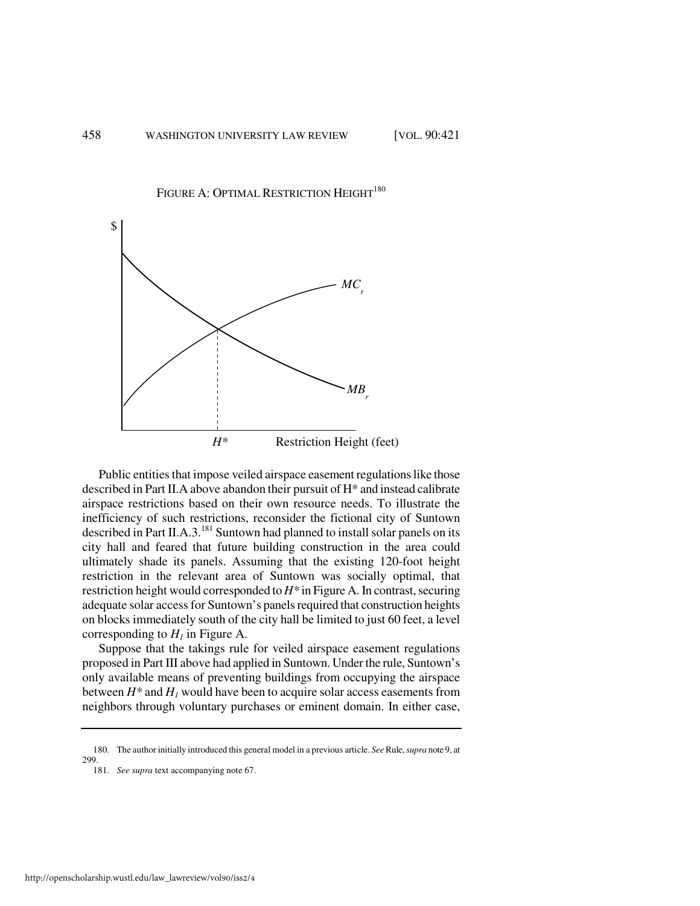



Public entities that impose veiled airspace easement regulations like those described in Part II.A above abandon their pursuit of H\* and instead calibrate airspace restrictions based on their own resource needs. To illustrate the inefficiency of such restrictions, reconsider the fictional city of Suntown described in Part II.A.3.<sup>181</sup> Suntown had planned to install solar panels on its city hall and feared that future building construction in the area could ultimately shade its panels. Assuming that the existing 120-foot height restriction in the relevant area of Suntown was socially optimal, that restriction height would corresponded to *H\** in Figure A. In contrast, securing adequate solar access for Suntown's panels required that construction heights on blocks immediately south of the city hall be limited to just 60 feet, a level corresponding to  $H<sub>1</sub>$  in Figure A.

Suppose that the takings rule for veiled airspace easement regulations proposed in Part III above had applied in Suntown. Under the rule, Suntown's only available means of preventing buildings from occupying the airspace between  $H^*$  and  $H_I$  would have been to acquire solar access easements from neighbors through voluntary purchases or eminent domain. In either case,

 <sup>180.</sup> The author initially introduced this general model in a previous article. *See* Rule, *supra* note 9, at 299

 <sup>181.</sup> *See supra* text accompanying note 67.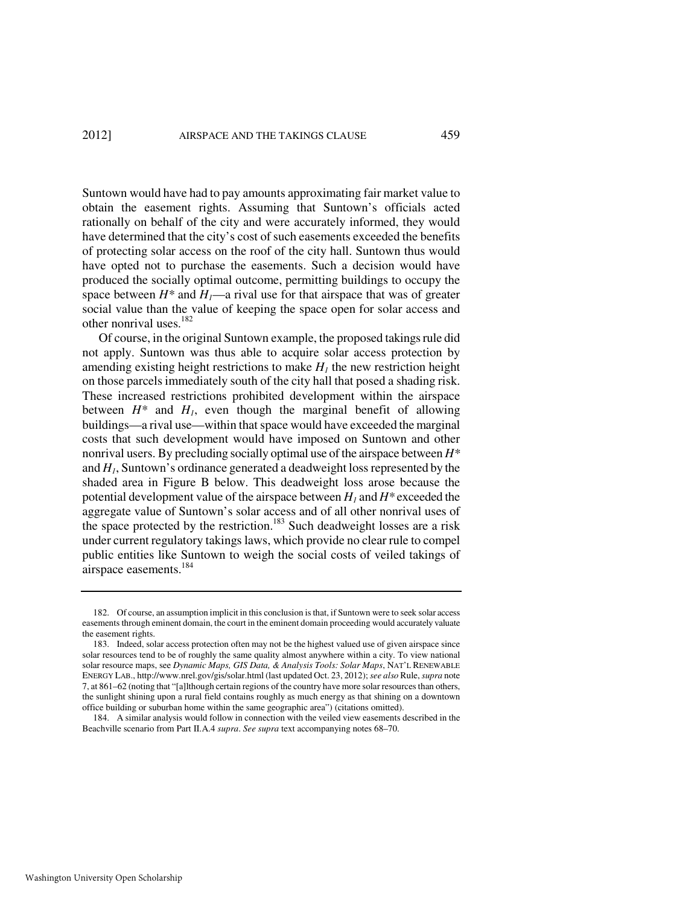Suntown would have had to pay amounts approximating fair market value to obtain the easement rights. Assuming that Suntown's officials acted rationally on behalf of the city and were accurately informed, they would have determined that the city's cost of such easements exceeded the benefits of protecting solar access on the roof of the city hall. Suntown thus would have opted not to purchase the easements. Such a decision would have produced the socially optimal outcome, permitting buildings to occupy the space between  $H^*$  and  $H_1$ —a rival use for that airspace that was of greater social value than the value of keeping the space open for solar access and other nonrival uses.<sup>182</sup>

Of course, in the original Suntown example, the proposed takings rule did not apply. Suntown was thus able to acquire solar access protection by amending existing height restrictions to make  $H<sub>I</sub>$  the new restriction height on those parcels immediately south of the city hall that posed a shading risk. These increased restrictions prohibited development within the airspace between  $H^*$  and  $H_1$ , even though the marginal benefit of allowing buildings—a rival use—within that space would have exceeded the marginal costs that such development would have imposed on Suntown and other nonrival users. By precluding socially optimal use of the airspace between *H\** and *H1*, Suntown's ordinance generated a deadweight loss represented by the shaded area in Figure B below. This deadweight loss arose because the potential development value of the airspace between *H1* and *H\** exceeded the aggregate value of Suntown's solar access and of all other nonrival uses of the space protected by the restriction.<sup>183</sup> Such deadweight losses are a risk under current regulatory takings laws, which provide no clear rule to compel public entities like Suntown to weigh the social costs of veiled takings of airspace easements.<sup>184</sup>

 <sup>182.</sup> Of course, an assumption implicit in this conclusion is that, if Suntown were to seek solar access easements through eminent domain, the court in the eminent domain proceeding would accurately valuate the easement rights.

 <sup>183.</sup> Indeed, solar access protection often may not be the highest valued use of given airspace since solar resources tend to be of roughly the same quality almost anywhere within a city. To view national solar resource maps, see *Dynamic Maps, GIS Data, & Analysis Tools: Solar Maps*, NAT'L RENEWABLE ENERGY LAB., http://www.nrel.gov/gis/solar.html (last updated Oct. 23, 2012); *see also* Rule, *supra* note 7, at 861–62 (noting that "[a]lthough certain regions of the country have more solar resources than others, the sunlight shining upon a rural field contains roughly as much energy as that shining on a downtown office building or suburban home within the same geographic area") (citations omitted).

 <sup>184.</sup> A similar analysis would follow in connection with the veiled view easements described in the Beachville scenario from Part II.A.4 *supra*. *See supra* text accompanying notes 68–70.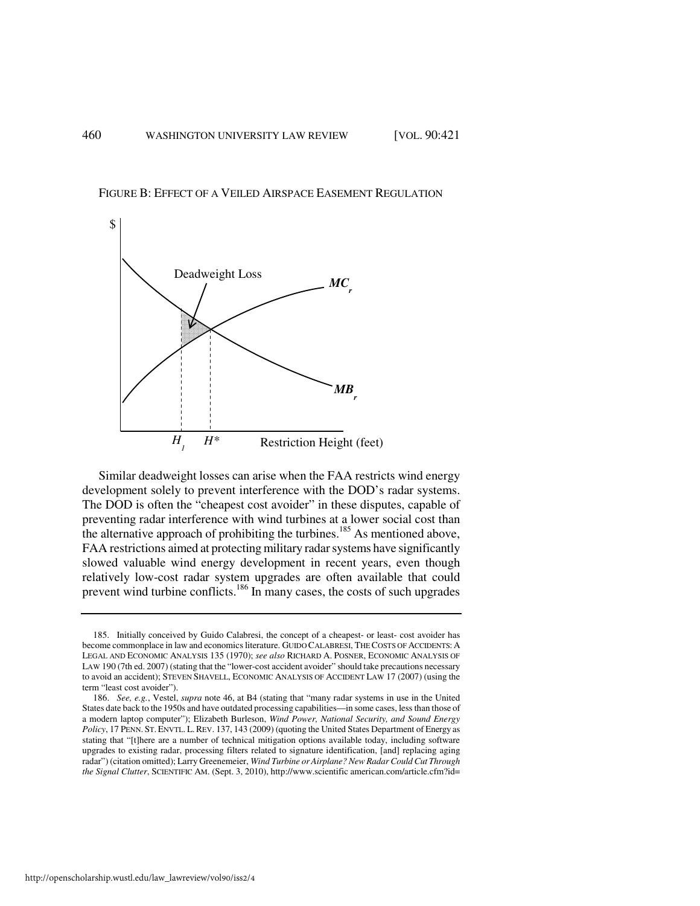FIGURE B: EFFECT OF A VEILED AIRSPACE EASEMENT REGULATION



Similar deadweight losses can arise when the FAA restricts wind energy development solely to prevent interference with the DOD's radar systems. The DOD is often the "cheapest cost avoider" in these disputes, capable of preventing radar interference with wind turbines at a lower social cost than the alternative approach of prohibiting the turbines.<sup>185</sup> As mentioned above, FAA restrictions aimed at protecting military radar systems have significantly slowed valuable wind energy development in recent years, even though relatively low-cost radar system upgrades are often available that could prevent wind turbine conflicts.<sup>186</sup> In many cases, the costs of such upgrades

http://openscholarship.wustl.edu/law\_lawreview/vol90/iss2/4

 <sup>185.</sup> Initially conceived by Guido Calabresi, the concept of a cheapest- or least- cost avoider has become commonplace in law and economics literature. GUIDO CALABRESI, THE COSTS OF ACCIDENTS: A LEGAL AND ECONOMIC ANALYSIS 135 (1970); *see also* RICHARD A. POSNER, ECONOMIC ANALYSIS OF LAW 190 (7th ed. 2007) (stating that the "lower-cost accident avoider" should take precautions necessary to avoid an accident); STEVEN SHAVELL, ECONOMIC ANALYSIS OF ACCIDENT LAW 17 (2007) (using the term "least cost avoider").

 <sup>186.</sup> *See, e.g.*, Vestel, *supra* note 46, at B4 (stating that "many radar systems in use in the United States date back to the 1950s and have outdated processing capabilities—in some cases, less than those of a modern laptop computer"); Elizabeth Burleson, *Wind Power, National Security, and Sound Energy Policy*, 17 PENN. ST. ENVTL. L.REV. 137, 143 (2009) (quoting the United States Department of Energy as stating that "[t]here are a number of technical mitigation options available today, including software upgrades to existing radar, processing filters related to signature identification, [and] replacing aging radar") (citation omitted); Larry Greenemeier, *Wind Turbine or Airplane? New Radar Could Cut Through the Signal Clutter*, SCIENTIFIC AM. (Sept. 3, 2010), http://www.scientific american.com/article.cfm?id=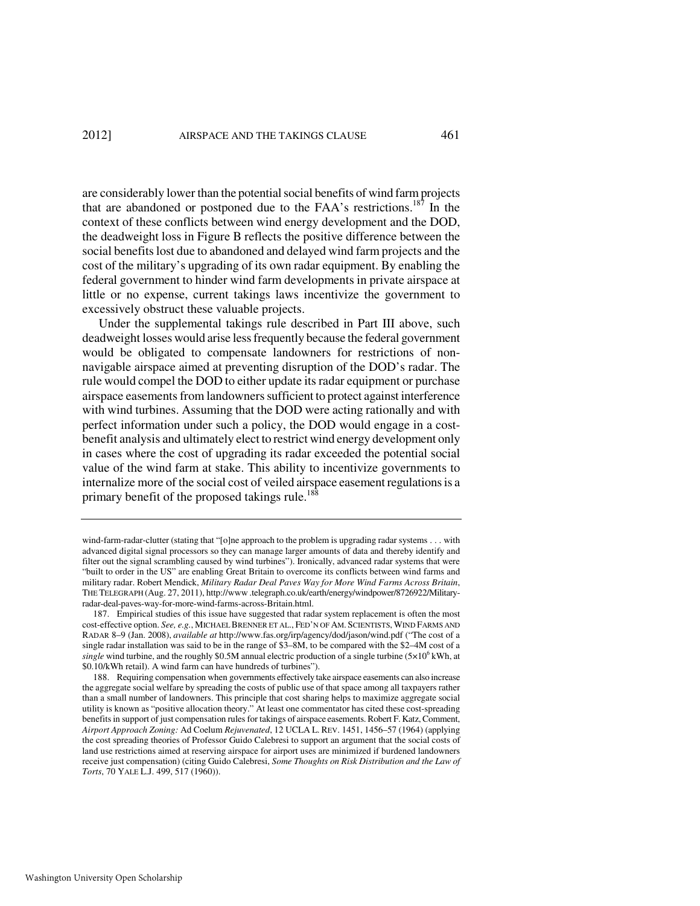are considerably lower than the potential social benefits of wind farm projects that are abandoned or postponed due to the FAA's restrictions.<sup>187</sup> In the context of these conflicts between wind energy development and the DOD, the deadweight loss in Figure B reflects the positive difference between the social benefits lost due to abandoned and delayed wind farm projects and the cost of the military's upgrading of its own radar equipment. By enabling the federal government to hinder wind farm developments in private airspace at little or no expense, current takings laws incentivize the government to excessively obstruct these valuable projects.

Under the supplemental takings rule described in Part III above, such deadweight losses would arise less frequently because the federal government would be obligated to compensate landowners for restrictions of nonnavigable airspace aimed at preventing disruption of the DOD's radar. The rule would compel the DOD to either update its radar equipment or purchase airspace easements from landowners sufficient to protect against interference with wind turbines. Assuming that the DOD were acting rationally and with perfect information under such a policy, the DOD would engage in a costbenefit analysis and ultimately elect to restrict wind energy development only in cases where the cost of upgrading its radar exceeded the potential social value of the wind farm at stake. This ability to incentivize governments to internalize more of the social cost of veiled airspace easement regulations is a primary benefit of the proposed takings rule.<sup>188</sup>

wind-farm-radar-clutter (stating that "[o]ne approach to the problem is upgrading radar systems . . . with advanced digital signal processors so they can manage larger amounts of data and thereby identify and filter out the signal scrambling caused by wind turbines"). Ironically, advanced radar systems that were "built to order in the US" are enabling Great Britain to overcome its conflicts between wind farms and military radar. Robert Mendick, *Military Radar Deal Paves Way for More Wind Farms Across Britain*, THE TELEGRAPH (Aug. 27, 2011), http://www .telegraph.co.uk/earth/energy/windpower/8726922/Militaryradar-deal-paves-way-for-more-wind-farms-across-Britain.html.

 <sup>187.</sup> Empirical studies of this issue have suggested that radar system replacement is often the most cost-effective option. *See, e.g.*, MICHAEL BRENNER ET AL., FED'N OF AM. SCIENTISTS, WIND FARMS AND RADAR 8–9 (Jan. 2008), *available at* http://www.fas.org/irp/agency/dod/jason/wind.pdf ("The cost of a single radar installation was said to be in the range of \$3–8M, to be compared with the \$2–4M cost of a  $single$  wind turbine, and the roughly \$0.5M annual electric production of a single turbine ( $5\times10^6$  kWh, at \$0.10/kWh retail). A wind farm can have hundreds of turbines").

 <sup>188.</sup> Requiring compensation when governments effectively take airspace easements can also increase the aggregate social welfare by spreading the costs of public use of that space among all taxpayers rather than a small number of landowners. This principle that cost sharing helps to maximize aggregate social utility is known as "positive allocation theory." At least one commentator has cited these cost-spreading benefits in support of just compensation rules for takings of airspace easements. Robert F. Katz, Comment, *Airport Approach Zoning:* Ad Coelum *Rejuvenated*, 12 UCLA L. REV. 1451, 1456–57 (1964) (applying the cost spreading theories of Professor Guido Calebresi to support an argument that the social costs of land use restrictions aimed at reserving airspace for airport uses are minimized if burdened landowners receive just compensation) (citing Guido Calebresi, *Some Thoughts on Risk Distribution and the Law of Torts*, 70 YALE L.J. 499, 517 (1960)).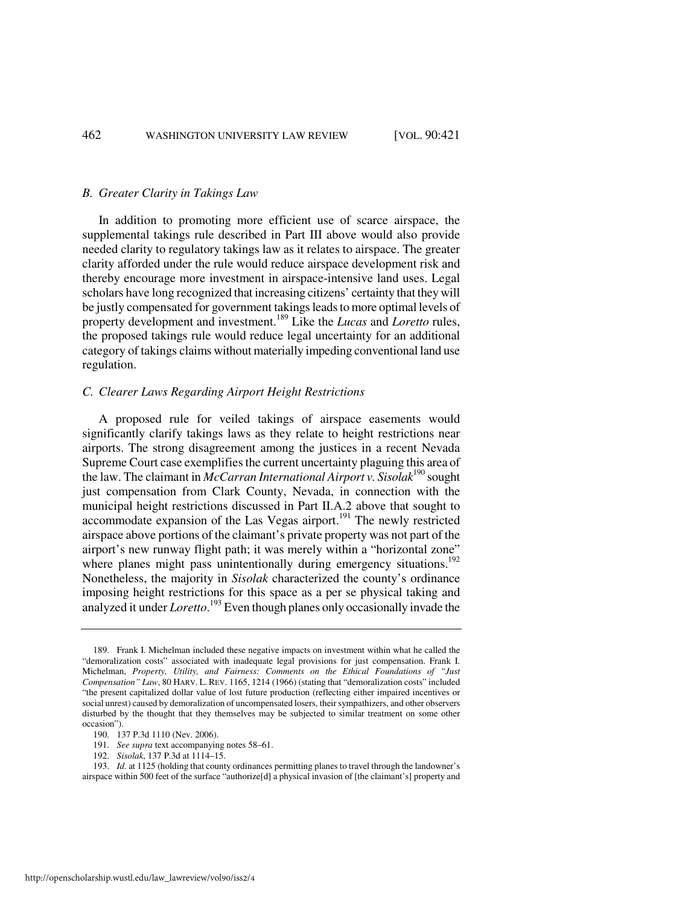#### *B. Greater Clarity in Takings Law*

In addition to promoting more efficient use of scarce airspace, the supplemental takings rule described in Part III above would also provide needed clarity to regulatory takings law as it relates to airspace. The greater clarity afforded under the rule would reduce airspace development risk and thereby encourage more investment in airspace-intensive land uses. Legal scholars have long recognized that increasing citizens' certainty that they will be justly compensated for government takings leads to more optimal levels of property development and investment.<sup>189</sup> Like the *Lucas* and *Loretto* rules, the proposed takings rule would reduce legal uncertainty for an additional category of takings claims without materially impeding conventional land use regulation.

#### *C. Clearer Laws Regarding Airport Height Restrictions*

A proposed rule for veiled takings of airspace easements would significantly clarify takings laws as they relate to height restrictions near airports. The strong disagreement among the justices in a recent Nevada Supreme Court case exemplifies the current uncertainty plaguing this area of the law. The claimant in *McCarran International Airport v. Sisolak*<sup>190</sup> sought just compensation from Clark County, Nevada, in connection with the municipal height restrictions discussed in Part II.A.2 above that sought to  $\alpha$  accommodate expansion of the Las Vegas airport.<sup>191</sup> The newly restricted airspace above portions of the claimant's private property was not part of the airport's new runway flight path; it was merely within a "horizontal zone" where planes might pass unintentionally during emergency situations.<sup>192</sup> Nonetheless, the majority in *Sisolak* characterized the county's ordinance imposing height restrictions for this space as a per se physical taking and analyzed it under *Loretto*. <sup>193</sup> Even though planes only occasionally invade the

 193. *Id.* at 1125 (holding that county ordinances permitting planes to travel through the landowner's airspace within 500 feet of the surface "authorize[d] a physical invasion of [the claimant's] property and

 <sup>189.</sup> Frank I. Michelman included these negative impacts on investment within what he called the "demoralization costs" associated with inadequate legal provisions for just compensation. Frank I. Michelman, *Property, Utility, and Fairness: Comments on the Ethical Foundations of "Just Compensation" Law*, 80 HARV. L. REV. 1165, 1214 (1966) (stating that "demoralization costs" included "the present capitalized dollar value of lost future production (reflecting either impaired incentives or social unrest) caused by demoralization of uncompensated losers, their sympathizers, and other observers disturbed by the thought that they themselves may be subjected to similar treatment on some other occasion").

 <sup>190. 137</sup> P.3d 1110 (Nev. 2006).

 <sup>191.</sup> *See supra* text accompanying notes 58–61.

 <sup>192.</sup> *Sisolak*, 137 P.3d at 1114–15.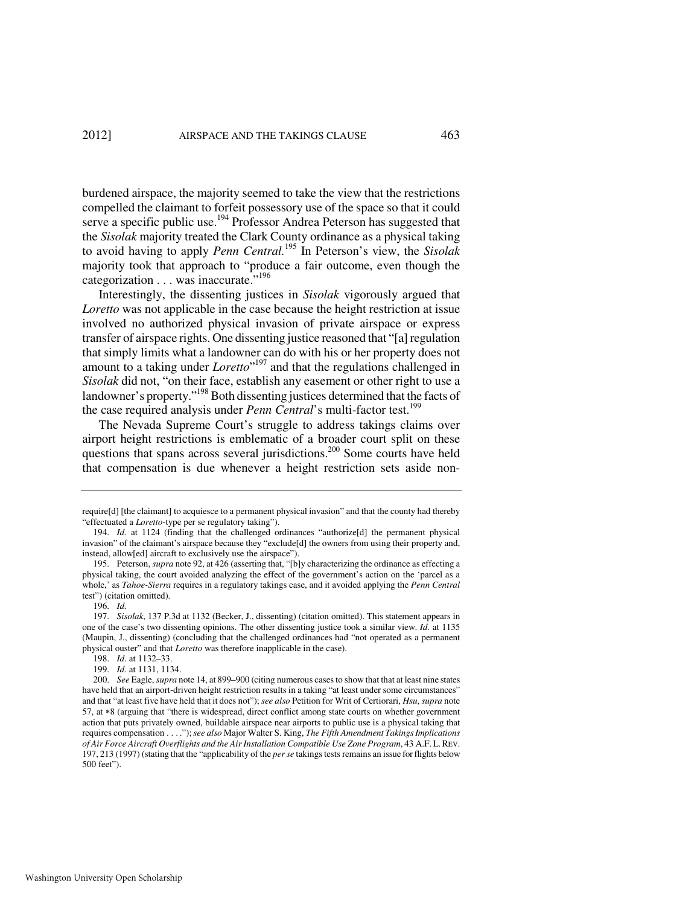burdened airspace, the majority seemed to take the view that the restrictions compelled the claimant to forfeit possessory use of the space so that it could serve a specific public use.<sup>194</sup> Professor Andrea Peterson has suggested that the *Sisolak* majority treated the Clark County ordinance as a physical taking to avoid having to apply *Penn Central.*<sup>195</sup> In Peterson's view, the *Sisolak*  majority took that approach to "produce a fair outcome, even though the categorization . . . was inaccurate."<sup>196</sup>

Interestingly, the dissenting justices in *Sisolak* vigorously argued that *Loretto* was not applicable in the case because the height restriction at issue involved no authorized physical invasion of private airspace or express transfer of airspace rights. One dissenting justice reasoned that "[a] regulation that simply limits what a landowner can do with his or her property does not amount to a taking under *Loretto*" <sup>197</sup> and that the regulations challenged in *Sisolak* did not, "on their face, establish any easement or other right to use a landowner's property."<sup>198</sup> Both dissenting justices determined that the facts of the case required analysis under *Penn Central*'s multi-factor test.<sup>199</sup>

The Nevada Supreme Court's struggle to address takings claims over airport height restrictions is emblematic of a broader court split on these questions that spans across several jurisdictions.<sup>200</sup> Some courts have held that compensation is due whenever a height restriction sets aside non-

require[d] [the claimant] to acquiesce to a permanent physical invasion" and that the county had thereby "effectuated a *Loretto*-type per se regulatory taking").

 <sup>194.</sup> *Id.* at 1124 (finding that the challenged ordinances "authorize[d] the permanent physical invasion" of the claimant's airspace because they "exclude[d] the owners from using their property and, instead, allow[ed] aircraft to exclusively use the airspace").

 <sup>195.</sup> Peterson, *supra* note 92, at 426 (asserting that, "[b]y characterizing the ordinance as effecting a physical taking, the court avoided analyzing the effect of the government's action on the 'parcel as a whole,' as *Tahoe-Sierra* requires in a regulatory takings case, and it avoided applying the *Penn Central* test") (citation omitted).

 <sup>196.</sup> *Id.*

 <sup>197.</sup> *Sisolak*, 137 P.3d at 1132 (Becker, J., dissenting) (citation omitted). This statement appears in one of the case's two dissenting opinions. The other dissenting justice took a similar view. *Id.* at 1135 (Maupin, J., dissenting) (concluding that the challenged ordinances had "not operated as a permanent physical ouster" and that *Loretto* was therefore inapplicable in the case).

 <sup>198.</sup> *Id.* at 1132–33.

 <sup>199.</sup> *Id.* at 1131, 1134.

 <sup>200.</sup> *See* Eagle, *supra* note 14, at 899–900 (citing numerous cases to show that that at least nine states have held that an airport-driven height restriction results in a taking "at least under some circumstances" and that "at least five have held that it does not"); *see also* Petition for Writ of Certiorari, *Hsu*, *supra* note 57, at ∗8 (arguing that "there is widespread, direct conflict among state courts on whether government action that puts privately owned, buildable airspace near airports to public use is a physical taking that requires compensation . . . ."); *see also* Major Walter S. King, *The Fifth Amendment Takings Implications of Air Force Aircraft Overflights and the Air Installation Compatible Use Zone Program*, 43 A.F. L. REV. 197, 213 (1997) (stating that the "applicability of the *per se* takings tests remains an issue for flights below 500 feet").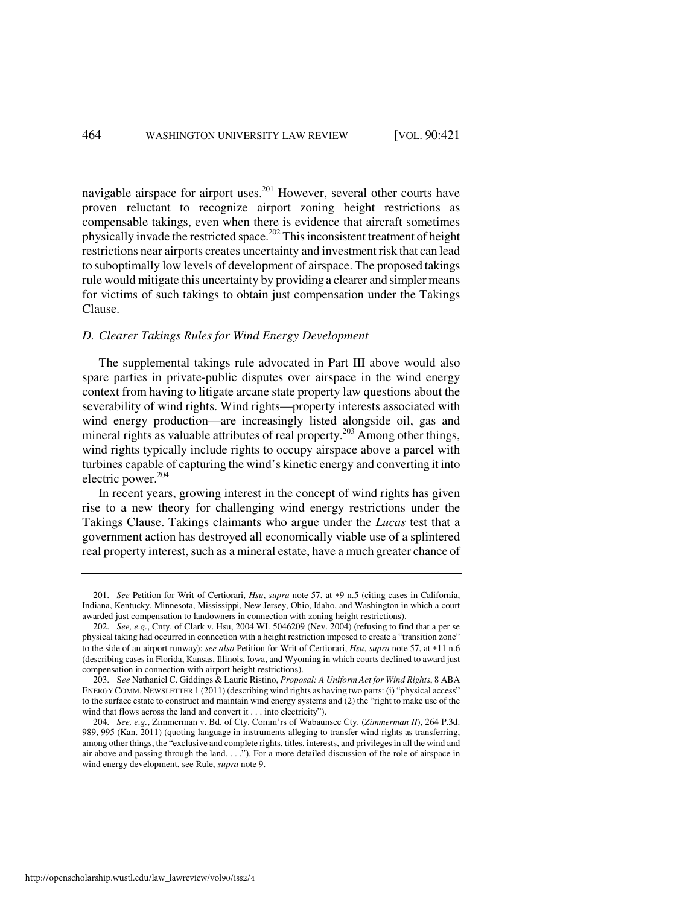navigable airspace for airport uses.<sup>201</sup> However, several other courts have proven reluctant to recognize airport zoning height restrictions as compensable takings, even when there is evidence that aircraft sometimes physically invade the restricted space.<sup>202</sup> This inconsistent treatment of height restrictions near airports creates uncertainty and investment risk that can lead to suboptimally low levels of development of airspace. The proposed takings rule would mitigate this uncertainty by providing a clearer and simpler means for victims of such takings to obtain just compensation under the Takings Clause.

#### *D. Clearer Takings Rules for Wind Energy Development*

The supplemental takings rule advocated in Part III above would also spare parties in private-public disputes over airspace in the wind energy context from having to litigate arcane state property law questions about the severability of wind rights. Wind rights—property interests associated with wind energy production—are increasingly listed alongside oil, gas and mineral rights as valuable attributes of real property.<sup>203</sup> Among other things, wind rights typically include rights to occupy airspace above a parcel with turbines capable of capturing the wind's kinetic energy and converting it into electric power.<sup>204</sup>

In recent years, growing interest in the concept of wind rights has given rise to a new theory for challenging wind energy restrictions under the Takings Clause. Takings claimants who argue under the *Lucas* test that a government action has destroyed all economically viable use of a splintered real property interest, such as a mineral estate, have a much greater chance of

 <sup>201.</sup> *See* Petition for Writ of Certiorari, *Hsu*, *supra* note 57, at ∗9 n.5 (citing cases in California, Indiana, Kentucky, Minnesota, Mississippi, New Jersey, Ohio, Idaho, and Washington in which a court awarded just compensation to landowners in connection with zoning height restrictions).

 <sup>202.</sup> *See, e.g.*, Cnty. of Clark v. Hsu, 2004 WL 5046209 (Nev. 2004) (refusing to find that a per se physical taking had occurred in connection with a height restriction imposed to create a "transition zone" to the side of an airport runway); *see also* Petition for Writ of Certiorari, *Hsu*, *supra* note 57, at ∗11 n.6 (describing cases in Florida, Kansas, Illinois, Iowa, and Wyoming in which courts declined to award just compensation in connection with airport height restrictions).

 <sup>203.</sup> S*ee* Nathaniel C. Giddings & Laurie Ristino, *Proposal: A Uniform Act for Wind Rights*, 8 ABA ENERGY COMM. NEWSLETTER 1 (2011) (describing wind rights as having two parts: (i) "physical access" to the surface estate to construct and maintain wind energy systems and (2) the "right to make use of the wind that flows across the land and convert it . . . into electricity").

 <sup>204.</sup> *See, e.g.*, Zimmerman v. Bd. of Cty. Comm'rs of Wabaunsee Cty. (*Zimmerman II*), 264 P.3d. 989, 995 (Kan. 2011) (quoting language in instruments alleging to transfer wind rights as transferring, among other things, the "exclusive and complete rights, titles, interests, and privileges in all the wind and air above and passing through the land. . . ."). For a more detailed discussion of the role of airspace in wind energy development, see Rule, *supra* note 9.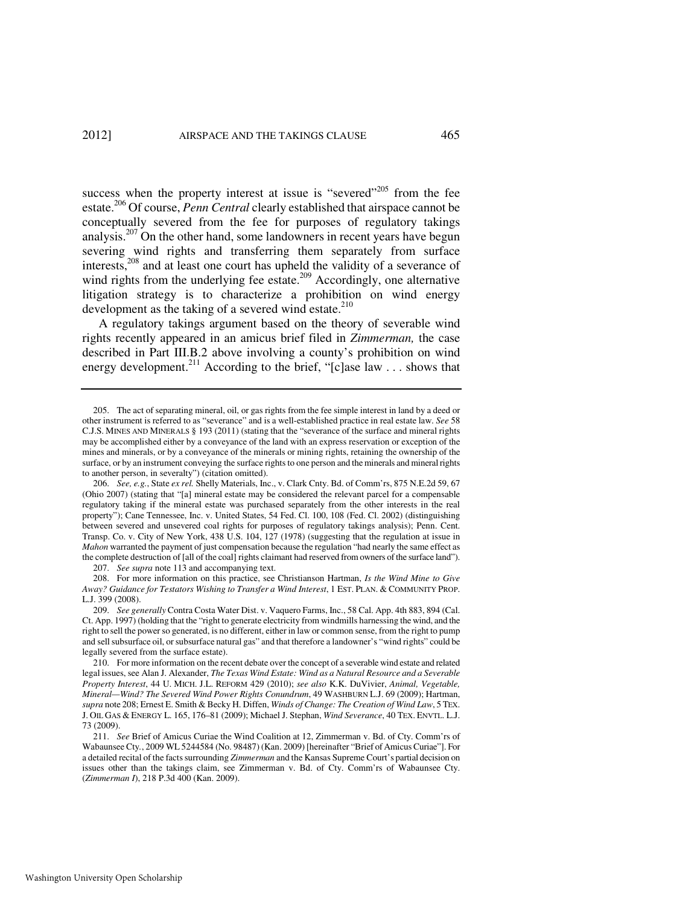success when the property interest at issue is "severed"<sup>205</sup> from the fee estate.<sup>206</sup> Of course, *Penn Central* clearly established that airspace cannot be conceptually severed from the fee for purposes of regulatory takings analysis.<sup>207</sup> On the other hand, some landowners in recent years have begun severing wind rights and transferring them separately from surface interests,<sup>208</sup> and at least one court has upheld the validity of a severance of wind rights from the underlying fee estate.<sup>209</sup> Accordingly, one alternative litigation strategy is to characterize a prohibition on wind energy development as the taking of a severed wind estate. $210$ 

A regulatory takings argument based on the theory of severable wind rights recently appeared in an amicus brief filed in *Zimmerman,* the case described in Part III.B.2 above involving a county's prohibition on wind energy development.<sup>211</sup> According to the brief, "[c]ase law ... shows that

207. *See supra* note 113 and accompanying text.

 208. For more information on this practice, see Christianson Hartman, *Is the Wind Mine to Give Away? Guidance for Testators Wishing to Transfer a Wind Interest*, 1 EST. PLAN. & COMMUNITY PROP. L.J. 399 (2008).

 <sup>205.</sup> The act of separating mineral, oil, or gas rights from the fee simple interest in land by a deed or other instrument is referred to as "severance" and is a well-established practice in real estate law. *See* 58 C.J.S. MINES AND MINERALS § 193 (2011) (stating that the "severance of the surface and mineral rights may be accomplished either by a conveyance of the land with an express reservation or exception of the mines and minerals, or by a conveyance of the minerals or mining rights, retaining the ownership of the surface, or by an instrument conveying the surface rights to one person and the minerals and mineral rights to another person, in severalty") (citation omitted).

 <sup>206.</sup> *See, e.g.*, State *ex rel.* Shelly Materials, Inc., v. Clark Cnty. Bd. of Comm'rs, 875 N.E.2d 59, 67 (Ohio 2007) (stating that "[a] mineral estate may be considered the relevant parcel for a compensable regulatory taking if the mineral estate was purchased separately from the other interests in the real property"); Cane Tennessee, Inc. v. United States, 54 Fed. Cl. 100, 108 (Fed. Cl. 2002) (distinguishing between severed and unsevered coal rights for purposes of regulatory takings analysis); Penn. Cent. Transp. Co. v. City of New York, 438 U.S. 104, 127 (1978) (suggesting that the regulation at issue in *Mahon* warranted the payment of just compensation because the regulation "had nearly the same effect as the complete destruction of [all of the coal] rights claimant had reserved from owners of the surface land").

 <sup>209.</sup> *See generally* Contra Costa Water Dist. v. Vaquero Farms, Inc., 58 Cal. App. 4th 883, 894 (Cal. Ct. App. 1997) (holding that the "right to generate electricity from windmills harnessing the wind, and the right to sell the power so generated, is no different, either in law or common sense, from the right to pump and sell subsurface oil, or subsurface natural gas" and that therefore a landowner's "wind rights" could be legally severed from the surface estate).

 <sup>210.</sup> For more information on the recent debate over the concept of a severable wind estate and related legal issues, see Alan J. Alexander, *The Texas Wind Estate: Wind as a Natural Resource and a Severable Property Interest*, 44 U. MICH. J.L. REFORM 429 (2010); *see also* K.K. DuVivier, *Animal, Vegetable, Mineral—Wind? The Severed Wind Power Rights Conundrum*, 49 WASHBURN L.J. 69 (2009); Hartman, *supra* note 208; Ernest E. Smith & Becky H. Diffen, *Winds of Change: The Creation of Wind Law*, 5 TEX. J. OIL GAS & ENERGY L. 165, 176–81 (2009); Michael J. Stephan, *Wind Severance*, 40 TEX. ENVTL. L.J. 73 (2009).

 <sup>211.</sup> *See* Brief of Amicus Curiae the Wind Coalition at 12, Zimmerman v. Bd. of Cty. Comm'rs of Wabaunsee Cty*.*, 2009 WL 5244584 (No. 98487) (Kan. 2009) [hereinafter "Brief of Amicus Curiae"]. For a detailed recital of the facts surrounding *Zimmerman* and the Kansas Supreme Court's partial decision on issues other than the takings claim, see Zimmerman v. Bd. of Cty. Comm'rs of Wabaunsee Cty. (*Zimmerman I*), 218 P.3d 400 (Kan. 2009).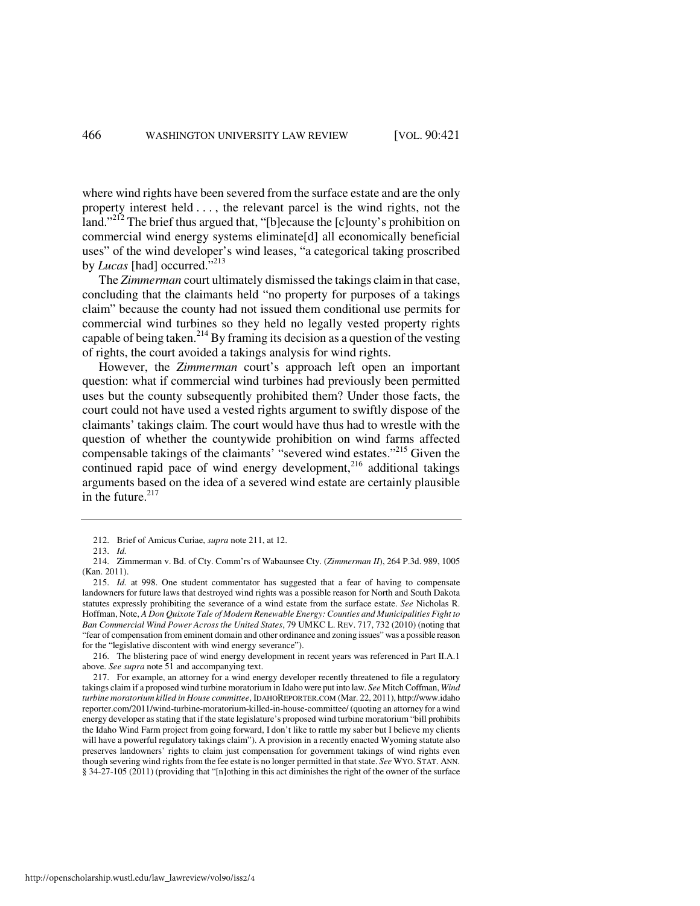where wind rights have been severed from the surface estate and are the only property interest held . . . , the relevant parcel is the wind rights, not the land."<sup>212</sup> The brief thus argued that, "[b]ecause the [c]ounty's prohibition on commercial wind energy systems eliminate[d] all economically beneficial uses" of the wind developer's wind leases, "a categorical taking proscribed by *Lucas* [had] occurred.<sup>5,213</sup>

The *Zimmerman* court ultimately dismissed the takings claim in that case, concluding that the claimants held "no property for purposes of a takings claim" because the county had not issued them conditional use permits for commercial wind turbines so they held no legally vested property rights capable of being taken.<sup>214</sup> By framing its decision as a question of the vesting of rights, the court avoided a takings analysis for wind rights.

However, the *Zimmerman* court's approach left open an important question: what if commercial wind turbines had previously been permitted uses but the county subsequently prohibited them? Under those facts, the court could not have used a vested rights argument to swiftly dispose of the claimants' takings claim. The court would have thus had to wrestle with the question of whether the countywide prohibition on wind farms affected compensable takings of the claimants' "severed wind estates."<sup>215</sup> Given the continued rapid pace of wind energy development, $216$  additional takings arguments based on the idea of a severed wind estate are certainly plausible in the future. $217$ 

 <sup>212.</sup> Brief of Amicus Curiae, *supra* note 211, at 12.

 <sup>213.</sup> *Id.*

 <sup>214.</sup> Zimmerman v. Bd. of Cty. Comm'rs of Wabaunsee Cty. (*Zimmerman II*), 264 P.3d. 989, 1005 (Kan. 2011).

 <sup>215.</sup> *Id.* at 998. One student commentator has suggested that a fear of having to compensate landowners for future laws that destroyed wind rights was a possible reason for North and South Dakota statutes expressly prohibiting the severance of a wind estate from the surface estate. *See* Nicholas R. Hoffman, Note, *A Don Quixote Tale of Modern Renewable Energy: Counties and Municipalities Fight to Ban Commercial Wind Power Across the United States*, 79 UMKC L. REV. 717, 732 (2010) (noting that "fear of compensation from eminent domain and other ordinance and zoning issues" was a possible reason for the "legislative discontent with wind energy severance").

 <sup>216.</sup> The blistering pace of wind energy development in recent years was referenced in Part II.A.1 above. *See supra* note 51 and accompanying text.

 <sup>217.</sup> For example, an attorney for a wind energy developer recently threatened to file a regulatory takings claim if a proposed wind turbine moratorium in Idaho were put into law. *See* Mitch Coffman, *Wind turbine moratorium killed in House committee*, IDAHOREPORTER.COM (Mar. 22, 2011), http://www.idaho reporter.com/2011/wind-turbine-moratorium-killed-in-house-committee/ (quoting an attorney for a wind energy developer as stating that if the state legislature's proposed wind turbine moratorium "bill prohibits the Idaho Wind Farm project from going forward, I don't like to rattle my saber but I believe my clients will have a powerful regulatory takings claim"). A provision in a recently enacted Wyoming statute also preserves landowners' rights to claim just compensation for government takings of wind rights even though severing wind rights from the fee estate is no longer permitted in that state. *See* WYO. STAT. ANN. § 34-27-105 (2011) (providing that "[n]othing in this act diminishes the right of the owner of the surface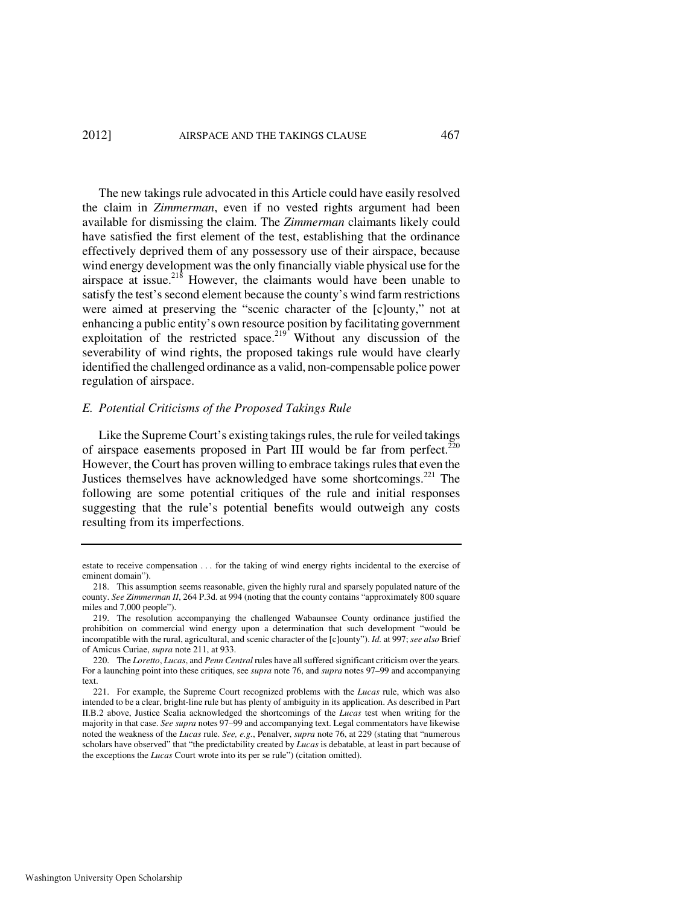#### 2012] AIRSPACE AND THE TAKINGS CLAUSE 467

The new takings rule advocated in this Article could have easily resolved the claim in *Zimmerman*, even if no vested rights argument had been available for dismissing the claim. The *Zimmerman* claimants likely could have satisfied the first element of the test, establishing that the ordinance effectively deprived them of any possessory use of their airspace, because wind energy development was the only financially viable physical use for the airspace at issue.<sup>218</sup> However, the claimants would have been unable to satisfy the test's second element because the county's wind farm restrictions were aimed at preserving the "scenic character of the [c]ounty," not at enhancing a public entity's own resource position by facilitating government exploitation of the restricted space.<sup>219</sup> Without any discussion of the severability of wind rights, the proposed takings rule would have clearly identified the challenged ordinance as a valid, non-compensable police power regulation of airspace.

# *E. Potential Criticisms of the Proposed Takings Rule*

Like the Supreme Court's existing takings rules, the rule for veiled takings of airspace easements proposed in Part III would be far from perfect.<sup>220</sup> However, the Court has proven willing to embrace takings rules that even the Justices themselves have acknowledged have some shortcomings. $^{221}$  The following are some potential critiques of the rule and initial responses suggesting that the rule's potential benefits would outweigh any costs resulting from its imperfections.

estate to receive compensation . . . for the taking of wind energy rights incidental to the exercise of eminent domain").

 <sup>218.</sup> This assumption seems reasonable, given the highly rural and sparsely populated nature of the county. *See Zimmerman II*, 264 P.3d. at 994 (noting that the county contains "approximately 800 square miles and 7,000 people").

 <sup>219.</sup> The resolution accompanying the challenged Wabaunsee County ordinance justified the prohibition on commercial wind energy upon a determination that such development "would be incompatible with the rural, agricultural, and scenic character of the [c]ounty"). *Id.* at 997; *see also* Brief of Amicus Curiae, *supra* note 211, at 933.

 <sup>220.</sup> The *Loretto*, *Lucas*, and *Penn Central* rules have all suffered significant criticism over the years. For a launching point into these critiques, see *supra* note 76, and *supra* notes 97–99 and accompanying text.

 <sup>221.</sup> For example, the Supreme Court recognized problems with the *Lucas* rule, which was also intended to be a clear, bright-line rule but has plenty of ambiguity in its application. As described in Part II.B.2 above, Justice Scalia acknowledged the shortcomings of the *Lucas* test when writing for the majority in that case. *See supra* notes 97–99 and accompanying text. Legal commentators have likewise noted the weakness of the *Lucas* rule. *See, e.g.*, Penalver, *supra* note 76, at 229 (stating that "numerous scholars have observed" that "the predictability created by *Lucas* is debatable, at least in part because of the exceptions the *Lucas* Court wrote into its per se rule") (citation omitted).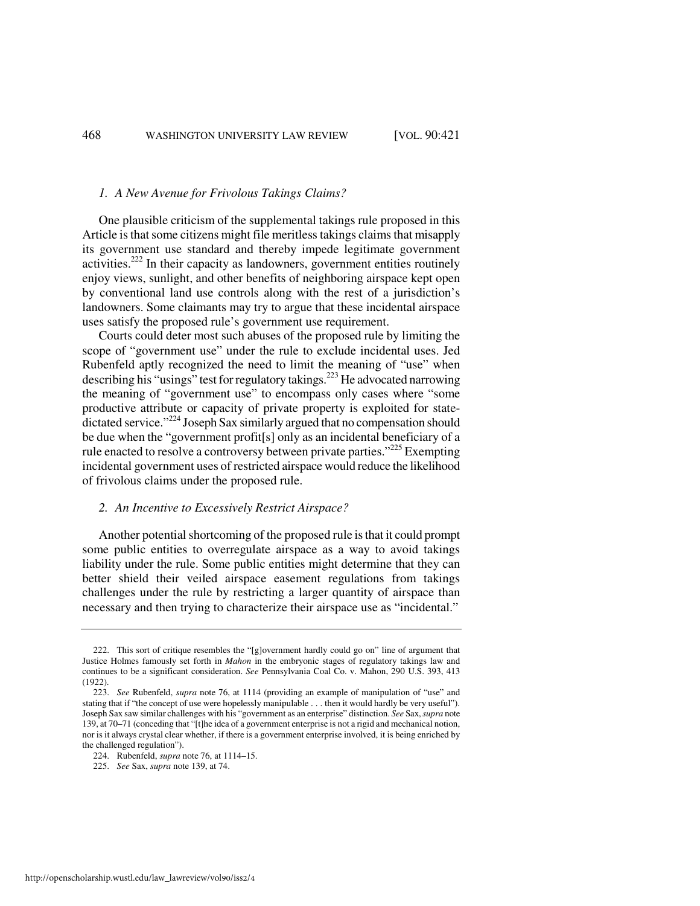#### *1. A New Avenue for Frivolous Takings Claims?*

One plausible criticism of the supplemental takings rule proposed in this Article is that some citizens might file meritless takings claims that misapply its government use standard and thereby impede legitimate government activities.<sup>222</sup> In their capacity as landowners, government entities routinely enjoy views, sunlight, and other benefits of neighboring airspace kept open by conventional land use controls along with the rest of a jurisdiction's landowners. Some claimants may try to argue that these incidental airspace uses satisfy the proposed rule's government use requirement.

Courts could deter most such abuses of the proposed rule by limiting the scope of "government use" under the rule to exclude incidental uses. Jed Rubenfeld aptly recognized the need to limit the meaning of "use" when describing his "usings" test for regulatory takings.<sup>223</sup> He advocated narrowing the meaning of "government use" to encompass only cases where "some productive attribute or capacity of private property is exploited for statedictated service."<sup>224</sup> Joseph Sax similarly argued that no compensation should be due when the "government profit[s] only as an incidental beneficiary of a rule enacted to resolve a controversy between private parties."<sup>225</sup> Exempting incidental government uses of restricted airspace would reduce the likelihood of frivolous claims under the proposed rule.

#### *2. An Incentive to Excessively Restrict Airspace?*

Another potential shortcoming of the proposed rule is that it could prompt some public entities to overregulate airspace as a way to avoid takings liability under the rule. Some public entities might determine that they can better shield their veiled airspace easement regulations from takings challenges under the rule by restricting a larger quantity of airspace than necessary and then trying to characterize their airspace use as "incidental."

 <sup>222.</sup> This sort of critique resembles the "[g]overnment hardly could go on" line of argument that Justice Holmes famously set forth in *Mahon* in the embryonic stages of regulatory takings law and continues to be a significant consideration. *See* Pennsylvania Coal Co. v. Mahon, 290 U.S. 393, 413 (1922).

 <sup>223.</sup> *See* Rubenfeld, *supra* note 76, at 1114 (providing an example of manipulation of "use" and stating that if "the concept of use were hopelessly manipulable . . . then it would hardly be very useful"). Joseph Sax saw similar challenges with his "government as an enterprise" distinction. *See* Sax, *supra* note 139, at 70–71 (conceding that "[t]he idea of a government enterprise is not a rigid and mechanical notion, nor is it always crystal clear whether, if there is a government enterprise involved, it is being enriched by the challenged regulation").

 <sup>224.</sup> Rubenfeld, *supra* note 76, at 1114–15.

 <sup>225.</sup> *See* Sax, *supra* note 139, at 74.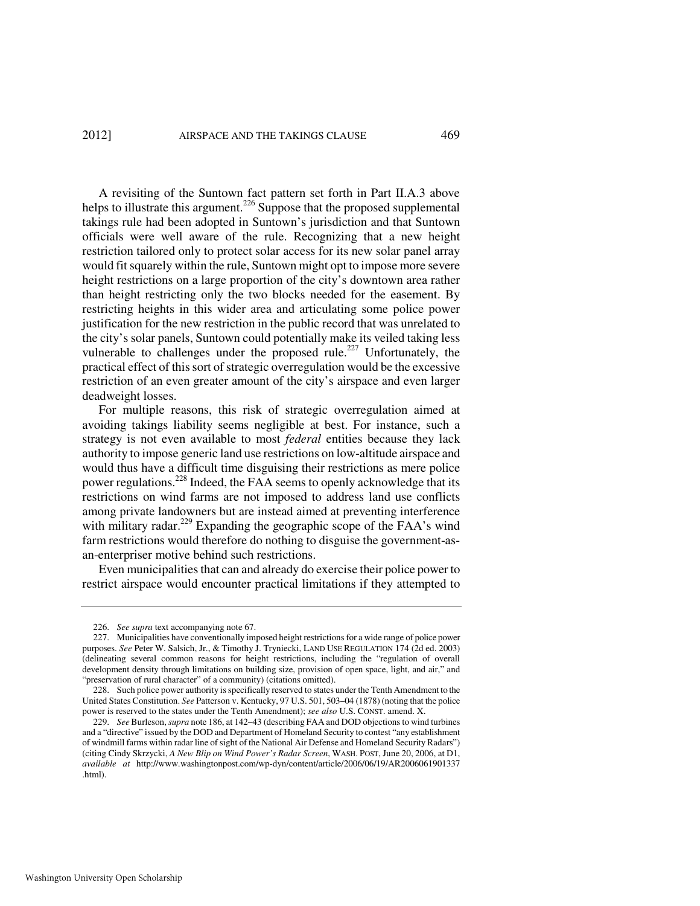#### 2012] AIRSPACE AND THE TAKINGS CLAUSE 469

A revisiting of the Suntown fact pattern set forth in Part II.A.3 above helps to illustrate this argument.<sup>226</sup> Suppose that the proposed supplemental takings rule had been adopted in Suntown's jurisdiction and that Suntown officials were well aware of the rule. Recognizing that a new height restriction tailored only to protect solar access for its new solar panel array would fit squarely within the rule, Suntown might opt to impose more severe height restrictions on a large proportion of the city's downtown area rather than height restricting only the two blocks needed for the easement. By restricting heights in this wider area and articulating some police power justification for the new restriction in the public record that was unrelated to the city's solar panels, Suntown could potentially make its veiled taking less vulnerable to challenges under the proposed rule.<sup>227</sup> Unfortunately, the practical effect of this sort of strategic overregulation would be the excessive restriction of an even greater amount of the city's airspace and even larger deadweight losses.

For multiple reasons, this risk of strategic overregulation aimed at avoiding takings liability seems negligible at best. For instance, such a strategy is not even available to most *federal* entities because they lack authority to impose generic land use restrictions on low-altitude airspace and would thus have a difficult time disguising their restrictions as mere police power regulations.<sup>228</sup> Indeed, the FAA seems to openly acknowledge that its restrictions on wind farms are not imposed to address land use conflicts among private landowners but are instead aimed at preventing interference with military radar.<sup>229</sup> Expanding the geographic scope of the FAA's wind farm restrictions would therefore do nothing to disguise the government-asan-enterpriser motive behind such restrictions.

Even municipalities that can and already do exercise their police power to restrict airspace would encounter practical limitations if they attempted to

 <sup>226.</sup> *See supra* text accompanying note 67.

 <sup>227.</sup> Municipalities have conventionally imposed height restrictions for a wide range of police power purposes. *See* Peter W. Salsich, Jr., & Timothy J. Tryniecki, LAND USE REGULATION 174 (2d ed. 2003) (delineating several common reasons for height restrictions, including the "regulation of overall development density through limitations on building size, provision of open space, light, and air," and "preservation of rural character" of a community) (citations omitted).

 <sup>228.</sup> Such police power authority is specifically reserved to states under the Tenth Amendment to the United States Constitution. *See* Patterson v. Kentucky, 97 U.S. 501, 503–04 (1878) (noting that the police power is reserved to the states under the Tenth Amendment); *see also* U.S. CONST. amend. X.

 <sup>229.</sup> *See* Burleson, *supra* note 186, at 142–43 (describing FAA and DOD objections to wind turbines and a "directive" issued by the DOD and Department of Homeland Security to contest "any establishment of windmill farms within radar line of sight of the National Air Defense and Homeland Security Radars") (citing Cindy Skrzycki, *A New Blip on Wind Power's Radar Screen*, WASH. POST, June 20, 2006, at D1, *available at* http://www.washingtonpost.com/wp-dyn/content/article/2006/06/19/AR2006061901337 .html).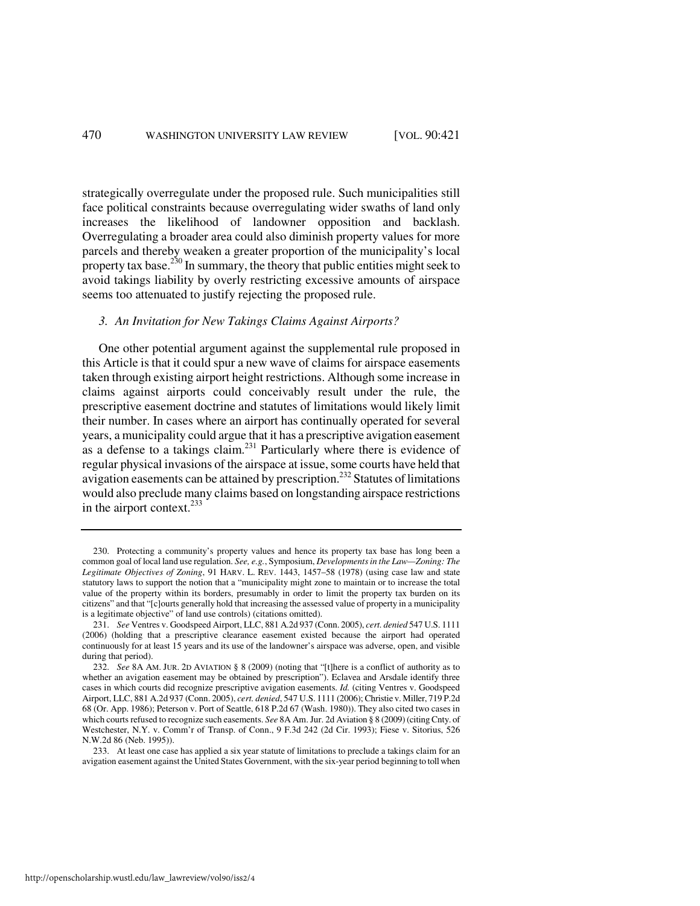strategically overregulate under the proposed rule. Such municipalities still face political constraints because overregulating wider swaths of land only increases the likelihood of landowner opposition and backlash. Overregulating a broader area could also diminish property values for more parcels and thereby weaken a greater proportion of the municipality's local property tax base.<sup>230</sup> In summary, the theory that public entities might seek to avoid takings liability by overly restricting excessive amounts of airspace seems too attenuated to justify rejecting the proposed rule.

#### *3. An Invitation for New Takings Claims Against Airports?*

One other potential argument against the supplemental rule proposed in this Article is that it could spur a new wave of claims for airspace easements taken through existing airport height restrictions. Although some increase in claims against airports could conceivably result under the rule, the prescriptive easement doctrine and statutes of limitations would likely limit their number. In cases where an airport has continually operated for several years, a municipality could argue that it has a prescriptive avigation easement as a defense to a takings claim.<sup>231</sup> Particularly where there is evidence of regular physical invasions of the airspace at issue, some courts have held that avigation easements can be attained by prescription.<sup>232</sup> Statutes of limitations would also preclude many claims based on longstanding airspace restrictions in the airport context.<sup>233</sup>

 233. At least one case has applied a six year statute of limitations to preclude a takings claim for an avigation easement against the United States Government, with the six-year period beginning to toll when

 <sup>230.</sup> Protecting a community's property values and hence its property tax base has long been a common goal of local land use regulation. *See, e.g.*, Symposium, *Developments in the Law—Zoning: The Legitimate Objectives of Zoning*, 91 HARV. L. REV. 1443, 1457–58 (1978) (using case law and state statutory laws to support the notion that a "municipality might zone to maintain or to increase the total value of the property within its borders, presumably in order to limit the property tax burden on its citizens" and that "[c]ourts generally hold that increasing the assessed value of property in a municipality is a legitimate objective" of land use controls) (citations omitted).

 <sup>231.</sup> *See* Ventres v. Goodspeed Airport, LLC, 881 A.2d 937 (Conn. 2005), *cert. denied* 547 U.S. 1111 (2006) (holding that a prescriptive clearance easement existed because the airport had operated continuously for at least 15 years and its use of the landowner's airspace was adverse, open, and visible during that period).

 <sup>232.</sup> *See* 8A AM. JUR. 2D AVIATION § 8 (2009) (noting that "[t]here is a conflict of authority as to whether an avigation easement may be obtained by prescription"). Eclavea and Arsdale identify three cases in which courts did recognize prescriptive avigation easements. *Id.* (citing Ventres v. Goodspeed Airport, LLC, 881 A.2d 937 (Conn. 2005), *cert. denied*, 547 U.S. 1111 (2006); Christie v. Miller, 719 P.2d 68 (Or. App. 1986); Peterson v. Port of Seattle, 618 P.2d 67 (Wash. 1980)). They also cited two cases in which courts refused to recognize such easements. *See* 8A Am. Jur. 2d Aviation § 8 (2009) (citing Cnty. of Westchester, N.Y. v. Comm'r of Transp. of Conn., 9 F.3d 242 (2d Cir. 1993); Fiese v. Sitorius, 526 N.W.2d 86 (Neb. 1995)).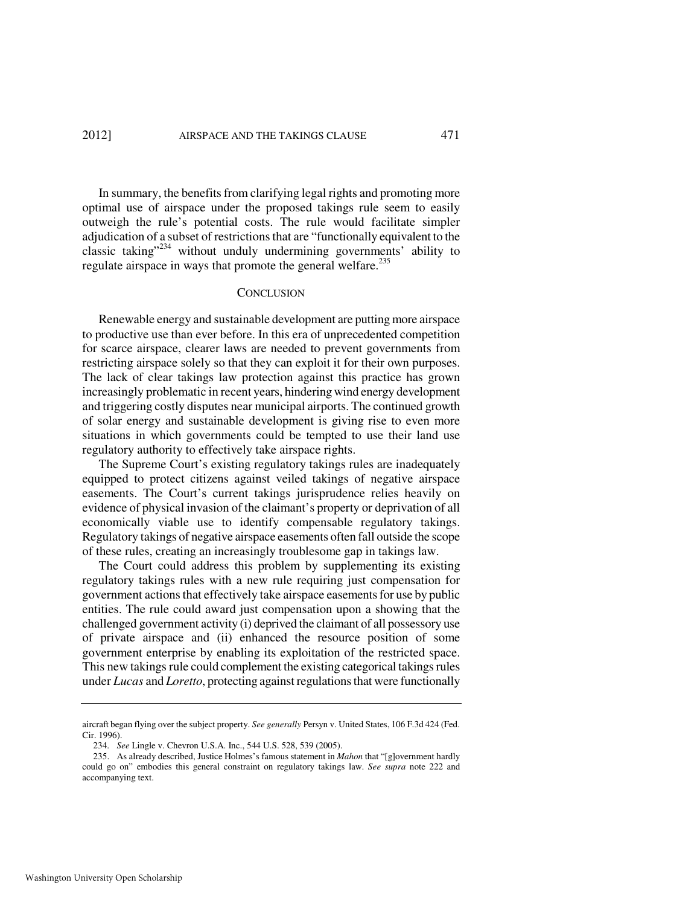In summary, the benefits from clarifying legal rights and promoting more optimal use of airspace under the proposed takings rule seem to easily outweigh the rule's potential costs. The rule would facilitate simpler adjudication of a subset of restrictions that are "functionally equivalent to the classic taking"<sup>234</sup> without unduly undermining governments' ability to regulate airspace in ways that promote the general welfare.<sup>235</sup>

#### **CONCLUSION**

Renewable energy and sustainable development are putting more airspace to productive use than ever before. In this era of unprecedented competition for scarce airspace, clearer laws are needed to prevent governments from restricting airspace solely so that they can exploit it for their own purposes. The lack of clear takings law protection against this practice has grown increasingly problematic in recent years, hindering wind energy development and triggering costly disputes near municipal airports. The continued growth of solar energy and sustainable development is giving rise to even more situations in which governments could be tempted to use their land use regulatory authority to effectively take airspace rights.

The Supreme Court's existing regulatory takings rules are inadequately equipped to protect citizens against veiled takings of negative airspace easements. The Court's current takings jurisprudence relies heavily on evidence of physical invasion of the claimant's property or deprivation of all economically viable use to identify compensable regulatory takings. Regulatory takings of negative airspace easements often fall outside the scope of these rules, creating an increasingly troublesome gap in takings law.

The Court could address this problem by supplementing its existing regulatory takings rules with a new rule requiring just compensation for government actions that effectively take airspace easements for use by public entities. The rule could award just compensation upon a showing that the challenged government activity (i) deprived the claimant of all possessory use of private airspace and (ii) enhanced the resource position of some government enterprise by enabling its exploitation of the restricted space. This new takings rule could complement the existing categorical takings rules under *Lucas* and *Loretto*, protecting against regulations that were functionally

aircraft began flying over the subject property. *See generally* Persyn v. United States, 106 F.3d 424 (Fed. Cir. 1996).

 <sup>234.</sup> *See* Lingle v. Chevron U.S.A. Inc., 544 U.S. 528, 539 (2005).

 <sup>235.</sup> As already described, Justice Holmes's famous statement in *Mahon* that "[g]overnment hardly could go on" embodies this general constraint on regulatory takings law. *See supra* note 222 and accompanying text.